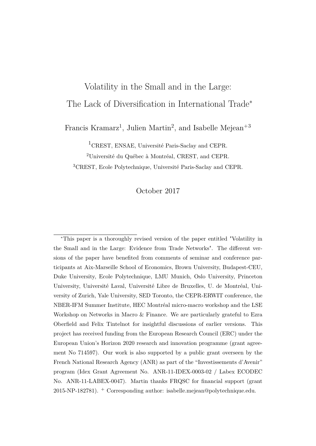### <span id="page-0-0"></span>Volatility in the Small and in the Large:

## The Lack of Diversification in International Trade<sup>∗</sup>

Francis Kramarz<sup>1</sup>, Julien Martin<sup>2</sup>, and Isabelle Mejean<sup>+3</sup>

<sup>1</sup>CREST, ENSAE, Université Paris-Saclay and CEPR.

<sup>2</sup>Université du Québec à Montréal, CREST, and CEPR.

<sup>3</sup>CREST, Ecole Polytechnique, Université Paris-Saclay and CEPR.

### October 2017

<sup>∗</sup>This paper is a thoroughly revised version of the paper entitled "Volatility in the Small and in the Large: Evidence from Trade Networks". The different versions of the paper have benefited from comments of seminar and conference participants at Aix-Marseille School of Economics, Brown University, Budapest-CEU, Duke University, Ecole Polytechnique, LMU Munich, Oslo University, Princeton University, Université Laval, Université Libre de Bruxelles, U. de Montréal, University of Zurich, Yale University, SED Toronto, the CEPR-ERWIT conference, the NBER-IFM Summer Institute, HEC Montréal micro-macro workshop and the LSE Workshop on Networks in Macro & Finance. We are particularly grateful to Ezra Oberfield and Felix Tintelnot for insightful discussions of earlier versions. This project has received funding from the European Research Council (ERC) under the European Union's Horizon 2020 research and innovation programme (grant agreement No 714597). Our work is also supported by a public grant overseen by the French National Research Agency (ANR) as part of the "Investissements d'Avenir" program (Idex Grant Agreement No. ANR-11-IDEX-0003-02 / Labex ECODEC No. ANR-11-LABEX-0047). Martin thanks FRQSC for financial support (grant 2015-NP-182781). <sup>+</sup> Corresponding author: isabelle.mejean@polytechnique.edu.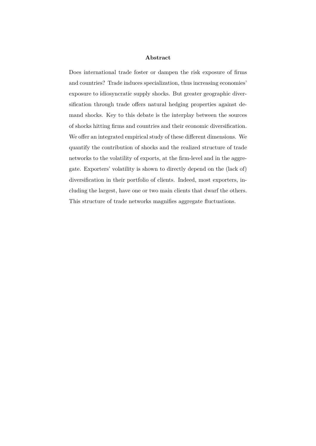#### **Abstract**

Does international trade foster or dampen the risk exposure of firms and countries? Trade induces specialization, thus increasing economies' exposure to idiosyncratic supply shocks. But greater geographic diversification through trade offers natural hedging properties against demand shocks. Key to this debate is the interplay between the sources of shocks hitting firms and countries and their economic diversification. We offer an integrated empirical study of these different dimensions. We quantify the contribution of shocks and the realized structure of trade networks to the volatility of exports, at the firm-level and in the aggregate. Exporters' volatility is shown to directly depend on the (lack of) diversification in their portfolio of clients. Indeed, most exporters, including the largest, have one or two main clients that dwarf the others. This structure of trade networks magnifies aggregate fluctuations.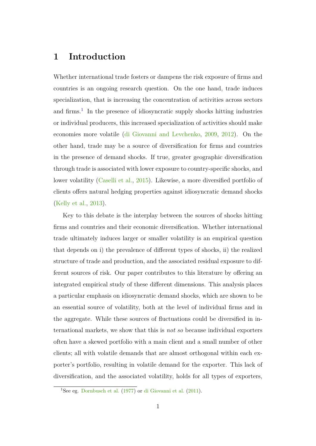# <span id="page-2-0"></span>**1 Introduction**

Whether international trade fosters or dampens the risk exposure of firms and countries is an ongoing research question. On the one hand, trade induces specialization, that is increasing the concentration of activities across sectors and firms.<sup>[1](#page-0-0)</sup> In the presence of idiosyncratic supply shocks hitting industries or individual producers, this increased specialization of activities should make economies more volatile [\(di Giovanni and Levchenko,](#page-40-0) [2009,](#page-40-0) [2012\)](#page-41-0). On the other hand, trade may be a source of diversification for firms and countries in the presence of demand shocks. If true, greater geographic diversification through trade is associated with lower exposure to country-specific shocks, and lower volatility [\(Caselli et al.,](#page-40-1) [2015\)](#page-40-1). Likewise, a more diversified portfolio of clients offers natural hedging properties against idiosyncratic demand shocks [\(Kelly et al.,](#page-41-1) [2013\)](#page-41-1).

Key to this debate is the interplay between the sources of shocks hitting firms and countries and their economic diversification. Whether international trade ultimately induces larger or smaller volatility is an empirical question that depends on i) the prevalence of different types of shocks, ii) the realized structure of trade and production, and the associated residual exposure to different sources of risk. Our paper contributes to this literature by offering an integrated empirical study of these different dimensions. This analysis places a particular emphasis on idiosyncratic demand shocks, which are shown to be an essential source of volatility, both at the level of individual firms and in the aggregate. While these sources of fluctuations could be diversified in international markets, we show that this is *not so* because individual exporters often have a skewed portfolio with a main client and a small number of other clients; all with volatile demands that are almost orthogonal within each exporter's portfolio, resulting in volatile demand for the exporter. This lack of diversification, and the associated volatility, holds for all types of exporters,

<sup>1</sup>See eg. [Dornbusch et al.](#page-41-2) [\(1977\)](#page-41-2) or [di Giovanni et al.](#page-41-3) [\(2011\)](#page-41-3).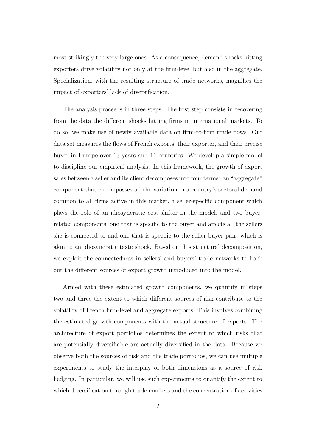most strikingly the very large ones. As a consequence, demand shocks hitting exporters drive volatility not only at the firm-level but also in the aggregate. Specialization, with the resulting structure of trade networks, magnifies the impact of exporters' lack of diversification.

The analysis proceeds in three steps. The first step consists in recovering from the data the different shocks hitting firms in international markets. To do so, we make use of newly available data on firm-to-firm trade flows. Our data set measures the flows of French exports, their exporter, and their precise buyer in Europe over 13 years and 11 countries. We develop a simple model to discipline our empirical analysis. In this framework, the growth of export sales between a seller and its client decomposes into four terms: an "aggregate" component that encompasses all the variation in a country's sectoral demand common to all firms active in this market, a seller-specific component which plays the role of an idiosyncratic cost-shifter in the model, and two buyerrelated components, one that is specific to the buyer and affects all the sellers she is connected to and one that is specific to the seller-buyer pair, which is akin to an idiosyncratic taste shock. Based on this structural decomposition, we exploit the connectedness in sellers' and buyers' trade networks to back out the different sources of export growth introduced into the model.

Armed with these estimated growth components, we quantify in steps two and three the extent to which different sources of risk contribute to the volatility of French firm-level and aggregate exports. This involves combining the estimated growth components with the actual structure of exports. The architecture of export portfolios determines the extent to which risks that are potentially diversifiable are actually diversified in the data. Because we observe both the sources of risk and the trade portfolios, we can use multiple experiments to study the interplay of both dimensions as a source of risk hedging. In particular, we will use such experiments to quantify the extent to which diversification through trade markets and the concentration of activities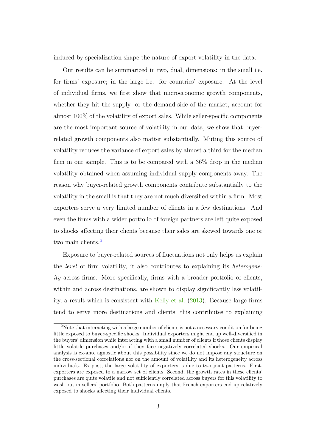induced by specialization shape the nature of export volatility in the data.

Our results can be summarized in two, dual, dimensions: in the small i.e. for firms' exposure; in the large i.e. for countries' exposure. At the level of individual firms, we first show that microeconomic growth components, whether they hit the supply- or the demand-side of the market, account for almost 100% of the volatility of export sales. While seller-specific components are the most important source of volatility in our data, we show that buyerrelated growth components also matter substantially. Muting this source of volatility reduces the variance of export sales by almost a third for the median firm in our sample. This is to be compared with a 36% drop in the median volatility obtained when assuming individual supply components away. The reason why buyer-related growth components contribute substantially to the volatility in the small is that they are not much diversified within a firm. Most exporters serve a very limited number of clients in a few destinations. And even the firms with a wider portfolio of foreign partners are left quite exposed to shocks affecting their clients because their sales are skewed towards one or two main clients.<sup>[2](#page-0-0)</sup>

Exposure to buyer-related sources of fluctuations not only helps us explain the *level* of firm volatility, it also contributes to explaining its *heterogeneity* across firms. More specifically, firms with a broader portfolio of clients, within and across destinations, are shown to display significantly less volatil-ity, a result which is consistent with [Kelly et al.](#page-41-1)  $(2013)$ . Because large firms tend to serve more destinations and clients, this contributes to explaining

<sup>2</sup>Note that interacting with a large number of clients is not a necessary condition for being little exposed to buyer-specific shocks. Individual exporters might end up well-diversified in the buyers' dimension while interacting with a small number of clients if those clients display little volatile purchases and/or if they face negatively correlated shocks. Our empirical analysis is ex-ante agnostic about this possibility since we do not impose any structure on the cross-sectional correlations nor on the amount of volatility and its heterogeneity across individuals. Ex-post, the large volatility of exporters is due to two joint patterns. First, exporters are exposed to a narrow set of clients. Second, the growth rates in these clients' purchases are quite volatile and not sufficiently correlated across buyers for this volatility to wash out in sellers' portfolio. Both patterns imply that French exporters end up relatively exposed to shocks affecting their individual clients.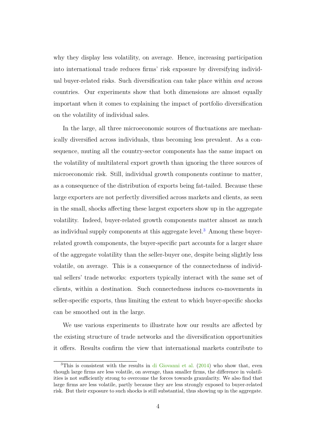why they display less volatility, on average. Hence, increasing participation into international trade reduces firms' risk exposure by diversifying individual buyer-related risks. Such diversification can take place within *and* across countries. Our experiments show that both dimensions are almost equally important when it comes to explaining the impact of portfolio diversification on the volatility of individual sales.

In the large, all three microeconomic sources of fluctuations are mechanically diversified across individuals, thus becoming less prevalent. As a consequence, muting all the country-sector components has the same impact on the volatility of multilateral export growth than ignoring the three sources of microeconomic risk. Still, individual growth components continue to matter, as a consequence of the distribution of exports being fat-tailed. Because these large exporters are not perfectly diversified across markets and clients, as seen in the small, shocks affecting these largest exporters show up in the aggregate volatility. Indeed, buyer-related growth components matter almost as much as individual supply components at this aggregate level.<sup>[3](#page-0-0)</sup> Among these buyerrelated growth components, the buyer-specific part accounts for a larger share of the aggregate volatility than the seller-buyer one, despite being slightly less volatile, on average. This is a consequence of the connectedness of individual sellers' trade networks: exporters typically interact with the same set of clients, within a destination. Such connectedness induces co-movements in seller-specific exports, thus limiting the extent to which buyer-specific shocks can be smoothed out in the large.

We use various experiments to illustrate how our results are affected by the existing structure of trade networks and the diversification opportunities it offers. Results confirm the view that international markets contribute to

 $3$ This is consistent with the results in [di Giovanni et al.](#page-41-4) [\(2014\)](#page-41-4) who show that, even though large firms are less volatile, on average, than smaller firms, the difference in volatilities is not sufficiently strong to overcome the forces towards granularity. We also find that large firms are less volatile, partly because they are less strongly exposed to buyer-related risk. But their exposure to such shocks is still substantial, thus showing up in the aggregate.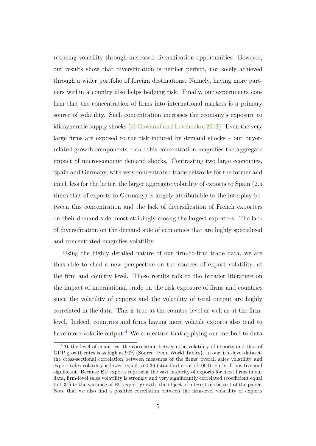reducing volatility through increased diversification opportunities. However, our results show that diversification is neither perfect, nor solely achieved through a wider portfolio of foreign destinations. Namely, having more partners within a country also helps hedging risk. Finally, our experiments confirm that the concentration of firms into international markets is a primary source of volatility. Such concentration increases the economy's exposure to idiosyncratic supply shocks [\(di Giovanni and Levchenko,](#page-41-0) [2012\)](#page-41-0). Even the very large firms are exposed to the risk induced by demand shocks – our buyerrelated growth components – and this concentration magnifies the aggregate impact of microeconomic demand shocks. Contrasting two large economies, Spain and Germany, with very concentrated trade networks for the former and much less for the latter, the larger aggregate volatility of exports to Spain (2.5 times that of exports to Germany) is largely attributable to the interplay between this concentration and the lack of diversification of French exporters on their demand side, most strikingly among the largest exporters. The lack of diversification on the demand side of economies that are highly specialized and concentrated magnifies volatility.

Using the highly detailed nature of our firm-to-firm trade data, we are thus able to shed a new perspective on the sources of export volatility, at the firm and country level. These results talk to the broader literature on the impact of international trade on the risk exposure of firms and countries since the volatility of exports and the volatility of total output are highly correlated in the data. This is true at the country-level as well as at the firmlevel. Indeed, countries and firms having more volatile exports also tend to have more volatile output.<sup>[4](#page-0-0)</sup> We conjecture that applying our method to data

<sup>4</sup>At the level of countries, the correlation between the volatility of exports and that of GDP growth rates is as high as 90% (Source: Penn World Tables). In our firm-level dataset, the cross-sectional correlation between measures of the firms' overall sales volatility and export sales volatility is lower, equal to 0.36 (standard error of .004), but still positive and significant. Because EU exports represent the vast majority of exports for most firms in our data, firm-level sales volatility is strongly and very significantly correlated (coefficient equal to 0.31) to the variance of EU export growth, the object of interest in the rest of the paper. Note that we also find a positive correlation between the firm-level volatility of exports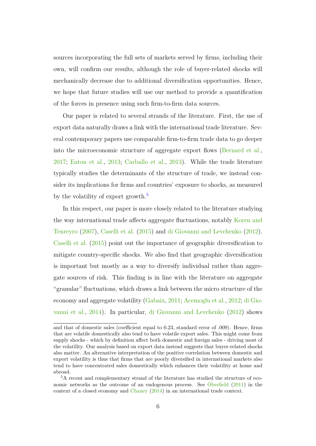sources incorporating the full sets of markets served by firms, including their own, will confirm our results, although the role of buyer-related shocks will mechanically decrease due to additional diversification opportunities. Hence, we hope that future studies will use our method to provide a quantification of the forces in presence using such firm-to-firm data sources.

Our paper is related to several strands of the literature. First, the use of export data naturally draws a link with the international trade literature. Several contemporary papers use comparable firm-to-firm trade data to go deeper into the microeconomic structure of aggregate export flows [\(Bernard et al.,](#page-40-2) [2017;](#page-40-2) [Eaton et al.,](#page-41-5) [2013;](#page-41-5) [Carballo et al.,](#page-40-3) [2013\)](#page-40-3). While the trade literature typically studies the determinants of the structure of trade, we instead consider its implications for firms and countries' exposure to shocks, as measured by the volatility of export growth.<sup>[5](#page-0-0)</sup>

In this respect, our paper is more closely related to the literature studying the way international trade affects aggregate fluctuations, notably [Koren and](#page-41-6) [Tenreyro](#page-41-6) [\(2007\)](#page-41-6), [Caselli et al.](#page-40-1) [\(2015\)](#page-40-1) and [di Giovanni and Levchenko](#page-41-0) [\(2012\)](#page-41-0). [Caselli et al.](#page-40-1) [\(2015\)](#page-40-1) point out the importance of geographic diversification to mitigate country-specific shocks. We also find that geographic diversification is important but mostly as a way to diversify individual rather than aggregate sources of risk. This finding is in line with the literature on aggregate "granular" fluctuations, which draws a link between the micro structure of the economy and aggregate volatility [\(Gabaix,](#page-41-7) [2011;](#page-41-7) [Acemoglu et al.,](#page-39-0) [2012;](#page-39-0) [di Gio](#page-41-4)[vanni et al.,](#page-41-4) [2014\)](#page-41-4). In particular, [di Giovanni and Levchenko](#page-41-0) [\(2012\)](#page-41-0) shows

and that of domestic sales (coefficient equal to 0.23, standard error of .009). Hence, firms that are volatile domestically also tend to have volatile export sales. This might come from supply shocks - which by definition affect both domestic and foreign sales - driving most of the volatility. Our analysis based on export data instead suggests that buyer-related shocks also matter. An alternative interpretation of the positive correlation between domestic and export volatility is thus that firms that are poorly diversified in international markets also tend to have concentrated sales domestically which enhances their volatility at home and abroad.

<sup>5</sup>A recent and complementary strand of the literature has studied the structure of economic networks as the outcome of an endogenous process. See [Oberfield](#page-41-8) [\(2011\)](#page-41-8) in the context of a closed economy and [Chaney](#page-40-4) [\(2014\)](#page-40-4) in an international trade context.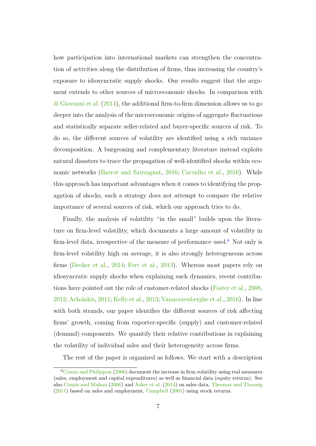how participation into international markets can strengthen the concentration of activities along the distribution of firms, thus increasing the country's exposure to idiosyncratic supply shocks. Our results suggest that the argument extends to other sources of microeconomic shocks. In comparison with [di Giovanni et al.](#page-41-4) [\(2014\)](#page-41-4), the additional firm-to-firm dimension allows us to go deeper into the analysis of the microeconomic origins of aggregate fluctuations and statistically separate seller-related and buyer-specific sources of risk. To do so, the different sources of volatility are identified using a rich variance decomposition. A burgeoning and complementary literature instead exploits natural disasters to trace the propagation of well-identified shocks within economic networks [\(Barrot and Sauvagnat,](#page-39-1) [2016;](#page-39-1) [Carvalho et al.,](#page-40-5) [2016\)](#page-40-5). While this approach has important advantages when it comes to identifying the propagation of shocks, such a strategy does not attempt to compare the relative importance of several sources of risk, which our approach tries to do.

Finally, the analysis of volatility "in the small" builds upon the literature on firm-level volatility, which documents a large amount of volatility in firm-level data, irrespective of the measure of performance used.<sup>[6](#page-0-0)</sup> Not only is firm-level volatility high on average, it is also strongly heterogeneous across firms [\(Decker et al.,](#page-40-6) [2014;](#page-40-6) [Fort et al.,](#page-41-9) [2013\)](#page-41-9). Whereas most papers rely on idiosyncratic supply shocks when explaining such dynamics, recent contributions have pointed out the role of customer-related shocks [\(Foster et al.,](#page-41-10) [2008,](#page-41-10) [2012;](#page-41-11) [Arkolakis,](#page-39-2) [2011;](#page-39-2) [Kelly et al.,](#page-41-1) [2013;](#page-41-1) [Vannoorenberghe et al.,](#page-41-12) [2016\)](#page-41-12). In line with both strands, our paper identifies the different sources of risk affecting firms' growth, coming from exporter-specific (supply) and customer-related (demand) components. We quantify their relative contributions in explaining the volatility of individual sales and their heterogeneity across firms.

The rest of the paper is organized as follows. We start with a description

 $6$ [Comin and Philippon](#page-40-7) [\(2006\)](#page-40-7) document the increase in firm volatility using real measures (sales, employment and capital expenditures) as well as financial data (equity returns). See also [Comin and Mulani](#page-40-8) [\(2006\)](#page-40-8) and [Asker et al.](#page-39-3) [\(2014\)](#page-39-3) on sales data, [Thesmar and Thoenig](#page-41-13) [\(2011\)](#page-41-13) based on sales and employment, [Campbell](#page-40-9) [\(2001\)](#page-40-9) using stock returns.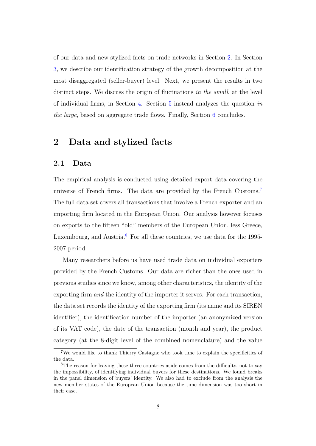of our data and new stylized facts on trade networks in Section [2.](#page-9-0) In Section [3,](#page-15-0) we describe our identification strategy of the growth decomposition at the most disaggregated (seller-buyer) level. Next, we present the results in two distinct steps. We discuss the origin of fluctuations *in the small*, at the level of individual firms, in Section [4.](#page-24-0) Section [5](#page-31-0) instead analyzes the question *in the large*, based on aggregate trade flows. Finally, Section [6](#page-38-0) concludes.

## <span id="page-9-0"></span>**2 Data and stylized facts**

#### **2.1 Data**

The empirical analysis is conducted using detailed export data covering the universe of French firms. The data are provided by the French Customs.[7](#page-0-0) The full data set covers all transactions that involve a French exporter and an importing firm located in the European Union. Our analysis however focuses on exports to the fifteen "old" members of the European Union, less Greece, Luxembourg, and Austria.<sup>[8](#page-0-0)</sup> For all these countries, we use data for the 1995-2007 period.

Many researchers before us have used trade data on individual exporters provided by the French Customs. Our data are richer than the ones used in previous studies since we know, among other characteristics, the identity of the exporting firm *and* the identity of the importer it serves. For each transaction, the data set records the identity of the exporting firm (its name and its SIREN identifier), the identification number of the importer (an anonymized version of its VAT code), the date of the transaction (month and year), the product category (at the 8-digit level of the combined nomenclature) and the value

<sup>7</sup>We would like to thank Thierry Castagne who took time to explain the specificities of the data.

<sup>&</sup>lt;sup>8</sup>The reason for leaving these three countries aside comes from the difficulty, not to say the impossibility, of identifying individual buyers for these destinations. We found breaks in the panel dimension of buyers' identity. We also had to exclude from the analysis the new member states of the European Union because the time dimension was too short in their case.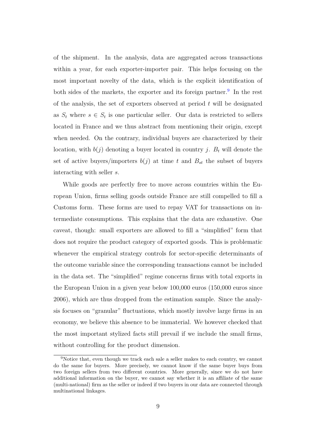of the shipment. In the analysis, data are aggregated across transactions within a year, for each exporter-importer pair. This helps focusing on the most important novelty of the data, which is the explicit identification of both sides of the markets, the exporter and its foreign partner.<sup>[9](#page-0-0)</sup> In the rest of the analysis, the set of exporters observed at period *t* will be designated as  $S_t$  where  $s \in S_t$  is one particular seller. Our data is restricted to sellers located in France and we thus abstract from mentioning their origin, except when needed. On the contrary, individual buyers are characterized by their location, with  $b(j)$  denoting a buyer located in country *j*.  $B_t$  will denote the set of active buyers/importers  $b(j)$  at time t and  $B_{st}$  the subset of buyers interacting with seller *s*.

While goods are perfectly free to move across countries within the European Union, firms selling goods outside France are still compelled to fill a Customs form. These forms are used to repay VAT for transactions on intermediate consumptions. This explains that the data are exhaustive. One caveat, though: small exporters are allowed to fill a "simplified" form that does not require the product category of exported goods. This is problematic whenever the empirical strategy controls for sector-specific determinants of the outcome variable since the corresponding transactions cannot be included in the data set. The "simplified" regime concerns firms with total exports in the European Union in a given year below 100,000 euros (150,000 euros since 2006), which are thus dropped from the estimation sample. Since the analysis focuses on "granular" fluctuations, which mostly involve large firms in an economy, we believe this absence to be immaterial. We however checked that the most important stylized facts still prevail if we include the small firms, without controlling for the product dimension.

<sup>&</sup>lt;sup>9</sup>Notice that, even though we track each sale a seller makes to each country, we cannot do the same for buyers. More precisely, we cannot know if the same buyer buys from two foreign sellers from two different countries. More generally, since we do not have additional information on the buyer, we cannot say whether it is an affiliate of the same (multi-national) firm as the seller or indeed if two buyers in our data are connected through multinational linkages.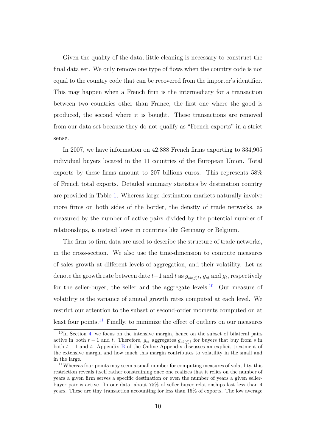Given the quality of the data, little cleaning is necessary to construct the final data set. We only remove one type of flows when the country code is not equal to the country code that can be recovered from the importer's identifier. This may happen when a French firm is the intermediary for a transaction between two countries other than France, the first one where the good is produced, the second where it is bought. These transactions are removed from our data set because they do not qualify as "French exports" in a strict sense.

In 2007, we have information on 42,888 French firms exporting to 334,905 individual buyers located in the 11 countries of the European Union. Total exports by these firms amount to 207 billions euros. This represents 58% of French total exports. Detailed summary statistics by destination country are provided in Table [1.](#page-43-0) Whereas large destination markets naturally involve more firms on both sides of the border, the density of trade networks, as measured by the number of active pairs divided by the potential number of relationships, is instead lower in countries like Germany or Belgium.

The firm-to-firm data are used to describe the structure of trade networks, in the cross-section. We also use the time-dimension to compute measures of sales growth at different levels of aggregation, and their volatility. Let us denote the growth rate between date  $t-1$  and  $t$  as  $g_{sb(j)t}$ ,  $g_{st}$  and  $g_t$ , respectively for the seller-buyer, the seller and the aggregate levels.<sup>[10](#page-0-0)</sup> Our measure of volatility is the variance of annual growth rates computed at each level. We restrict our attention to the subset of second-order moments computed on at least four points.<sup>[11](#page-0-0)</sup> Finally, to minimize the effect of outliers on our measures

 $10$ In Section [4,](#page-24-0) we focus on the intensive margin, hence on the subset of bilateral pairs active in both  $t - 1$  and  $t$ . Therefore,  $g_{st}$  aggregates  $g_{sb(j)t}$  for buyers that buy from *s* in both *t* − 1 and *t*. Appendix [B](#page-62-0) of the Online Appendix discusses an explicit treatment of the extensive margin and how much this margin contributes to volatility in the small and in the large.

<sup>&</sup>lt;sup>11</sup>Whereas four points may seem a small number for computing measures of volatility, this restriction reveals itself rather constraining once one realizes that it relies on the number of years a given firm serves a specific destination or even the number of years a given sellerbuyer pair is active. In our data, about 75% of seller-buyer relationships last less than 4 years. These are tiny transaction accounting for less than 15% of exports. The low average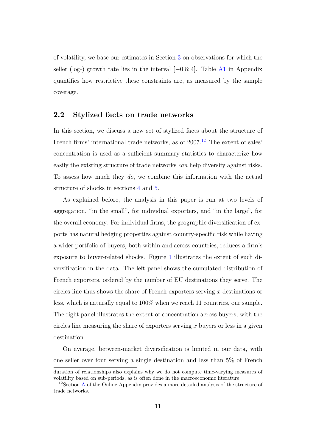of volatility, we base our estimates in Section [3](#page-15-0) on observations for which the seller (log-) growth rate lies in the interval [−0*.*8; 4]. Table [A1](#page-49-0) in Appendix quantifies how restrictive these constraints are, as measured by the sample coverage.

#### <span id="page-12-0"></span>**2.2 Stylized facts on trade networks**

In this section, we discuss a new set of stylized facts about the structure of French firms' international trade networks, as of  $2007<sup>12</sup>$  $2007<sup>12</sup>$  $2007<sup>12</sup>$  The extent of sales' concentration is used as a sufficient summary statistics to characterize how easily the existing structure of trade networks *can* help diversify against risks. To assess how much they *do*, we combine this information with the actual structure of shocks in sections [4](#page-24-0) and [5.](#page-31-0)

As explained before, the analysis in this paper is run at two levels of aggregation, "in the small", for individual exporters, and "in the large", for the overall economy. For individual firms, the geographic diversification of exports has natural hedging properties against country-specific risk while having a wider portfolio of buyers, both within and across countries, reduces a firm's exposure to buyer-related shocks. Figure [1](#page-49-1) illustrates the extent of such diversification in the data. The left panel shows the cumulated distribution of French exporters, ordered by the number of EU destinations they serve. The circles line thus shows the share of French exporters serving *x* destinations or less, which is naturally equal to 100% when we reach 11 countries, our sample. The right panel illustrates the extent of concentration across buyers, with the circles line measuring the share of exporters serving *x* buyers or less in a given destination.

On average, between-market diversification is limited in our data, with one seller over four serving a single destination and less than 5% of French

duration of relationships also explains why we do not compute time-varying measures of volatility based on sub-periods, as is often done in the macroeconomic literature.

<sup>&</sup>lt;sup>12</sup>Section [A](#page-59-0) of the Online Appendix provides a more detailed analysis of the structure of trade networks.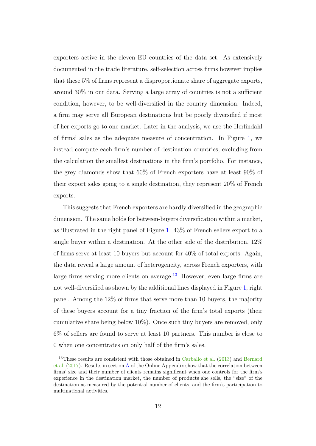exporters active in the eleven EU countries of the data set. As extensively documented in the trade literature, self-selection across firms however implies that these 5% of firms represent a disproportionate share of aggregate exports, around 30% in our data. Serving a large array of countries is not a sufficient condition, however, to be well-diversified in the country dimension. Indeed, a firm may serve all European destinations but be poorly diversified if most of her exports go to one market. Later in the analysis, we use the Herfindahl of firms' sales as the adequate measure of concentration. In Figure [1,](#page-49-1) we instead compute each firm's number of destination countries, excluding from the calculation the smallest destinations in the firm's portfolio. For instance, the grey diamonds show that 60% of French exporters have at least 90% of their export sales going to a single destination, they represent 20% of French exports.

This suggests that French exporters are hardly diversified in the geographic dimension. The same holds for between-buyers diversification within a market, as illustrated in the right panel of Figure [1.](#page-49-1) 43% of French sellers export to a single buyer within a destination. At the other side of the distribution, 12% of firms serve at least 10 buyers but account for 40% of total exports. Again, the data reveal a large amount of heterogeneity, across French exporters, with large firms serving more clients on average. $13$  However, even large firms are not well-diversified as shown by the additional lines displayed in Figure [1,](#page-49-1) right panel. Among the 12% of firms that serve more than 10 buyers, the majority of these buyers account for a tiny fraction of the firm's total exports (their cumulative share being below 10%). Once such tiny buyers are removed, only 6% of sellers are found to serve at least 10 partners. This number is close to 0 when one concentrates on only half of the firm's sales.

 $13$ These results are consistent with those obtained in [Carballo et al.](#page-40-3) [\(2013\)](#page-40-3) and [Bernard](#page-40-2) [et al.](#page-40-2) [\(2017\)](#page-40-2). Results in section [A](#page-59-0) of the Online Appendix show that the correlation between firms' size and their number of clients remains significant when one controls for the firm's experience in the destination market, the number of products she sells, the "size" of the destination as measured by the potential number of clients, and the firm's participation to multinational activities.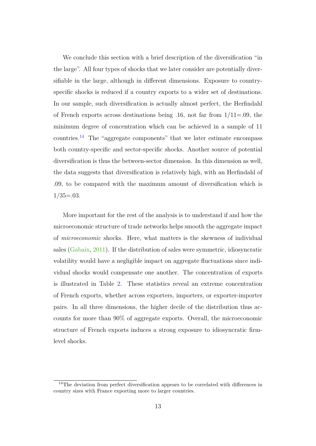We conclude this section with a brief description of the diversification "in the large". All four types of shocks that we later consider are potentially diversifiable in the large, although in different dimensions. Exposure to countryspecific shocks is reduced if a country exports to a wider set of destinations. In our sample, such diversification is actually almost perfect, the Herfindahl of French exports across destinations being .16, not far from  $1/11=0.09$ , the minimum degree of concentration which can be achieved in a sample of 11 countries.<sup>[14](#page-0-0)</sup> The "aggregate components" that we later estimate encompass both country-specific and sector-specific shocks. Another source of potential diversification is thus the between-sector dimension. In this dimension as well, the data suggests that diversification is relatively high, with an Herfindahl of .09, to be compared with the maximum amount of diversification which is  $1/35=.03.$ 

More important for the rest of the analysis is to understand if and how the microeconomic structure of trade networks helps smooth the aggregate impact of *microeconomic* shocks. Here, what matters is the skewness of individual sales [\(Gabaix,](#page-41-7) [2011\)](#page-41-7). If the distribution of sales were symmetric, idiosyncratic volatility would have a negligible impact on aggregate fluctuations since individual shocks would compensate one another. The concentration of exports is illustrated in Table [2.](#page-44-0) These statistics reveal an extreme concentration of French exports, whether across exporters, importers, or exporter-importer pairs. In all three dimensions, the higher decile of the distribution thus accounts for more than 90% of aggregate exports. Overall, the microeconomic structure of French exports induces a strong exposure to idiosyncratic firmlevel shocks.

<sup>&</sup>lt;sup>14</sup>The deviation from perfect diversification appears to be correlated with differences in country sizes with France exporting more to larger countries.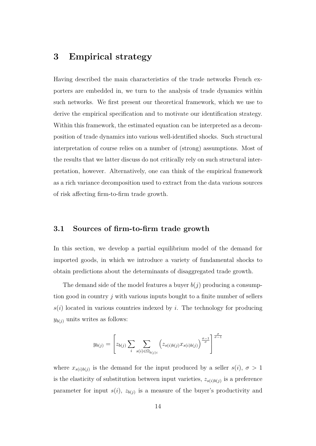# <span id="page-15-0"></span>**3 Empirical strategy**

Having described the main characteristics of the trade networks French exporters are embedded in, we turn to the analysis of trade dynamics within such networks. We first present our theoretical framework, which we use to derive the empirical specification and to motivate our identification strategy. Within this framework, the estimated equation can be interpreted as a decomposition of trade dynamics into various well-identified shocks. Such structural interpretation of course relies on a number of (strong) assumptions. Most of the results that we latter discuss do not critically rely on such structural interpretation, however. Alternatively, one can think of the empirical framework as a rich variance decomposition used to extract from the data various sources of risk affecting firm-to-firm trade growth.

#### <span id="page-15-1"></span>**3.1 Sources of firm-to-firm trade growth**

In this section, we develop a partial equilibrium model of the demand for imported goods, in which we introduce a variety of fundamental shocks to obtain predictions about the determinants of disaggregated trade growth.

The demand side of the model features a buyer  $b(i)$  producing a consumption good in country *j* with various inputs bought to a finite number of sellers  $s(i)$  located in various countries indexed by *i*. The technology for producing  $y_{b(j)}$  units writes as follows:

$$
y_{b(j)} = \left[z_{b(j)}\sum_{i} \sum_{s(i) \in \Omega_{b(j)i}} \left(z_{s(i)b(j)}x_{s(i)b(j)}\right)^{\frac{\sigma-1}{\sigma}}\right]^{\frac{\sigma}{\sigma-1}}
$$

where  $x_{s(i)b(j)}$  is the demand for the input produced by a seller  $s(i)$ ,  $\sigma > 1$ is the elasticity of substitution between input varieties,  $z_{s(i)b(j)}$  is a preference parameter for input  $s(i)$ ,  $z_{b(j)}$  is a measure of the buyer's productivity and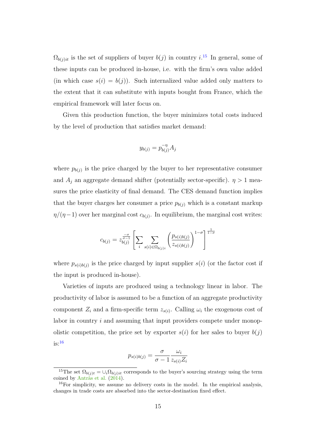$\Omega_{b(j)i}$  is the set of suppliers of buyer  $b(j)$  in country  $i^{15}$  $i^{15}$  $i^{15}$  In general, some of these inputs can be produced in-house, i.e. with the firm's own value added (in which case  $s(i) = b(j)$ ). Such internalized value added only matters to the extent that it can substitute with inputs bought from France, which the empirical framework will later focus on.

Given this production function, the buyer minimizes total costs induced by the level of production that satisfies market demand:

$$
y_{b(j)} = p_{b(j)}^{-\eta} A_j
$$

where  $p_{b(j)}$  is the price charged by the buyer to her representative consumer and  $A_j$  an aggregate demand shifter (potentially sector-specific).  $\eta > 1$  measures the price elasticity of final demand. The CES demand function implies that the buyer charges her consumer a price  $p_{b(j)}$  which is a constant markup  $\eta/(\eta-1)$  over her marginal cost  $c_{b(j)}$ . In equilibrium, the marginal cost writes:

$$
c_{b(j)} = z_{b(j)}^{\frac{-\sigma}{\sigma-1}} \left[ \sum_{i} \sum_{s(i) \in \Omega_{b(j)i}} \left( \frac{p_{s(i)b(j)}}{z_{s(i)b(j)}} \right)^{1-\sigma} \right]^{\frac{1}{1-\sigma}}
$$

where  $p_{s(i)b(j)}$  is the price charged by input supplier  $s(i)$  (or the factor cost if the input is produced in-house).

Varieties of inputs are produced using a technology linear in labor. The productivity of labor is assumed to be a function of an aggregate productivity component  $Z_i$  and a firm-specific term  $z_{s(i)}$ . Calling  $\omega_i$  the exogenous cost of labor in country *i* and assuming that input providers compete under monopolistic competition, the price set by exporter  $s(i)$  for her sales to buyer  $b(i)$  $is:$ <sup>[16](#page-0-0)</sup>

$$
p_{s(i)b(j)} = \frac{\sigma}{\sigma - 1} \frac{\omega_i}{z_{s(i)} Z_i}
$$

<sup>&</sup>lt;sup>15</sup>The set  $\Omega_{b(j)t} = \bigcup_i \Omega_{b(j)t}$  corresponds to the buyer's sourcing strategy using the term coined by [Antràs et al.](#page-39-4) [\(2014\)](#page-39-4).

 $16$ For simplicity, we assume no delivery costs in the model. In the empirical analysis, changes in trade costs are absorbed into the sector-destination fixed effect.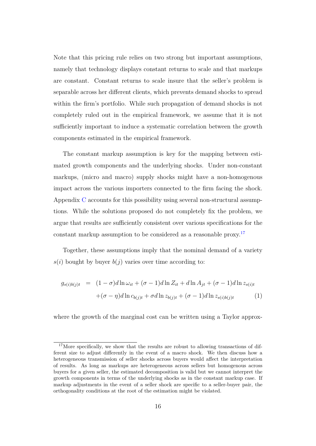Note that this pricing rule relies on two strong but important assumptions, namely that technology displays constant returns to scale and that markups are constant. Constant returns to scale insure that the seller's problem is separable across her different clients, which prevents demand shocks to spread within the firm's portfolio. While such propagation of demand shocks is not completely ruled out in the empirical framework, we assume that it is not sufficiently important to induce a systematic correlation between the growth components estimated in the empirical framework.

The constant markup assumption is key for the mapping between estimated growth components and the underlying shocks. Under non-constant markups, (micro and macro) supply shocks might have a non-homogenous impact across the various importers connected to the firm facing the shock. Appendix [C](#page-65-0) accounts for this possibility using several non-structural assumptions. While the solutions proposed do not completely fix the problem, we argue that results are sufficiently consistent over various specifications for the constant markup assumption to be considered as a reasonable proxy.<sup>[17](#page-0-0)</sup>

Together, these assumptions imply that the nominal demand of a variety  $s(i)$  bought by buyer  $b(j)$  varies over time according to:

<span id="page-17-0"></span>
$$
g_{s(i)b(j)t} = (1 - \sigma)d\ln \omega_{it} + (\sigma - 1)d\ln Z_{it} + d\ln A_{jt} + (\sigma - 1)d\ln z_{s(i)t}
$$

$$
+(\sigma - \eta)d\ln c_{b(j)t} + \sigma d\ln z_{b(j)t} + (\sigma - 1)d\ln z_{s(i)b(j)t}
$$

$$
\tag{1}
$$

where the growth of the marginal cost can be written using a Taylor approx-

<sup>&</sup>lt;sup>17</sup>More specifically, we show that the results are robust to allowing transactions of different size to adjust differently in the event of a macro shock. We then discuss how a heterogeneous transmission of seller shocks across buyers would affect the interpretation of results. As long as markups are heterogeneous across sellers but homogenous across buyers for a given seller, the estimated decomposition is valid but we cannot interpret the growth components in terms of the underlying shocks as in the constant markup case. If markup adjustments in the event of a seller shock are specific to a seller-buyer pair, the orthogonality conditions at the root of the estimation might be violated.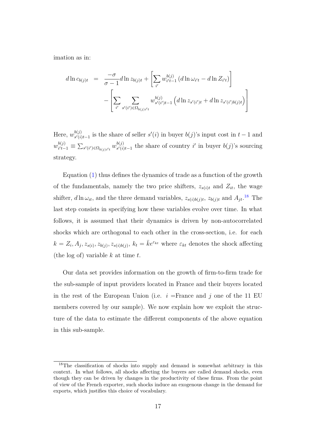imation as in:

$$
d\ln c_{b(j)t} = \frac{-\sigma}{\sigma - 1} d\ln z_{b(j)t} + \left[ \sum_{i'} w_{i't-1}^{b(j)} (d\ln \omega_{i't} - d\ln Z_{i't}) \right]
$$

$$
- \left[ \sum_{i'} \sum_{s'(i') \in \Omega_{b(j)i't}} w_{s'(i')t-1}^{b(j)} (d\ln z_{s'(i')t} + d\ln z_{s'(i')b(j)t}) \right]
$$

Here,  $w_{s(i)}^{b(j)}$  $s'(i)$ <sub>s'</sub>(*i*) $t-1$  is the share of seller  $s'(i)$  in buyer  $b(j)$ 's input cost in  $t-1$  and  $w_{i't-}^{b(j)}$  $\frac{b(j)}{i't-1}$   $\equiv \sum_{s'(i') \in \Omega_{b(j)i't}} w_{s'(i)}^{b(j)}$  $\frac{b(j)}{s'(i)t-1}$  the share of country *i*' in buyer *b*(*j*)'s sourcing strategy.

Equation  $(1)$  thus defines the dynamics of trade as a function of the growth of the fundamentals, namely the two price shifters,  $z_{s(i)t}$  and  $Z_{it}$ , the wage shifter,  $d \ln \omega_{it}$ , and the three demand variables,  $z_{s(i)b(j)t}$ ,  $z_{b(j)t}$  and  $A_{jt}$ .<sup>[18](#page-0-0)</sup> The last step consists in specifying how these variables evolve over time. In what follows, it is assumed that their dynamics is driven by non-autocorrelated shocks which are orthogonal to each other in the cross-section, i.e. for each  $k = Z_i, A_j, z_{s(i)}, z_{b(j)}, z_{s(i)b(j)}, k_t = \overline{k}e^{\varepsilon_{kt}}$  where  $\varepsilon_{kt}$  denotes the shock affecting (the log of) variable *k* at time *t*.

Our data set provides information on the growth of firm-to-firm trade for the sub-sample of input providers located in France and their buyers located in the rest of the European Union (i.e.  $i =$ France and  $j$  one of the 11 EU members covered by our sample). We now explain how we exploit the structure of the data to estimate the different components of the above equation in this sub-sample.

<sup>&</sup>lt;sup>18</sup>The classification of shocks into supply and demand is somewhat arbitrary in this context. In what follows, all shocks affecting the buyers are called demand shocks, even though they can be driven by changes in the productivity of these firms. From the point of view of the French exporter, such shocks induce an exogenous change in the demand for exports, which justifies this choice of vocabulary.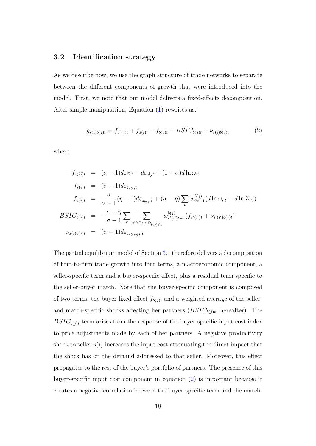### **3.2 Identification strategy**

As we describe now, we use the graph structure of trade networks to separate between the different components of growth that were introduced into the model. First, we note that our model delivers a fixed-effects decomposition. After simple manipulation, Equation [\(1\)](#page-17-0) rewrites as:

<span id="page-19-0"></span>
$$
g_{s(i)b(j)t} = f_{c(ij)t} + f_{s(i)t} + f_{b(j)t} + BSIC_{b(j)t} + \nu_{s(i)b(j)t}
$$
(2)

where:

$$
f_{c(ij)t} = (\sigma - 1)d\varepsilon_{Z_{i}t} + d\varepsilon_{A_{j}t} + (1 - \sigma)d\ln \omega_{it}
$$
  
\n
$$
f_{s(i)t} = (\sigma - 1)d\varepsilon_{z_{s(i)}t}
$$
  
\n
$$
f_{b(j)t} = \frac{\sigma}{\sigma - 1}(\eta - 1)d\varepsilon_{z_{b(j)}t} + (\sigma - \eta)\sum_{i'} w_{i't-1}^{b(j)}(d\ln \omega_{i't} - d\ln Z_{i't})
$$
  
\n
$$
BSIC_{b(j)t} = -\frac{\sigma - \eta}{\sigma - 1}\sum_{i'} \sum_{s'(i') \in \Omega_{b(j)i't}} w_{s'(i')t-1}^{b(j)}(f_{s'(i')t} + \nu_{s'(i')b(j)t})
$$
  
\n
$$
\nu_{s(i)b(j)t} = (\sigma - 1)d\varepsilon_{z_{s(i)b(j)t}}
$$

The partial equilibrium model of Section [3.1](#page-15-1) therefore delivers a decomposition of firm-to-firm trade growth into four terms, a macroeconomic component, a seller-specific term and a buyer-specific effect, plus a residual term specific to the seller-buyer match. Note that the buyer-specific component is composed of two terms, the buyer fixed effect  $f_{b(j)t}$  and a weighted average of the sellerand match-specific shocks affecting her partners  $(BSIC_{b(j)t},$  hereafter). The  $BSIC_{b(j)t}$  term arises from the response of the buyer-specific input cost index to price adjustments made by each of her partners. A negative productivity shock to seller  $s(i)$  increases the input cost attenuating the direct impact that the shock has on the demand addressed to that seller. Moreover, this effect propagates to the rest of the buyer's portfolio of partners. The presence of this buyer-specific input cost component in equation [\(2\)](#page-19-0) is important because it creates a negative correlation between the buyer-specific term and the match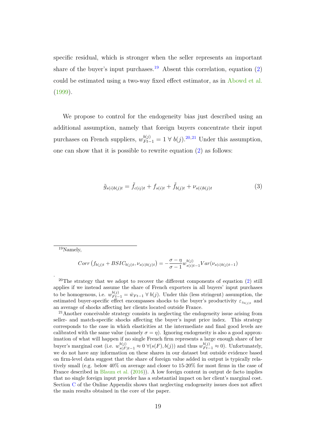specific residual, which is stronger when the seller represents an important share of the buyer's input purchases.<sup>[19](#page-0-0)</sup> Absent this correlation, equation [\(2\)](#page-19-0) could be estimated using a two-way fixed effect estimator, as in [Abowd et al.](#page-39-5) [\(1999\)](#page-39-5).

<span id="page-20-0"></span>We propose to control for the endogeneity bias just described using an additional assumption, namely that foreign buyers concentrate their input purchases on French suppliers,  $w_{F t-1}^{b(j)} = 1 \forall b(j).^{20,21}$  $w_{F t-1}^{b(j)} = 1 \forall b(j).^{20,21}$  $w_{F t-1}^{b(j)} = 1 \forall b(j).^{20,21}$  $w_{F t-1}^{b(j)} = 1 \forall b(j).^{20,21}$  $w_{F t-1}^{b(j)} = 1 \forall b(j).^{20,21}$  Under this assumption, one can show that it is possible to rewrite equation [\(2\)](#page-19-0) as follows:

$$
\tilde{g}_{s(i)b(j)t} = \tilde{f}_{c(ij)t} + f_{s(i)t} + \tilde{f}_{b(j)t} + \nu_{s(i)b(j)t}
$$
\n(3)

 $19$ Namely,

.

$$
Corr(f_{b(j)t} + BSIC_{b(j)t}, \nu_{s(i)b(j)t}) = -\frac{\sigma - \eta}{\sigma - 1} w_{s(i)t-1}^{b(j)} Var(\nu_{s(i)b(j)t-1})
$$

<sup>20</sup>The strategy that we adopt to recover the different components of equation  $(2)$  still applies if we instead assume the share of French exporters in all buyers' input purchases to be homogenous, i.e.  $w_{F_{t-1}}^{b(j)} = \bar{w}_{F_{t-1}} \ \forall \ b(j)$ . Under this (less stringent) assumption, the estimated buyer-specific effect encompasses shocks to the buyer's productivity  $\varepsilon_{z_{b(j)t}}$  and an average of shocks affecting her clients located outside France.

<sup>21</sup>Another conceivable strategy consists in neglecting the endogeneity issue arising from seller- and match-specific shocks affecting the buyer's input price index. This strategy corresponds to the case in which elasticities at the intermediate and final good levels are calibrated with the same value (namely  $\sigma = \eta$ ). Ignoring endogeneity is also a good approximation of what will happen if no single French firm represents a large enough share of her buyer's marginal cost (i.e.  $w_{s(F)t-1}^{b(j)} \approx 0 \ \forall (s(F), b(j))$  and thus  $w_{Ft-1}^{b(j)} \approx 0$ ). Unfortunately, we do not have any information on these shares in our dataset but outside evidence based on firm-level data suggest that the share of foreign value added in output is typically relatively small (e.g. below 40% on average and closer to 15-20% for most firms in the case of France described in [Blaum et al.](#page-40-10) [\(2016\)](#page-40-10)). A low foreign content in output de facto implies that no single foreign input provider has a substantial impact on her client's marginal cost. Section [C](#page-65-0) of the Online Appendix shows that neglecting endogeneity issues does not affect the main results obtained in the core of the paper.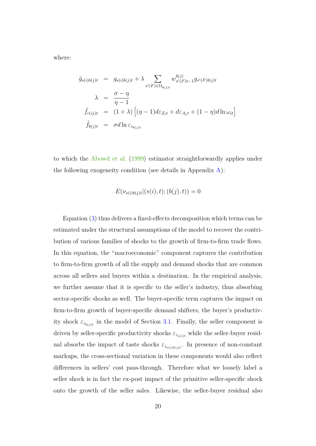where:

$$
\tilde{g}_{s(i)b(j)t} = g_{s(i)b(j)t} + \lambda \sum_{s'(F) \in \Omega_{b(j)t}} w_{s'(F)t-1}^{b(j)} g_{s'(F)b(j)t}
$$
\n
$$
\lambda = \frac{\sigma - \eta}{\eta - 1}
$$
\n
$$
\tilde{f}_{c(ij)t} = (1 + \lambda) \left[ (\eta - 1) d\varepsilon_{Z_i t} + d\varepsilon_{A_j t} + (1 - \eta) d \ln \omega_{it} \right]
$$
\n
$$
\tilde{f}_{b(j)t} = \sigma d \ln \varepsilon_{z_{b(j)t}}
$$

to which the [Abowd et al.](#page-39-5) [\(1999\)](#page-39-5) estimator straightforwardly applies under the following exogeneity condition (see details in Appendix  $A$ ):

$$
E(\nu_{s(i)b(j)t} | (s(i), t); (b(j), t)) = 0
$$

Equation [\(3\)](#page-20-0) thus delivers a fixed-effects decomposition which terms can be estimated under the structural assumptions of the model to recover the contribution of various families of shocks to the growth of firm-to-firm trade flows. In this equation, the "macroeconomic" component captures the contribution to firm-to-firm growth of all the supply and demand shocks that are common across all sellers and buyers within a destination. In the empirical analysis, we further assume that it is specific to the seller's industry, thus absorbing sector-specific shocks as well. The buyer-specific term captures the impact on firm-to-firm growth of buyer-specific demand shifters, the buyer's productivity shock  $\varepsilon_{z_{b(j)t}}$  in the model of Section [3.1.](#page-15-1) Finally, the seller component is driven by seller-specific productivity shocks  $\varepsilon_{z_{s(i)t}}$  while the seller-buyer residual absorbs the impact of taste shocks  $\varepsilon_{z_{s(i)b(j)t}}$ . In presence of non-constant markups, the cross-sectional variation in these components would also reflect differences in sellers' cost pass-through. Therefore what we loosely label a seller shock is in fact the ex-post impact of the primitive seller-specific shock onto the growth of the seller sales. Likewise, the seller-buyer residual also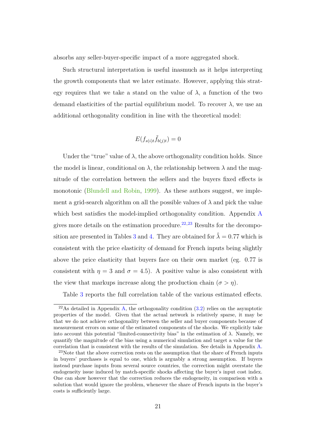absorbs any seller-buyer-specific impact of a more aggregated shock.

Such structural interpretation is useful inasmuch as it helps interpreting the growth components that we later estimate. However, applying this strategy requires that we take a stand on the value of  $\lambda$ , a function of the two demand elasticities of the partial equilibrium model. To recover  $\lambda$ , we use an additional orthogonality condition in line with the theoretical model:

$$
E(f_{s(i)t}\tilde{f}_{b(j)t}) = 0
$$

Under the "true" value of  $\lambda$ , the above orthogonality condition holds. Since the model is linear, conditional on  $\lambda$ , the relationship between  $\lambda$  and the magnitude of the correlation between the sellers and the buyers fixed effects is monotonic [\(Blundell and Robin,](#page-40-11) [1999\)](#page-40-11). As these authors suggest, we implement a grid-search algorithm on all the possible values of  $\lambda$  and pick the value which best satisfies the model-implied orthogonality condition. [A](#page-2-0)ppendix A gives more details on the estimation procedure.<sup>[22](#page-0-0),[23](#page-0-0)</sup> Results for the decompo-sition are presented in Tables [3](#page-44-1) and [4.](#page-45-0) They are obtained for  $\hat{\lambda} = 0.77$  which is consistent with the price elasticity of demand for French inputs being slightly above the price elasticity that buyers face on their own market (eg. 0.77 is consistent with  $\eta = 3$  and  $\sigma = 4.5$ ). A positive value is also consistent with the view that markups increase along the production chain  $(\sigma > \eta)$ .

Table [3](#page-44-1) reports the full correlation table of the various estimated effects.

<sup>&</sup>lt;sup>22</sup>As detailed in Appendix [A,](#page-2-0) the orthogonality condition  $(3.2)$  relies on the asymptotic properties of the model. Given that the actual network is relatively sparse, it may be that we do not achieve orthogonality between the seller and buyer components because of measurement errors on some of the estimated components of the shocks. We explicitly take into account this potential "limited-connectivity bias" in the estimation of  $\lambda$ . Namely, we quantify the magnitude of the bias using a numerical simulation and target a value for the correlation that is consistent with the results of the simulation. See details in Appendix [A.](#page-2-0)

 $23$ Note that the above correction rests on the assumption that the share of French inputs in buyers' purchases is equal to one, which is arguably a strong assumption. If buyers instead purchase inputs from several source countries, the correction might overstate the endogeneity issue induced by match-specific shocks affecting the buyer's input cost index. One can show however that the correction reduces the endogeneity, in comparison with a solution that would ignore the problem, whenever the share of French inputs in the buyer's costs is sufficiently large.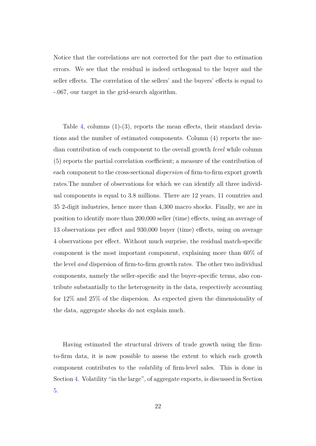Notice that the correlations are not corrected for the part due to estimation errors. We see that the residual is indeed orthogonal to the buyer and the seller effects. The correlation of the sellers' and the buyers' effects is equal to -.067, our target in the grid-search algorithm.

Table [4,](#page-45-0) columns  $(1)-(3)$ , reports the mean effects, their standard deviations and the number of estimated components. Column (4) reports the median contribution of each component to the overall growth *level* while column (5) reports the partial correlation coefficient; a measure of the contribution of each component to the cross-sectional *dispersion* of firm-to-firm export growth rates.The number of observations for which we can identify all three individual components is equal to 3.8 millions. There are 12 years, 11 countries and 35 2-digit industries, hence more than 4,300 macro shocks. Finally, we are in position to identify more than 200,000 seller (time) effects, using an average of 13 observations per effect and 930,000 buyer (time) effects, using on average 4 observations per effect. Without much surprise, the residual match-specific component is the most important component, explaining more than 60% of the level *and* dispersion of firm-to-firm growth rates. The other two individual components, namely the seller-specific and the buyer-specific terms, also contribute substantially to the heterogeneity in the data, respectively accounting for 12% and 25% of the dispersion. As expected given the dimensionality of the data, aggregate shocks do not explain much.

Having estimated the structural drivers of trade growth using the firmto-firm data, it is now possible to assess the extent to which each growth component contributes to the *volatility* of firm-level sales. This is done in Section [4.](#page-24-0) Volatility "in the large", of aggregate exports, is discussed in Section [5.](#page-31-0)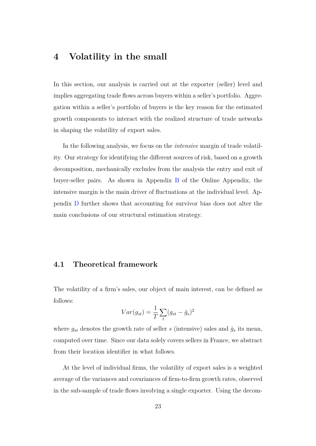# <span id="page-24-0"></span>**4 Volatility in the small**

In this section, our analysis is carried out at the exporter (seller) level and implies aggregating trade flows across buyers within a seller's portfolio. Aggregation within a seller's portfolio of buyers is the key reason for the estimated growth components to interact with the realized structure of trade networks in shaping the volatility of export sales.

In the following analysis, we focus on the *intensive* margin of trade volatility. Our strategy for identifying the different sources of risk, based on a growth decomposition, mechanically excludes from the analysis the entry and exit of buyer-seller pairs. As shown in Appendix [B](#page-62-0) of the Online Appendix, the intensive margin is the main driver of fluctuations at the individual level. Appendix [D](#page-68-0) further shows that accounting for survivor bias does not alter the main conclusions of our structural estimation strategy.

### **4.1 Theoretical framework**

The volatility of a firm's sales, our object of main interest, can be defined as follows:

$$
Var(g_{st}) = \frac{1}{T} \sum_{t} (g_{st} - \bar{g}_s)^2
$$

where  $g_{st}$  denotes the growth rate of seller *s* (intensive) sales and  $\bar{g}_s$  its mean, computed over time. Since our data solely covers sellers in France, we abstract from their location identifier in what follows.

At the level of individual firms, the volatility of export sales is a weighted average of the variances and covariances of firm-to-firm growth rates, observed in the sub-sample of trade flows involving a single exporter. Using the decom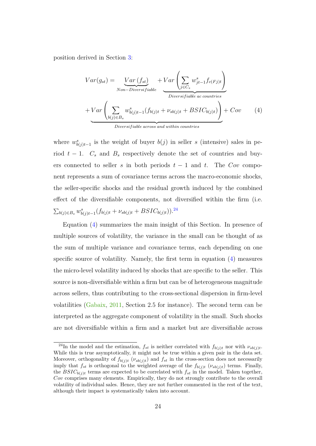position derived in Section [3:](#page-15-0)

<span id="page-25-0"></span>
$$
Var(g_{st}) = \underbrace{Var(f_{st})}_{Non-Diversifiable} + Var\left(\sum_{j \in C_s} w_{jt-1}^s f_{c(Fj)t}\right)
$$

$$
+ Var\left(\sum_{b(j) \in B_s} w_{b(j)t-1}^s (f_{b(j)t} + \nu_{sb(j)t} + BSTC_{b(j)t})\right) + Cov \qquad (4)
$$
  
Diversifiable across and within countries

where  $w_{b(j)t-1}^s$  is the weight of buyer  $b(j)$  in seller *s* (intensive) sales in period  $t - 1$ .  $C_s$  and  $B_s$  respectively denote the set of countries and buyers connected to seller *s* in both periods  $t - 1$  and  $t$ . The *Cov* component represents a sum of covariance terms across the macro-economic shocks, the seller-specific shocks and the residual growth induced by the combined effect of the diversifiable components, not diversified within the firm (i.e.  $\sum_{b(j) \in B_s} w_{b(j)t-1}^s(f_{b(j)t} + \nu_{sb(j)t} + BSIC_{b(j)t}))$ .<sup>[24](#page-0-0)</sup>

Equation [\(4\)](#page-25-0) summarizes the main insight of this Section. In presence of multiple sources of volatility, the variance in the small can be thought of as the sum of multiple variance and covariance terms, each depending on one specific source of volatility. Namely, the first term in equation [\(4\)](#page-25-0) measures the micro-level volatility induced by shocks that are specific to the seller. This source is non-diversifiable within a firm but can be of heterogeneous magnitude across sellers, thus contributing to the cross-sectional dispersion in firm-level volatilities [\(Gabaix,](#page-41-7) [2011,](#page-41-7) Section 2.5 for instance). The second term can be interpreted as the aggregate component of volatility in the small. Such shocks are not diversifiable within a firm and a market but are diversifiable across

<sup>&</sup>lt;sup>24</sup>In the model and the estimation,  $f_{st}$  is neither correlated with  $f_{b(j)t}$  nor with  $\nu_{sb(j)t}$ . While this is true asymptotically, it might not be true within a given pair in the data set. Moreover, orthogonality of  $f_{b(j)t}$  ( $\nu_{sb(j)t}$ ) and  $f_{st}$  in the cross-section does not necessarily imply that  $f_{st}$  is orthogonal to the weighted average of the  $f_{b(j)t}$  ( $\nu_{sb(j)t}$ ) terms. Finally, the  $BSIC_{b(i)t}$  terms are expected to be correlated with  $f_{st}$  in the model. Taken together, *Cov* comprises many elements. Empirically, they do not strongly contribute to the overall volatility of individual sales. Hence, they are not further commented in the rest of the text, although their impact is systematically taken into account.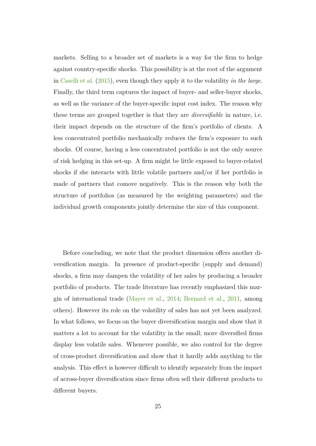markets. Selling to a broader set of markets is a way for the firm to hedge against country-specific shocks. This possibility is at the root of the argument in [Caselli et al.](#page-40-1) [\(2015\)](#page-40-1), even though they apply it to the volatility *in the large*. Finally, the third term captures the impact of buyer- and seller-buyer shocks, as well as the variance of the buyer-specific input cost index. The reason why these terms are grouped together is that they are *diversifiable* in nature, i.e. their impact depends on the structure of the firm's portfolio of clients. A less concentrated portfolio mechanically reduces the firm's exposure to such shocks. Of course, having a less concentrated portfolio is not the only source of risk hedging in this set-up. A firm might be little exposed to buyer-related shocks if she interacts with little volatile partners and/or if her portfolio is made of partners that comove negatively. This is the reason why both the structure of portfolios (as measured by the weighting parameters) and the individual growth components jointly determine the size of this component.

Before concluding, we note that the product dimension offers another diversification margin. In presence of product-specific (supply and demand) shocks, a firm may dampen the volatility of her sales by producing a broader portfolio of products. The trade literature has recently emphasized this margin of international trade [\(Mayer et al.,](#page-41-14) [2014;](#page-41-14) [Bernard et al.,](#page-40-12) [2011,](#page-40-12) among others). However its role on the volatility of sales has not yet been analyzed. In what follows, we focus on the buyer diversification margin and show that it matters a lot to account for the volatility in the small; more diversified firms display less volatile sales. Whenever possible, we also control for the degree of cross-product diversification and show that it hardly adds anything to the analysis. This effect is however difficult to identify separately from the impact of across-buyer diversification since firms often sell their different products to different buyers.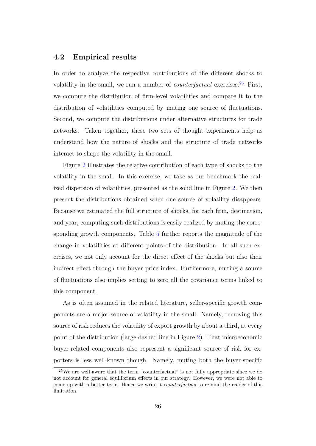### **4.2 Empirical results**

In order to analyze the respective contributions of the different shocks to volatility in the small, we run a number of *counterfactual* exercises.[25](#page-0-0) First, we compute the distribution of firm-level volatilities and compare it to the distribution of volatilities computed by muting one source of fluctuations. Second, we compute the distributions under alternative structures for trade networks. Taken together, these two sets of thought experiments help us understand how the nature of shocks and the structure of trade networks interact to shape the volatility in the small.

Figure [2](#page-50-0) illustrates the relative contribution of each type of shocks to the volatility in the small. In this exercise, we take as our benchmark the realized dispersion of volatilities, presented as the solid line in Figure [2.](#page-50-0) We then present the distributions obtained when one source of volatility disappears. Because we estimated the full structure of shocks, for each firm, destination, and year, computing such distributions is easily realized by muting the corresponding growth components. Table [5](#page-45-1) further reports the magnitude of the change in volatilities at different points of the distribution. In all such exercises, we not only account for the direct effect of the shocks but also their indirect effect through the buyer price index. Furthermore, muting a source of fluctuations also implies setting to zero all the covariance terms linked to this component.

As is often assumed in the related literature, seller-specific growth components are a major source of volatility in the small. Namely, removing this source of risk reduces the volatility of export growth by about a third, at every point of the distribution (large-dashed line in Figure [2\)](#page-50-0). That microeconomic buyer-related components also represent a significant source of risk for exporters is less well-known though. Namely, muting both the buyer-specific

<sup>25</sup>We are well aware that the term "counterfactual" is not fully appropriate since we do not account for general equilibrium effects in our strategy. However, we were not able to come up with a better term. Hence we write it *counterfactual* to remind the reader of this limitation.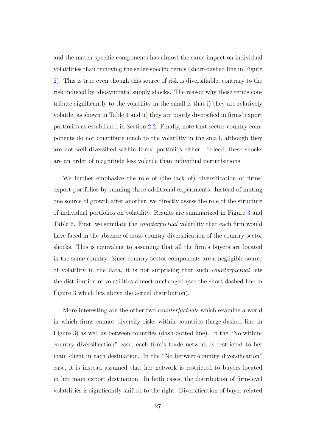and the match-specific components has almost the same impact on individual volatilities than removing the seller-specific terms (short-dashed line in Figure [2\)](#page-50-0). This is true even though this source of risk is diversifiable, contrary to the risk induced by idiosyncratic supply shocks. The reason why these terms contribute significantly to the volatility in the small is that i) they are relatively volatile, as shown in Table [4](#page-45-0) and ii) they are poorly diversified in firms' export portfolios as established in Section [2.2.](#page-12-0) Finally, note that sector-country components do not contribute much to the volatility in the small, although they are not well diversified within firms' portfolios either. Indeed, these shocks are an order of magnitude less volatile than individual perturbations.

We further emphasize the role of (the lack of) diversification of firms' export portfolios by running three additional experiments. Instead of muting one source of growth after another, we directly assess the role of the structure of individual portfolios on volatility. Results are summarized in Figure [3](#page-51-0) and Table [6.](#page-46-0) First, we simulate the *counterfactual* volatility that each firm would have faced in the absence of cross-country diversification of the country-sector shocks. This is equivalent to assuming that all the firm's buyers are located in the same country. Since country-sector components are a negligible source of volatility in the data, it is not surprising that such *counterfactual* lets the distribution of volatilities almost unchanged (see the short-dashed line in Figure [3](#page-51-0) which lies above the actual distribution).

More interesting are the other two *counterfactuals* which examine a world in which firms cannot diversify risks within countries (large-dashed line in Figure [3\)](#page-51-0) as well as between countries (dash-dotted line). In the "No withincountry diversification" case, each firm's trade network is restricted to her main client in each destination. In the "No between-country diversification" case, it is instead assumed that her network is restricted to buyers located in her main export destination. In both cases, the distribution of firm-level volatilities is significantly shifted to the right. Diversification of buyer-related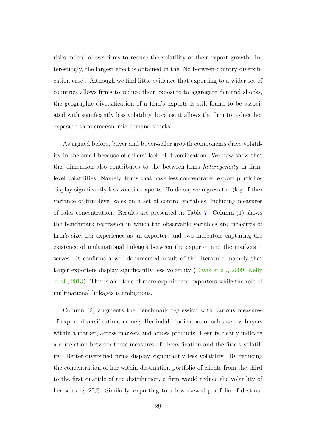risks indeed allows firms to reduce the volatility of their export growth. Interestingly, the largest effect is obtained in the 'No between-country diversification case". Although we find little evidence that exporting to a wider set of countries allows firms to reduce their exposure to aggregate demand shocks, the geographic diversification of a firm's exports is still found to be associated with significantly less volatility, because it allows the firm to reduce her exposure to microeconomic demand shocks.

As argued before, buyer and buyer-seller growth components drive volatility in the small because of sellers' lack of diversification. We now show that this dimension also contributes to the between-firms *heterogeneity* in firmlevel volatilities. Namely, firms that have less concentrated export portfolios display significantly less volatile exports. To do so, we regress the (log of the) variance of firm-level sales on a set of control variables, including measures of sales concentration. Results are presented in Table [7.](#page-47-0) Column (1) shows the benchmark regression in which the observable variables are measures of firm's size, her experience as an exporter, and two indicators capturing the existence of multinational linkages between the exporter and the markets it serves. It confirms a well-documented result of the literature, namely that larger exporters display significantly less volatility [\(Davis et al.,](#page-40-13) [2009;](#page-40-13) [Kelly](#page-41-1) [et al.,](#page-41-1) [2013\)](#page-41-1). This is also true of more experienced exporters while the role of multinational linkages is ambiguous.

Column (2) augments the benchmark regression with various measures of export diversification, namely Herfindahl indicators of sales across buyers within a market, across markets and across products. Results clearly indicate a correlation between these measures of diversification and the firm's volatility. Better-diversified firms display significantly less volatility. By reducing the concentration of her within-destination portfolio of clients from the third to the first quartile of the distribution, a firm would reduce the volatility of her sales by 27%. Similarly, exporting to a less skewed portfolio of destina-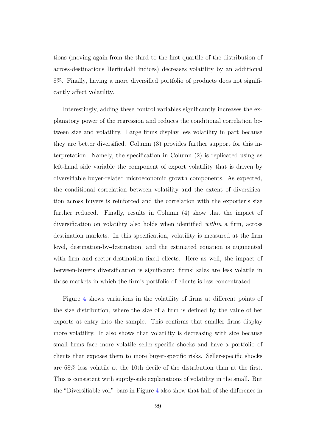tions (moving again from the third to the first quartile of the distribution of across-destinations Herfindahl indices) decreases volatility by an additional 8%. Finally, having a more diversified portfolio of products does not significantly affect volatility.

Interestingly, adding these control variables significantly increases the explanatory power of the regression and reduces the conditional correlation between size and volatility. Large firms display less volatility in part because they are better diversified. Column (3) provides further support for this interpretation. Namely, the specification in Column (2) is replicated using as left-hand side variable the component of export volatility that is driven by diversifiable buyer-related microeconomic growth components. As expected, the conditional correlation between volatility and the extent of diversification across buyers is reinforced and the correlation with the exporter's size further reduced. Finally, results in Column (4) show that the impact of diversification on volatility also holds when identified *within* a firm, across destination markets. In this specification, volatility is measured at the firm level, destination-by-destination, and the estimated equation is augmented with firm and sector-destination fixed effects. Here as well, the impact of between-buyers diversification is significant: firms' sales are less volatile in those markets in which the firm's portfolio of clients is less concentrated.

Figure [4](#page-52-0) shows variations in the volatility of firms at different points of the size distribution, where the size of a firm is defined by the value of her exports at entry into the sample. This confirms that smaller firms display more volatility. It also shows that volatility is decreasing with size because small firms face more volatile seller-specific shocks and have a portfolio of clients that exposes them to more buyer-specific risks. Seller-specific shocks are 68% less volatile at the 10th decile of the distribution than at the first. This is consistent with supply-side explanations of volatility in the small. But the "Diversifiable vol." bars in Figure [4](#page-52-0) also show that half of the difference in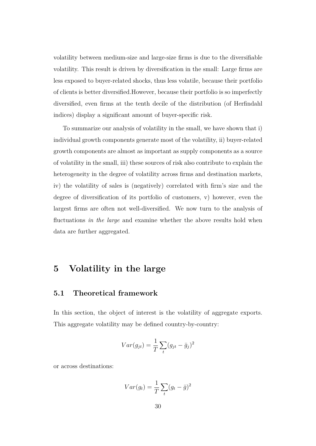volatility between medium-size and large-size firms is due to the diversifiable volatility. This result is driven by diversification in the small: Large firms are less exposed to buyer-related shocks, thus less volatile, because their portfolio of clients is better diversified.However, because their portfolio is so imperfectly diversified, even firms at the tenth decile of the distribution (of Herfindahl indices) display a significant amount of buyer-specific risk.

To summarize our analysis of volatility in the small, we have shown that i) individual growth components generate most of the volatility, ii) buyer-related growth components are almost as important as supply components as a source of volatility in the small, iii) these sources of risk also contribute to explain the heterogeneity in the degree of volatility across firms and destination markets, iv) the volatility of sales is (negatively) correlated with firm's size and the degree of diversification of its portfolio of customers, v) however, even the largest firms are often not well-diversified. We now turn to the analysis of fluctuations *in the large* and examine whether the above results hold when data are further aggregated.

# <span id="page-31-0"></span>**5 Volatility in the large**

### **5.1 Theoretical framework**

In this section, the object of interest is the volatility of aggregate exports. This aggregate volatility may be defined country-by-country:

$$
Var(g_{jt}) = \frac{1}{T} \sum_{t} (g_{jt} - \bar{g}_j)^2
$$

or across destinations:

$$
Var(g_t) = \frac{1}{T} \sum_{t} (g_t - \bar{g})^2
$$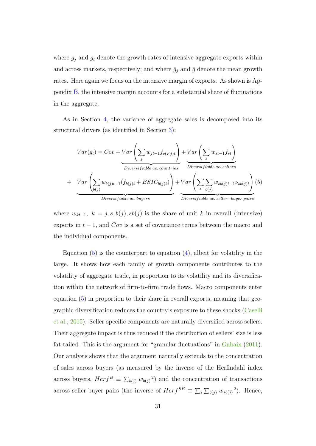where  $g_j$  and  $g_t$  denote the growth rates of intensive aggregate exports within and across markets, respectively; and where  $\bar{g}_j$  and  $\bar{g}$  denote the mean growth rates. Here again we focus on the intensive margin of exports. As shown is Appendix [B,](#page-62-0) the intensive margin accounts for a substantial share of fluctuations in the aggregate.

As in Section [4,](#page-24-0) the variance of aggregate sales is decomposed into its structural drivers (as identified in Section [3\)](#page-15-0):

<span id="page-32-0"></span>
$$
Var(g_t) = Cov + Var\left(\sum_{j} w_{jt-1}f_{c(Fj)t}\right) + Var\left(\sum_{s} w_{st-1}f_{st}\right)
$$
  
 
$$
Var\left(\sum_{b(j)} w_{b(j)t-1}(f_{b(j)t} + BSTC_{b(j)t})\right) + Var\left(\sum_{s} \sum_{b(j)} w_{sb(j)t-1} \nu_{sb(j)t}\right)
$$
  
 
$$
Var\left(\sum_{b(j)} w_{b(j)t-1}(f_{b(j)t} + BSTC_{b(j)t})\right) + Var\left(\sum_{s} \sum_{b(j)} w_{sb(j)t-1} \nu_{sb(j)t}\right)
$$
(5)

where  $w_{kt-1}$ ,  $k = j, s, b(j), sb(j)$  is the share of unit *k* in overall (intensive) exports in  $t - 1$ , and  $Cov$  is a set of covariance terms between the macro and the individual components.

Equation  $(5)$  is the counterpart to equation  $(4)$ , albeit for volatility in the large. It shows how each family of growth components contributes to the volatility of aggregate trade, in proportion to its volatility and its diversification within the network of firm-to-firm trade flows. Macro components enter equation [\(5\)](#page-32-0) in proportion to their share in overall exports, meaning that geographic diversification reduces the country's exposure to these shocks [\(Caselli](#page-40-1) [et al.,](#page-40-1) [2015\)](#page-40-1). Seller-specific components are naturally diversified across sellers. Their aggregate impact is thus reduced if the distribution of sellers' size is less fat-tailed. This is the argument for "granular fluctuations" in [Gabaix](#page-41-7) [\(2011\)](#page-41-7). Our analysis shows that the argument naturally extends to the concentration of sales across buyers (as measured by the inverse of the Herfindahl index across buyers,  $Herf^B \equiv \sum_{b(j)} w_{b(j)}^2$  and the concentration of transactions across seller-buyer pairs (the inverse of  $Herf^{SB} \equiv \sum_{s} \sum_{b(j)} w_{sb(j)}^2$ ). Hence,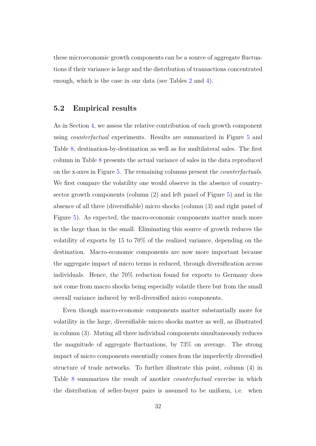these microeconomic growth components can be a source of aggregate fluctuations if their variance is large and the distribution of transactions concentrated enough, which is the case in our data (see Tables [2](#page-44-0) and [4\)](#page-45-0).

### **5.2 Empirical results**

As in Section [4,](#page-24-0) we assess the relative contribution of each growth component using *counterfactual* experiments. Results are summarized in Figure [5](#page-52-1) and Table [8,](#page-48-0) destination-by-destination as well as for multilateral sales. The first column in Table [8](#page-48-0) presents the actual variance of sales in the data reproduced on the x-axes in Figure [5.](#page-52-1) The remaining columns present the *counterfactuals*. We first compare the volatility one would observe in the absence of countrysector growth components (column (2) and left panel of Figure [5\)](#page-52-1) and in the absence of all three (diversifiable) micro shocks (column (3) and right panel of Figure [5\)](#page-52-1). As expected, the macro-economic components matter much more in the large than in the small. Eliminating this source of growth reduces the volatility of exports by 15 to 70% of the realized variance, depending on the destination. Macro-economic components are now more important because the aggregate impact of micro terms is reduced, through diversification across individuals. Hence, the 70% reduction found for exports to Germany does not come from macro shocks being especially volatile there but from the small overall variance induced by well-diversified micro components.

Even though macro-economic components matter substantially more for volatility in the large, diversifiable micro shocks matter as well, as illustrated in column (3). Muting all three individual components simultaneously reduces the magnitude of aggregate fluctuations, by 73% on average. The strong impact of micro components essentially comes from the imperfectly diversified structure of trade networks. To further illustrate this point, column (4) in Table [8](#page-48-0) summarizes the result of another *counterfactual* exercise in which the distribution of seller-buyer pairs is assumed to be uniform, i.e. when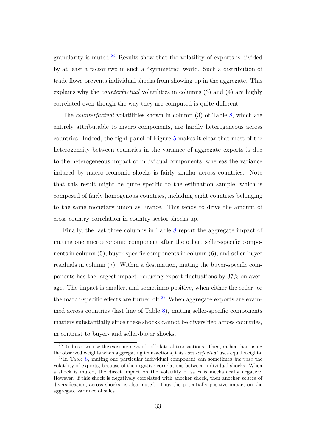granularity is muted.<sup>[26](#page-0-0)</sup> Results show that the volatility of exports is divided by at least a factor two in such a "symmetric" world. Such a distribution of trade flows prevents individual shocks from showing up in the aggregate. This explains why the *counterfactual* volatilities in columns (3) and (4) are highly correlated even though the way they are computed is quite different.

The *counterfactual* volatilities shown in column (3) of Table [8,](#page-48-0) which are entirely attributable to macro components, are hardly heterogeneous across countries. Indeed, the right panel of Figure [5](#page-52-1) makes it clear that most of the heterogeneity between countries in the variance of aggregate exports is due to the heterogeneous impact of individual components, whereas the variance induced by macro-economic shocks is fairly similar across countries. Note that this result might be quite specific to the estimation sample, which is composed of fairly homogenous countries, including eight countries belonging to the same monetary union as France. This tends to drive the amount of cross-country correlation in country-sector shocks up.

Finally, the last three columns in Table [8](#page-48-0) report the aggregate impact of muting one microeconomic component after the other: seller-specific components in column (5), buyer-specific components in column (6), and seller-buyer residuals in column (7). Within a destination, muting the buyer-specific components has the largest impact, reducing export fluctuations by 37% on average. The impact is smaller, and sometimes positive, when either the seller- or the match-specific effects are turned of  $f^{27}$  $f^{27}$  $f^{27}$  When aggregate exports are examined across countries (last line of Table [8\)](#page-48-0), muting seller-specific components matters substantially since these shocks cannot be diversified across countries, in contrast to buyer- and seller-buyer shocks.

 $26T<sub>0</sub>$  do so, we use the existing network of bilateral transactions. Then, rather than using the observed weights when aggregating transactions, this *counterfactual* uses equal weights.

<sup>27</sup>In Table [8,](#page-48-0) muting one particular individual component can sometimes *increase* the volatility of exports, because of the negative correlations between individual shocks. When a shock is muted, the direct impact on the volatility of sales is mechanically negative. However, if this shock is negatively correlated with another shock, then another source of diversification, across shocks, is also muted. Thus the potentially positive impact on the aggregate variance of sales.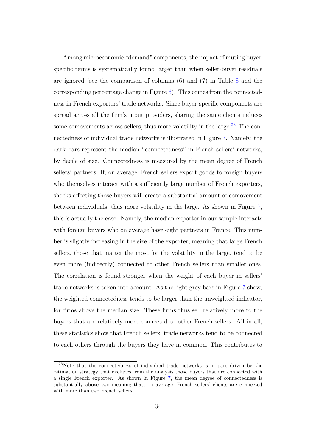Among microeconomic "demand" components, the impact of muting buyerspecific terms is systematically found larger than when seller-buyer residuals are ignored (see the comparison of columns (6) and (7) in Table [8](#page-48-0) and the corresponding percentage change in Figure [6\)](#page-53-0). This comes from the connectedness in French exporters' trade networks: Since buyer-specific components are spread across all the firm's input providers, sharing the same clients induces some comovements across sellers, thus more volatility in the large.<sup>[28](#page-0-0)</sup> The connectedness of individual trade networks is illustrated in Figure [7.](#page-54-0) Namely, the dark bars represent the median "connectedness" in French sellers' networks, by decile of size. Connectedness is measured by the mean degree of French sellers' partners. If, on average, French sellers export goods to foreign buyers who themselves interact with a sufficiently large number of French exporters, shocks affecting those buyers will create a substantial amount of comovement between individuals, thus more volatility in the large. As shown in Figure [7,](#page-54-0) this is actually the case. Namely, the median exporter in our sample interacts with foreign buyers who on average have eight partners in France. This number is slightly increasing in the size of the exporter, meaning that large French sellers, those that matter the most for the volatility in the large, tend to be even more (indirectly) connected to other French sellers than smaller ones. The correlation is found stronger when the weight of each buyer in sellers' trade networks is taken into account. As the light grey bars in Figure [7](#page-54-0) show, the weighted connectedness tends to be larger than the unweighted indicator, for firms above the median size. These firms thus sell relatively more to the buyers that are relatively more connected to other French sellers. All in all, these statistics show that French sellers' trade networks tend to be connected to each others through the buyers they have in common. This contributes to

<sup>28</sup>Note that the connectedness of individual trade networks is in part driven by the estimation strategy that excludes from the analysis those buyers that are connected with a single French exporter. As shown in Figure [7,](#page-54-0) the mean degree of connectedness is substantially above two meaning that, on average, French sellers' clients are connected with more than two French sellers.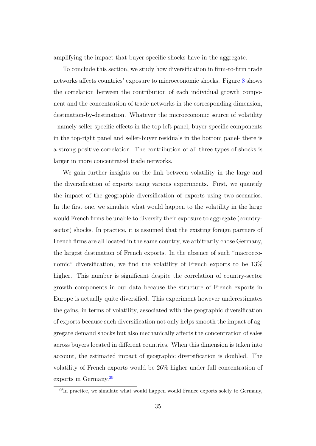amplifying the impact that buyer-specific shocks have in the aggregate.

To conclude this section, we study how diversification in firm-to-firm trade networks affects countries' exposure to microeconomic shocks. Figure [8](#page-55-0) shows the correlation between the contribution of each individual growth component and the concentration of trade networks in the corresponding dimension, destination-by-destination. Whatever the microeconomic source of volatility - namely seller-specific effects in the top-left panel, buyer-specific components in the top-right panel and seller-buyer residuals in the bottom panel- there is a strong positive correlation. The contribution of all three types of shocks is larger in more concentrated trade networks.

We gain further insights on the link between volatility in the large and the diversification of exports using various experiments. First, we quantify the impact of the geographic diversification of exports using two scenarios. In the first one, we simulate what would happen to the volatility in the large would French firms be unable to diversify their exposure to aggregate (countrysector) shocks. In practice, it is assumed that the existing foreign partners of French firms are all located in the same country, we arbitrarily chose Germany, the largest destination of French exports. In the absence of such "macroeconomic" diversification, we find the volatility of French exports to be  $13\%$ higher. This number is significant despite the correlation of country-sector growth components in our data because the structure of French exports in Europe is actually quite diversified. This experiment however underestimates the gains, in terms of volatility, associated with the geographic diversification of exports because such diversification not only helps smooth the impact of aggregate demand shocks but also mechanically affects the concentration of sales across buyers located in different countries. When this dimension is taken into account, the estimated impact of geographic diversification is doubled. The volatility of French exports would be 26% higher under full concentration of exports in Germany.<sup>[29](#page-0-0)</sup>

 $^{29}$ In practice, we simulate what would happen would France exports solely to Germany,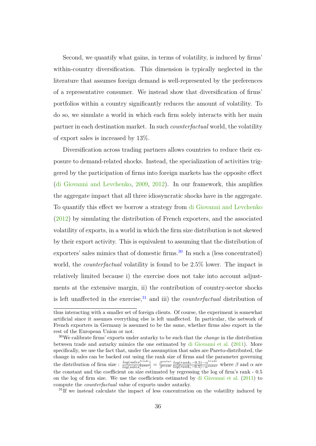Second, we quantify what gains, in terms of volatility, is induced by firms' within-country diversification. This dimension is typically neglected in the literature that assumes foreign demand is well-represented by the preferences of a representative consumer. We instead show that diversification of firms' portfolios within a country significantly reduces the amount of volatility. To do so, we simulate a world in which each firm solely interacts with her main partner in each destination market. In such *counterfactual* world, the volatility of export sales is increased by 13%.

Diversification across trading partners allows countries to reduce their exposure to demand-related shocks. Instead, the specialization of activities triggered by the participation of firms into foreign markets has the opposite effect [\(di Giovanni and Levchenko,](#page-40-0) [2009,](#page-40-0) [2012\)](#page-41-0). In our framework, this amplifies the aggregate impact that all three idiosyncratic shocks have in the aggregate. To quantify this effect we borrow a strategy from [di Giovanni and Levchenko](#page-41-0)  $(2012)$  by simulating the distribution of French exporters, and the associated volatility of exports, in a world in which the firm size distribution is not skewed by their export activity. This is equivalent to assuming that the distribution of exporters' sales mimics that of domestic firms. $30$  In such a (less concentrated) world, the *counterfactual* volatility is found to be 2.5% lower. The impact is relatively limited because i) the exercise does not take into account adjustments at the extensive margin, ii) the contribution of country-sector shocks is left unaffected in the exercise,  $31$  and iii) the *counterfactual* distribution of

<sup>31</sup>If we instead calculate the impact of less concentration on the volatility induced by

thus interacting with a smaller set of foreign clients. Of course, the experiment is somewhat artificial since it assumes everything else is left unaffected. In particular, the network of French exporters in Germany is assumed to be the same, whether firms also export in the rest of the European Union or not.

<sup>30</sup>We calibrate firms' exports under autarky to be such that the *change* in the distribution between trade and autarky mimics the one estimated by [di Giovanni et al.](#page-41-1) [\(2011\)](#page-41-1). More specifically, we use the fact that, under the assumption that sales are Pareto-distributed, the change in sales can be backed out using the rank size of firms and the parameter governing the distribution of firm size :  $\frac{log(sales_i^{trade})}{log(sales_i^{autar})} = \frac{\beta^{autar}}{\beta^{trade}}$ *βtrade log*(*ranki*−0*.*5)−*α trade log*(*ranki*−0*.*5)−*αautar* where *β* and *α* are the constant and the coefficient on size estimated by regressing the log of firm's rank - 0.5 on the log of firm size. We use the coefficients estimated by [di Giovanni et al.](#page-41-1) [\(2011\)](#page-41-1) to compute the *counterfactual* value of exports under autarky.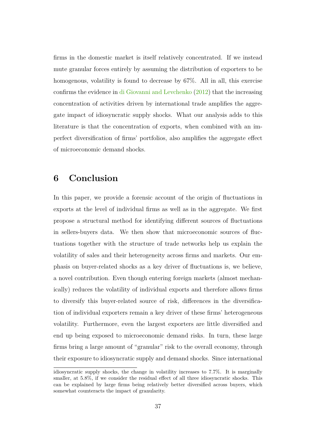firms in the domestic market is itself relatively concentrated. If we instead mute granular forces entirely by assuming the distribution of exporters to be homogenous, volatility is found to decrease by 67%. All in all, this exercise confirms the evidence in [di Giovanni and Levchenko](#page-41-0) [\(2012\)](#page-41-0) that the increasing concentration of activities driven by international trade amplifies the aggregate impact of idiosyncratic supply shocks. What our analysis adds to this literature is that the concentration of exports, when combined with an imperfect diversification of firms' portfolios, also amplifies the aggregate effect of microeconomic demand shocks.

## **6 Conclusion**

In this paper, we provide a forensic account of the origin of fluctuations in exports at the level of individual firms as well as in the aggregate. We first propose a structural method for identifying different sources of fluctuations in sellers-buyers data. We then show that microeconomic sources of fluctuations together with the structure of trade networks help us explain the volatility of sales and their heterogeneity across firms and markets. Our emphasis on buyer-related shocks as a key driver of fluctuations is, we believe, a novel contribution. Even though entering foreign markets (almost mechanically) reduces the volatility of individual exports and therefore allows firms to diversify this buyer-related source of risk, differences in the diversification of individual exporters remain a key driver of these firms' heterogeneous volatility. Furthermore, even the largest exporters are little diversified and end up being exposed to microeconomic demand risks. In turn, these large firms bring a large amount of "granular" risk to the overall economy, through their exposure to idiosyncratic supply and demand shocks. Since international

idiosyncratic supply shocks, the change in volatility increases to 7.7%. It is marginally smaller, at 5.8%, if we consider the residual effect of all three idiosyncratic shocks. This can be explained by large firms being relatively better diversified across buyers, which somewhat counteracts the impact of granularity.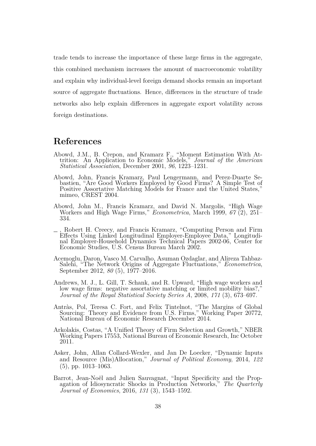trade tends to increase the importance of these large firms in the aggregate, this combined mechanism increases the amount of macroeconomic volatility and explain why individual-level foreign demand shocks remain an important source of aggregate fluctuations. Hence, differences in the structure of trade networks also help explain differences in aggregate export volatility across foreign destinations.

## **References**

- <span id="page-39-4"></span>Abowd, J.M., B. Crepon, and Kramarz F., "Moment Estimation With Attrition: An Application to Economic Models," *Journal of the American Statistical Association*, December 2001, *96*, 1223–1231.
- <span id="page-39-2"></span>Abowd, John, Francis Kramarz, Paul Lengermann, and Perez-Duarte Sebastien, "Are Good Workers Employed by Good Firms? A Simple Test of Positive Assortative Matching Models for France and the United States," mimeo, CREST 2004.
- <span id="page-39-1"></span>Abowd, John M., Francis Kramarz, and David N. Margolis, "High Wage Workers and High Wage Firms," *Econometrica*, March 1999, *67* (2), 251– 334.
- <span id="page-39-0"></span>, Robert H. Creecy, and Francis Kramarz, "Computing Person and Firm Effects Using Linked Longitudinal Employer-Employee Data," Longitudinal Employer-Household Dynamics Technical Papers 2002-06, Center for Economic Studies, U.S. Census Bureau March 2002.
- Acemoglu, Daron, Vasco M. Carvalho, Asuman Ozdaglar, and Alireza Tahbaz-Salehi, "The Network Origins of Aggregate Fluctuations," *Econometrica*, September 2012, *80* (5), 1977–2016.
- <span id="page-39-3"></span>Andrews, M. J., L. Gill, T. Schank, and R. Upward, "High wage workers and low wage firms: negative assortative matching or limited mobility bias?, *Journal of the Royal Statistical Society Series A*, 2008, *171* (3), 673–697.
- Antràs, Pol, Teresa C. Fort, and Felix Tintelnot, "The Margins of Global Sourcing: Theory and Evidence from U.S. Firms," Working Paper 20772, National Bureau of Economic Research December 2014.
- Arkolakis, Costas, "A Unified Theory of Firm Selection and Growth," NBER Working Papers 17553, National Bureau of Economic Research, Inc October 2011.
- Asker, John, Allan Collard-Wexler, and Jan De Loecker, "Dynamic Inputs and Resource (Mis)Allocation," *Journal of Political Economy*, 2014, *122* (5), pp. 1013–1063.
- Barrot, Jean-Noël and Julien Sauvagnat, "Input Specificity and the Propagation of Idiosyncratic Shocks in Production Networks," *The Quarterly Journal of Economics*, 2016, *131* (3), 1543–1592.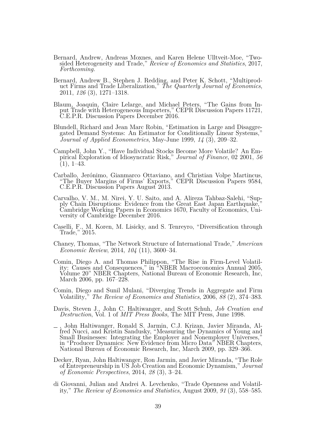- Bernard, Andrew, Andreas Moxnes, and Karen Helene Ulltveit-Moe, "Twosided Heterogeneity and Trade," *Review of Economics and Statistics*, 2017, *Forthcoming.*
- Bernard, Andrew B., Stephen J. Redding, and Peter K. Schott, "Multiproduct Firms and Trade Liberalization," *The Quarterly Journal of Economics*, 2011, *126* (3), 1271–1318.
- Blaum, Joaquin, Claire Lelarge, and Michael Peters, "The Gains from Input Trade with Heterogeneous Importers," CEPR Discussion Papers 11721, C.E.P.R. Discussion Papers December 2016.
- Blundell, Richard and Jean Marc Robin, "Estimation in Large and Disaggregated Demand Systems: An Estimator for Conditionally Linear Systems," *Journal of Applied Econometrics*, May-June 1999, *14* (3), 209–32.
- Campbell, John Y., "Have Individual Stocks Become More Volatile? An Empirical Exploration of Idiosyncratic Risk," *Journal of Finance*, 02 2001, *56*  $(1), 1-43.$
- <span id="page-40-1"></span>Carballo, Jerónimo, Gianmarco Ottaviano, and Christian Volpe Martincus, "The Buyer Margins of Firms' Exports," CEPR Discussion Papers 9584, C.E.P.R. Discussion Papers August 2013.
- Carvalho, V. M., M. Nirei, Y. U. Saito, and A. Alireza Tahbaz-Salehi, "Supply Chain Disruptions: Evidence from the Great East Japan Earthquake, Cambridge Working Papers in Economics 1670, Faculty of Economics, University of Cambridge December 2016.
- Caselli, F., M. Koren, M. Lisicky, and S. Tenreyro, "Diversification through Trade," 2015.
- <span id="page-40-2"></span>Chaney, Thomas, "The Network Structure of International Trade," *American Economic Review*, 2014, *104* (11), 3600–34.
- Comin, Diego A. and Thomas Philippon, "The Rise in Firm-Level Volatility: Causes and Consequences," in "NBER Macroeconomics Annual 2005, Volume 20" NBER Chapters, National Bureau of Economic Research, Inc, March 2006, pp. 167–228.
- Comin, Diego and Sunil Mulani, "Diverging Trends in Aggregate and Firm Volatility," *The Review of Economics and Statistics*, 2006, *88* (2), 374–383.
- <span id="page-40-3"></span>Davis, Steven J., John C. Haltiwanger, and Scott Schuh, *Job Creation and Destruction*, Vol. 1 of *MIT Press Books*, The MIT Press, June 1998.
- , John Haltiwanger, Ronald S. Jarmin, C.J. Krizan, Javier Miranda, Alfred Nucci, and Kristin Sandusky, "Measuring the Dynamics of Young and Small Businesses: Integrating the Employer and Nonemployer Universes," in "Producer Dynamics: New Evidence from Micro Data" NBER Chapters, National Bureau of Economic Research, Inc, March 2009, pp. 329–366.
- Decker, Ryan, John Haltiwanger, Ron Jarmin, and Javier Miranda, "The Role of Entrepreneurship in US Job Creation and Economic Dynamism," *Journal of Economic Perspectives*, 2014, *28* (3), 3–24.
- <span id="page-40-0"></span>di Giovanni, Julian and Andrei A. Levchenko, "Trade Openness and Volatility," *The Review of Economics and Statistics*, August 2009, *91* (3), 558–585.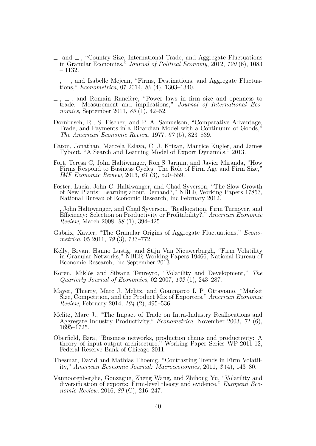- <span id="page-41-0"></span>and  $\equiv$ , "Country Size, International Trade, and Aggregate Fluctuations in Granular Economies," *Journal of Political Economy*, 2012, *120* (6), 1083 – 1132.
- <span id="page-41-3"></span> $\ldots$ ,  $\ldots$ , and Isabelle Mejean, "Firms, Destinations, and Aggregate Fluctuations," *Econometrica*, 07 2014, *82* (4), 1303–1340.
- <span id="page-41-1"></span> $, -$ , and Romain Rancière, "Power laws in firm size and openness to trade: Measurement and implications," *Journal of International Economics*, September 2011, *85* (1), 42–52.
- Dornbusch, R., S. Fischer, and P. A. Samuelson, "Comparative Advantage, Trade, and Payments in a Ricardian Model with a Continuum of Goods, *The American Economic Review*, 1977, *67* (5), 823–839.
- Eaton, Jonathan, Marcela Eslava, C. J. Krizan, Maurice Kugler, and James Tybout, "A Search and Learning Model of Export Dynamics," 2013.
- Fort, Teresa C, John Haltiwanger, Ron S Jarmin, and Javier Miranda, "How Firms Respond to Business Cycles: The Role of Firm Age and Firm Size," *IMF Economic Review*, 2013, *61* (3), 520–559.
- Foster, Lucia, John C. Haltiwanger, and Chad Syverson, "The Slow Growth of New Plants: Learning about Demand?," NBER Working Papers 17853, National Bureau of Economic Research, Inc February 2012.
- , John Haltiwanger, and Chad Syverson, "Reallocation, Firm Turnover, and Efficiency: Selection on Productivity or Profitability?," *American Economic Review*, March 2008, *98* (1), 394–425.
- <span id="page-41-2"></span>Gabaix, Xavier, "The Granular Origins of Aggregate Fluctuations," *Econometrica*, 05 2011, *79* (3), 733–772.
- Kelly, Bryan, Hanno Lustig, and Stijn Van Nieuwerburgh, "Firm Volatility in Granular Networks," NBER Working Papers 19466, National Bureau of Economic Research, Inc September 2013.
- Koren, Miklós and Silvana Tenreyro, "Volatility and Development," *The Quarterly Journal of Economics*, 02 2007, *122* (1), 243–287.
- Mayer, Thierry, Marc J. Melitz, and Gianmarco I. P. Ottaviano, "Market Size, Competition, and the Product Mix of Exporters," *American Economic Review*, February 2014, *104* (2), 495–536.
- <span id="page-41-4"></span>Melitz, Marc J., "The Impact of Trade on Intra-Industry Reallocations and Aggregate Industry Productivity," *Econometrica*, November 2003, *71* (6), 1695–1725.
- <span id="page-41-5"></span>Oberfield, Ezra, "Business networks, production chains and productivity: A theory of input-output architecture," Working Paper Series WP-2011-12, Federal Reserve Bank of Chicago 2011.
- Thesmar, David and Mathias Thoenig, "Contrasting Trends in Firm Volatility," *American Economic Journal: Macroeconomics*, 2011, *3* (4), 143–80.
- Vannoorenberghe, Gonzague, Zheng Wang, and Zhihong Yu, "Volatility and diversification of exports: Firm-level theory and evidence," *European Economic Review*, 2016, *89* (C), 216–247.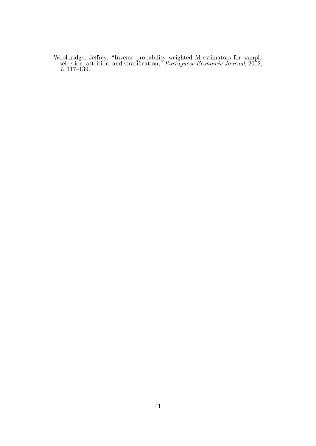<span id="page-42-0"></span>Wooldridge, Jeffrey, "Inverse probability weighted M-estimators for sample selection, attrition, and stratification," *Portuguese Economic Journal*, 2002, *1*, 117–139.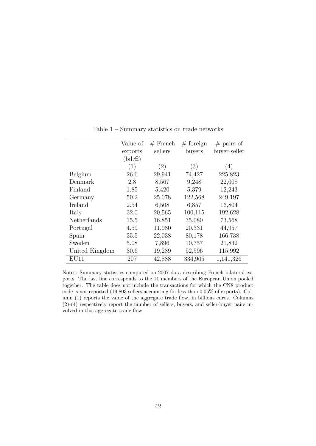|                | Value of         | $#$ French | $#$ foreign | $#$ pairs of |
|----------------|------------------|------------|-------------|--------------|
|                | exports          | sellers    | buyers      | buyer-seller |
|                | $(bil.\epsilon)$ |            |             |              |
|                | (1)              | (2)        | (3)         | (4)          |
| Belgium        | 26.6             | 29,941     | 74,427      | 225,823      |
| Denmark        | 2.8              | 8,567      | 9,248       | 22,008       |
| Finland        | 1.85             | 5,420      | 5,379       | 12,243       |
| Germany        | 50.2             | 25,078     | 122,568     | 249,197      |
| Ireland        | 2.54             | 6,508      | 6,857       | 16,804       |
| Italy          | 32.0             | 20,565     | 100,115     | 192,628      |
| Netherlands    | 15.5             | 16,851     | 35,080      | 73,568       |
| Portugal       | 4.59             | 11,980     | 20,331      | 44,957       |
| Spain          | 35.5             | 22,038     | 80,178      | 166,738      |
| Sweden         | 5.08             | 7,896      | 10,757      | 21,832       |
| United Kingdom | 30.6             | 19,289     | 52,596      | 115,992      |
| EU11           | 207              | 42,888     | 334,905     | 1,141,326    |

Table 1 – Summary statistics on trade networks

Notes: Summary statistics computed on 2007 data describing French bilateral exports. The last line corresponds to the 11 members of the European Union pooled together. The table does not include the transactions for which the CN8 product code is not reported (19,803 sellers accounting for less than 0.05% of exports). Column (1) reports the value of the aggregate trade flow, in billions euros. Columns (2)-(4) respectively report the number of sellers, buyers, and seller-buyer pairs involved in this aggregate trade flow.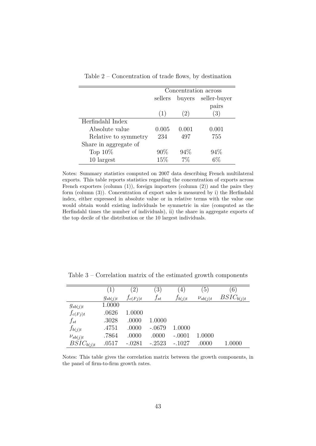|                       |         |                        | Concentration across |
|-----------------------|---------|------------------------|----------------------|
|                       | sellers | buyers                 | seller-buyer         |
|                       |         |                        | pairs                |
|                       | (1)     | $\left 2\right\rangle$ | (3)                  |
| Herfindahl Index      |         |                        |                      |
| Absolute value        | 0.005   | 0.001                  | 0.001                |
| Relative to symmetry  | 234     | 497                    | 755                  |
| Share in aggregate of |         |                        |                      |
| Top $10\%$            | 90%     | 94%                    | 94\%                 |
| 10 largest            | 15%     | 7%                     |                      |

Table 2 – Concentration of trade flows, by destination

Notes: Summary statistics computed on 2007 data describing French multilateral exports. This table reports statistics regarding the concentration of exports across French exporters (column (1)), foreign importers (column (2)) and the pairs they form (column (3)). Concentration of export sales is measured by i) the Herfindahl index, either expressed in absolute value or in relative terms with the value one would obtain would existing individuals be symmetric in size (computed as the Herfindahl times the number of individuals), ii) the share in aggregate exports of the top decile of the distribution or the 10 largest individuals.

|                | $\left(1\right)$ | 2)           | $\left(3\right)$ | 4)          | $\left(5\right)$ | (6)            |
|----------------|------------------|--------------|------------------|-------------|------------------|----------------|
|                | $g_{sb(j)t}$     | $f_{c(Fj)t}$ | $f_{st}$         | $f_{b(j)t}$ | $\nu_{sb(j)t}$   | $BSIC_{b(j)t}$ |
| $g_{sb(j)t}$   | 1.0000           |              |                  |             |                  |                |
| $f_{c(Fj)t}$   | .0626            | 1.0000       |                  |             |                  |                |
| $f_{st}$       | .3028            | .0000        | 1.0000           |             |                  |                |
| $f_{b(j)t}$    | .4751            | .0000        | $-.0679$         | 1.0000      |                  |                |
| $\nu_{sb(j)t}$ | .7864            | .0000        | .0000            | $-.0001$    | 1.0000           |                |
| $BSIC_{b(j)t}$ | .0517            | $-.0281$     | $-.2523$         | $-.1027$    | .0000            | 1.0000         |

<span id="page-44-0"></span>Table 3 – Correlation matrix of the estimated growth components

Notes: This table gives the correlation matrix between the growth components, in the panel of firm-to-firm growth rates.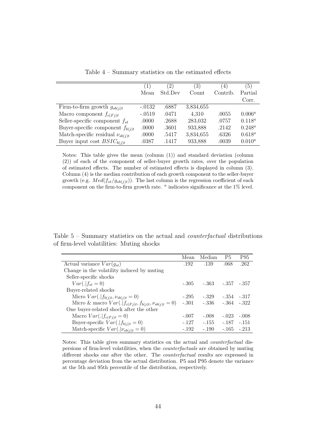<span id="page-45-0"></span>

|                                        | $\left(1\right)$ | $\left( 2\right)$ | $\left( 3\right)$ | $^{(4)}$ | $\left(5\right)$ |
|----------------------------------------|------------------|-------------------|-------------------|----------|------------------|
|                                        | Mean             | Std.Dev           | Count             | Contrib. | Partial          |
|                                        |                  |                   |                   |          | Corr.            |
| Firm-to-firm growth $g_{sb(j)t}$       | $-.0132$         | .6887             | 3,834,655         |          |                  |
| Macro component $f_{c(Fi)t}$           | $-.0519$         | .0471             | 4,310             | .0055    | $0.006^a$        |
| Seller-specific component $f_{st}$     | .0000            | .2688             | 283,032           | .0757    | $0.118^a$        |
| Buyer-specific component $f_{b(i)t}$   | .0000            | .3601             | 933,888           | .2142    | $0.248^a$        |
| Match-specific residual $\nu_{sb(j)t}$ | .0000            | .5417             | 3,834,655         | .6326    | $0.618^a$        |
| Buyer input cost $BSIC_{b(i)t}$        | .0387            | .1417             | 933,888           | .0039    | $0.010^a$        |

Table 4 – Summary statistics on the estimated effects

Notes: This table gives the mean (column (1)) and standard deviation (column (2)) of each of the component of seller-buyer growth rates, over the population of estimated effects. The number of estimated effects is displayed in column (3). Column (4) is the median contribution of each growth component to the seller-buyer growth (e.g.  $Med(f_{st}/g_{sb(j)t})$ ). The last column is the regression coefficient of each component on the firm-to-firm growth rate. *<sup>a</sup>* indicates significance at the 1% level.

<span id="page-45-1"></span>Table 5 – Summary statistics on the actual and *counterfactual* distributions of firm-level volatilities: Muting shocks

|                                                                | Mean    | Median                          | P <sub>5</sub> | P95     |
|----------------------------------------------------------------|---------|---------------------------------|----------------|---------|
| Actual variance $Var(g_{st})$                                  | .192    | .139                            | .068           | .262    |
| Change in the volatility induced by muting                     |         |                                 |                |         |
| Seller-specific shocks                                         |         |                                 |                |         |
| $Var(. f_{st}=0)$                                              |         | $-.305$ $-.363$ $-.357$ $-.357$ |                |         |
| Buyer-related shocks                                           |         |                                 |                |         |
| Micro $Var(. f_{b(j)t}, \nu_{sb(j)t} = 0)$                     | $-.295$ | $-.329$                         | $-.354-.317$   |         |
| Micro & macro $Var(. f_{c(Fj)t}, f_{b(j)t}, \nu_{sb(j)t} = 0)$ |         | $-.301$ $-.336$ $-.364$ $-.322$ |                |         |
| One buyer-related shock after the other                        |         |                                 |                |         |
| Macro $Var(. f_{c(F_i)t}=0)$                                   | $-.007$ | $-.008$                         | $-.023$        | $-.008$ |
| Buyer-specific $Var(. f_{b(j)t} = 0)$                          | $-.127$ | $-.155$                         | $-.187$        | $-.151$ |
| Match-specific $Var(. \nu_{sb(i)t} = 0)$                       | $-.192$ | $-.190$                         | $-.165$        | $-213$  |

Notes: This table gives summary statistics on the actual and *counterfactual* dispersions of firm-level volatilities, when the *counterfactuals* are obtained by muting different shocks one after the other. The *counterfactual* results are expressed in percentage deviation from the actual distribution. P5 and P95 denote the variance at the 5th and 95th percentile of the distribution, respectively.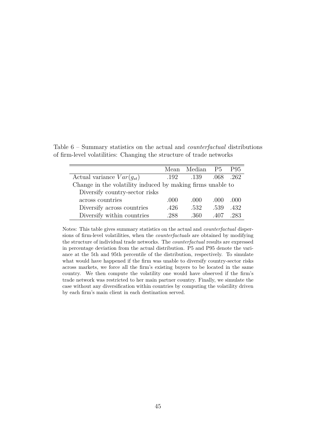Mean Median P5 P95 Actual variance *V ar*(*gst*) .192 .139 .068 .262 Change in the volatility induced by making firms unable to Diversify country-sector risks across countries .000 .000 .000 .000 Diversify across countries .426 .532 .539 .432 Diversify within countries .288 .360 .407 .283

Table 6 – Summary statistics on the actual and *counterfactual* distributions of firm-level volatilities: Changing the structure of trade networks

Notes: This table gives summary statistics on the actual and *counterfactual* dispersions of firm-level volatilities, when the *counterfactuals* are obtained by modifying the structure of individual trade networks. The *counterfactual* results are expressed in percentage deviation from the actual distribution. P5 and P95 denote the variance at the 5th and 95th percentile of the distribution, respectively. To simulate what would have happened if the firm was unable to diversify country-sector risks across markets, we force all the firm's existing buyers to be located in the same country. We then compute the volatility one would have observed if the firm's trade network was restricted to her main partner country. Finally, we simulate the case without any diversification within countries by computing the volatility driven by each firm's main client in each destination served.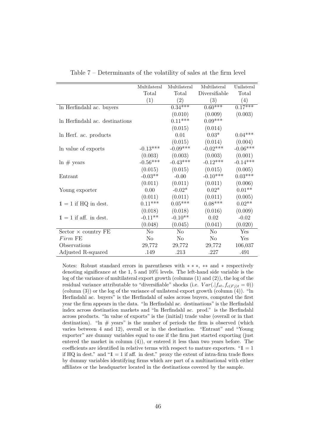|                                | Multilateral   | Multilateral   | Multilateral  | Unilateral |
|--------------------------------|----------------|----------------|---------------|------------|
|                                | Total          | Total          | Diversifiable | Total      |
|                                | (1)            | (2)            | (3)           | (4)        |
|                                |                | $0.34***$      | $0.60***$     | $0.17***$  |
| In Herfindahl ac. buyers       |                |                |               |            |
|                                |                | (0.010)        | (0.009)       | (0.003)    |
| In Herfindahl ac. destinations |                | $0.11***$      | $0.09***$     |            |
|                                |                | (0.015)        | (0.014)       |            |
| In Herf. ac. products          |                | 0.01           | $0.03*$       | $0.04***$  |
|                                |                | (0.015)        | (0.014)       | (0.004)    |
| In value of exports            | $-0.13***$     | $-0.09***$     | $-0.02***$    | $-0.06***$ |
|                                | (0.003)        | (0.003)        | (0.003)       | (0.001)    |
| $\ln \#$ years                 | $-0.56***$     | $-0.43***$     | $-0.12***$    | $-0.14***$ |
|                                | (0.015)        | (0.015)        | (0.015)       | (0.005)    |
| Entrant                        | $-0.03**$      | $-0.00$        | $-0.10***$    | $0.03***$  |
|                                | (0.011)        | (0.011)        | (0.011)       | (0.006)    |
| Young exporter                 | 0.00           | $-0.02*$       | $0.02*$       | $0.01**$   |
|                                | (0.011)        | (0.011)        | (0.011)       | (0.005)    |
| $1 = 1$ if HQ in dest.         | $0.11***$      | $0.05***$      | $0.08***$     | $0.02**$   |
|                                | (0.018)        | (0.018)        | (0.016)       | (0.009)    |
| $1 = 1$ if aff. in dest.       | $-0.11**$      | $-0.10**$      | 0.02          | $-0.02$    |
|                                | (0.048)        | (0.045)        | (0.041)       | (0.020)    |
| $Sector \times country$ FE     | N <sub>o</sub> | N <sub>o</sub> | No            | Yes        |
| $Firm$ FE                      | N <sub>o</sub> | $\rm No$       | No            | Yes        |
| Observations                   | 29,772         | 29,772         | 29,772        | 106,037    |
| Adjusted R-squared             | .149           | .213           | .227          | .491       |

Table 7 – Determinants of the volatility of sales at the firm level

Notes: Robust standard errors in parentheses with ∗ ∗ ∗, ∗∗ and ∗ respectively denoting significance at the 1, 5 and 10% levels. The left-hand side variable is the log of the variance of multilateral export growth (columns (1) and (2)), the log of the residual variance attributable to "diversifiable" shocks (i.e.  $Var(.|f_{st}, f_{c(Fj)t} = 0)$ ) (column  $(3)$ ) or the log of the variance of unilateral export growth (column  $(4)$ ). "ln Herfindahl ac. buyers" is the Herfindahl of sales across buyers, computed the first year the firm appears in the data. "ln Herfindahl ac. destinations" is the Herfindahl index across destination markets and "ln Herfindahl ac. prod." is the Herfindahl across products. "ln value of exports" is the (initial) trade value (overall or in that destination). "In  $\#$  years" is the number of periods the firm is observed (which varies between 4 and 12), overall or in the destination. "Entrant" and "Young exporter" are dummy variables equal to one if the firm just started exporting (just entered the market in column (4)), or entered it less than two years before. The coefficients are identified in relative terms with respect to mature exporters. " $1 = 1$ if HQ in dest." and " $1 = 1$  if aff. in dest." proxy the extent of intra-firm trade flows by dummy variables identifying firms which are part of a multinational with either affiliates or the headquarter located in the destinations covered by the sample.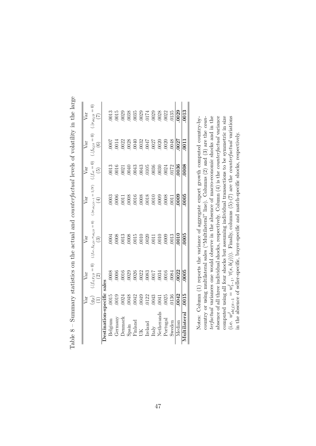<span id="page-48-0"></span>

|              | Var                                                        | Var                                                                                                            | Var                                                                                                                                                                                                                                                                                                           | Var                                                                                                    | Var                                                                                            | Var                                                                                                                                                                                                                                                                                                           | Var                                                                                                                                                                                                                                                                                                           |
|--------------|------------------------------------------------------------|----------------------------------------------------------------------------------------------------------------|---------------------------------------------------------------------------------------------------------------------------------------------------------------------------------------------------------------------------------------------------------------------------------------------------------------|--------------------------------------------------------------------------------------------------------|------------------------------------------------------------------------------------------------|---------------------------------------------------------------------------------------------------------------------------------------------------------------------------------------------------------------------------------------------------------------------------------------------------------------|---------------------------------------------------------------------------------------------------------------------------------------------------------------------------------------------------------------------------------------------------------------------------------------------------------------|
|              | $g_{jt}$<br>$\bigoplus$                                    | $\cdot  f_{c(Fj)t} = 0 $<br>$\odot$                                                                            | $\cdot  f_{st}, f_{b(j)t}, \nu_{sb(j)t} = 0)$<br>ଚ                                                                                                                                                                                                                                                            | $\left( . w_{sb(j)t-1}=1/N\right)$<br>E                                                                | $( f_{st} = 0) $<br>$\widetilde{5}$                                                            | $(. f_{b(j)t} = 0)$<br>$\odot$                                                                                                                                                                                                                                                                                | $ v_{sb(j)t} = 0\rangle$<br>Ą                                                                                                                                                                                                                                                                                 |
| Jestinati    | 1-specific                                                 | sales                                                                                                          |                                                                                                                                                                                                                                                                                                               |                                                                                                        |                                                                                                |                                                                                                                                                                                                                                                                                                               |                                                                                                                                                                                                                                                                                                               |
| Belgium      | 0015                                                       | $0008$                                                                                                         | 0004                                                                                                                                                                                                                                                                                                          |                                                                                                        |                                                                                                |                                                                                                                                                                                                                                                                                                               | $0013\,$                                                                                                                                                                                                                                                                                                      |
| Germany      | 0019                                                       |                                                                                                                |                                                                                                                                                                                                                                                                                                               |                                                                                                        |                                                                                                |                                                                                                                                                                                                                                                                                                               |                                                                                                                                                                                                                                                                                                               |
| Denmark      |                                                            |                                                                                                                |                                                                                                                                                                                                                                                                                                               |                                                                                                        |                                                                                                |                                                                                                                                                                                                                                                                                                               |                                                                                                                                                                                                                                                                                                               |
| Spain        | 0024<br>0048                                               |                                                                                                                |                                                                                                                                                                                                                                                                                                               |                                                                                                        |                                                                                                |                                                                                                                                                                                                                                                                                                               |                                                                                                                                                                                                                                                                                                               |
| Finland      | $\begin{array}{c} 042 \\ 0049 \\ 0123 \\ 0343 \end{array}$ |                                                                                                                |                                                                                                                                                                                                                                                                                                               |                                                                                                        |                                                                                                |                                                                                                                                                                                                                                                                                                               |                                                                                                                                                                                                                                                                                                               |
| Ж            |                                                            |                                                                                                                |                                                                                                                                                                                                                                                                                                               |                                                                                                        |                                                                                                |                                                                                                                                                                                                                                                                                                               |                                                                                                                                                                                                                                                                                                               |
| Ireland      |                                                            |                                                                                                                |                                                                                                                                                                                                                                                                                                               |                                                                                                        |                                                                                                |                                                                                                                                                                                                                                                                                                               |                                                                                                                                                                                                                                                                                                               |
| taly         |                                                            | $\begin{array}{c} 0.0066 \\ -0.016 \\ -0.029 \\ -0.028 \\ -0.022 \\ -0.033 \\ -0.033 \\ -0.034 \\ \end{array}$ | $\begin{array}{r} 0008 \\ 0013 \\ 0008 \\ 0011 \\ 0010 \\ 0000 \\ 0011 \\ 0011 \\ 0011 \\ 0011 \\ 0010 \\ 0011 \\ 0010 \\ 0011 \\ 0010 \\ 0011 \\ 0010 \\ 0011 \\ 0010 \\ 0011 \\ 0010 \\ 0011 \\ 0010 \\ 0011 \\ 0010 \\ 0011 \\ 0010 \\ 0011 \\ 0010 \\ 0011 \\ 0010 \\ 0010 \\ 0010 \\ 0010 \\ 0010 \\ 00$ | $\begin{array}{r} 0003 \\ 0006 \\ 0011 \\ 0008 \\ 0006 \\ 0008 \\ 0008 \\ 0000 \\ 0000 \\ \end{array}$ | $\begin{array}{r} 0013 \\ 0016 \\ 0021 \\ 0043 \\ 0043 \\ 0043 \\ 0036 \\ 0036 \\ \end{array}$ | $\begin{array}{l} 0007 \\ 0014 \\ 0022 \\ 0038 \\ 0040 \\ 0032 \\ 0047 \\ 0032 \\ 0047 \\ 0027 \\ 0030 \\ 0030 \\ 0030 \\ 0030 \\ 0030 \\ 0030 \\ 0030 \\ 0030 \\ 0030 \\ 0030 \\ 0030 \\ 0030 \\ 0030 \\ 0030 \\ 0030 \\ 0030 \\ 0030 \\ 0030 \\ 0030 \\ 0030 \\ 0030 \\ 0030 \\ 0030 \\ 0030 \\ 0030 \\ 00$ |                                                                                                                                                                                                                                                                                                               |
| Netherand    | 0041                                                       |                                                                                                                |                                                                                                                                                                                                                                                                                                               |                                                                                                        |                                                                                                |                                                                                                                                                                                                                                                                                                               |                                                                                                                                                                                                                                                                                                               |
| Portugal     | 0025                                                       | .0016                                                                                                          | 0009                                                                                                                                                                                                                                                                                                          | 0008                                                                                                   | 0024                                                                                           | .0020                                                                                                                                                                                                                                                                                                         | $\begin{array}{l} 015 \\ 0023 \\ 0038 \\ 0035 \\ 0003 \\ 0017 \\ 0023 \\ 0038 \\ 0038 \\ 0038 \\ 0039 \\ 0039 \\ 0039 \\ 0039 \\ 0039 \\ 0039 \\ 0039 \\ 0039 \\ 0039 \\ 0039 \\ 0039 \\ 0039 \\ 0039 \\ 0039 \\ 0039 \\ 0039 \\ 0039 \\ 0039 \\ 0039 \\ 0039 \\ 0039 \\ 0039 \\ 0039 \\ 0039 \\ 0039 \\ 003$ |
| Sweden       | 0136                                                       | 0084                                                                                                           | 0013                                                                                                                                                                                                                                                                                                          | 0011                                                                                                   | 0172                                                                                           | .0048                                                                                                                                                                                                                                                                                                         |                                                                                                                                                                                                                                                                                                               |
| Median       | 0042                                                       | 0022                                                                                                           | 0010                                                                                                                                                                                                                                                                                                          | 0009                                                                                                   | 0036                                                                                           | 0027                                                                                                                                                                                                                                                                                                          | .0029                                                                                                                                                                                                                                                                                                         |
| Viultilatera | .0015                                                      | 0005                                                                                                           | 0005                                                                                                                                                                                                                                                                                                          | .0005                                                                                                  | 0008                                                                                           | 0011                                                                                                                                                                                                                                                                                                          | 0013                                                                                                                                                                                                                                                                                                          |

Table  $8 -$  Summary statistics on the actual and *counterfactual* levels of volatility in the large Table 8 – Summary statistics on the actual and *counterfactual* levels of volatility in the large

 $\alpha$  connected using all four shocks but assuming individual transactions to be symmetric in size (i.e.  $w_{sb(j)t-1}^2 = w_{t-1}^2$ ,  $\forall (s,b(j))$ ). Finally, columns (5)-(7) are the *counterfactual* variations country or using multilateral sales ("Multilateral" line). Columns (2) and (3) are the counabsence of all three individual shocks, respectively. Column  $(4)$  is the *counterfactual* variance Notes: Column (1) reports the variance of aggregate export growth computed country-byterfactual variances one would observe in the absence of macro-economic shocks and in the Notes: Column (1) reports the variance of aggregate export growth computed country-bycountry or using multilateral sales ("Multilateral" line). Columns (2) and (3) are the *counterfactual* variances one would observe in the absence of macro-economic shocks and in the absence of all three individual shocks, respectively. Column (4) is the *counterfactual* variance computed using all four shocks but assuming individual transactions to be symmetric in size  $(i.e.$   $w_{\mathit{sb}(j)t-1}^j = w_{t-1}^j, \forall (s, b(j))$ . Finally, columns (5)-(7) are the *counterfactual* variations in the absence of seller-specific, buyer-specific and match-specific shocks, respectively. in the absence of seller-specific, buyer-specific and match-specific shocks, respectively.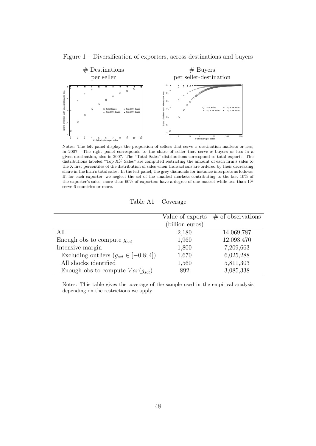

Figure 1 – Diversification of exporters, across destinations and buyers

Notes: The left panel displays the proportion of sellers that serve *x* destination markets or less, in 2007. The right panel corresponds to the share of seller that serve *x* buyers or less in a given destination, also in 2007. The "Total Sales" distributions correspond to total exports. The distributions labeled "Top X% Sales" are computed restricting the amount of each firm's sales to the X first percentiles of the distribution of sales when transactions are ordered by their decreasing share in the firm's total sales. In the left panel, the grey diamonds for instance interprets as follows: If, for each exporter, we neglect the set of the smallest markets contributing to the last 10% of the exporter's sales, more than 60% of exporters have a degree of one market while less than 1% serve 6 countries or more.

Table A1 – Coverage

| Value of exports | $\#$ of observations |
|------------------|----------------------|
| (billion euros)  |                      |
| 2,180            | 14,069,787           |
| 1,960            | 12,093,470           |
| 1,800            | 7,209,663            |
| 1,670            | 6,025,288            |
| 1,560            | 5,811,303            |
| 892              | 3,085,338            |
|                  |                      |

Notes: This table gives the coverage of the sample used in the empirical analysis depending on the restrictions we apply.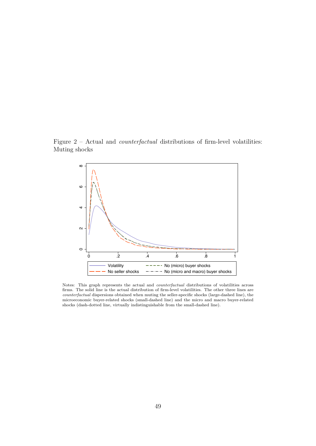Figure 2 – Actual and *counterfactual* distributions of firm-level volatilities: Muting shocks



Notes: This graph represents the actual and *counterfactual* distributions of volatilities across firms. The solid line is the actual distribution of firm-level volatilities. The other three lines are *counterfactual* dispersions obtained when muting the seller-specific shocks (large-dashed line), the microeconomic buyer-related shocks (small-dashed line) and the micro and macro buyer-related shocks (dash-dotted line, virtually indistinguishable from the small-dashed line).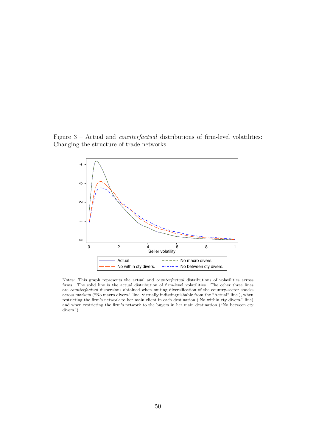Figure 3 – Actual and *counterfactual* distributions of firm-level volatilities: Changing the structure of trade networks



Notes: This graph represents the actual and *counterfactual* distributions of volatilities across firms. The solid line is the actual distribution of firm-level volatilities. The other three lines are *counterfactual* dispersions obtained when muting diversification of the country-sector shocks across markets ("No macro divers." line, virtually indistinguishable from the "Actual" line ), when restricting the firm's network to her main client in each destination ('No within cty divers." line) and when restricting the firm's network to the buyers in her main destination ("No between cty divers.").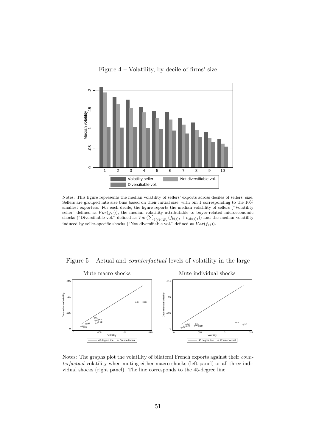

Figure 4 – Volatility, by decile of firms' size

Notes: This figure represents the median volatility of sellers' exports across deciles of sellers' size. Sellers are grouped into size bins based on their initial size, with bin 1 corresponding to the 10% smallest exporters. For each decile, the figure reports the median volatility of sellers ("Volatility seller" defined as  $Var(g_{st})$ , the median volatility attributable to buyer-related microeconomic shocks ("Diversifiable vol." defined as  $Var(\sum_{b(j) \in B_s} (f_{b(j)t} + \nu_{sb(j)t}))$  and the median volatility induced by seller-specific shocks ("Not diversifiable vol." defined as *V ar*(*fst*)).

Figure 5 – Actual and *counterfactual* levels of volatility in the large



Notes: The graphs plot the volatility of bilateral French exports against their *counterfactual* volatility when muting either macro shocks (left panel) or all three individual shocks (right panel). The line corresponds to the 45-degree line.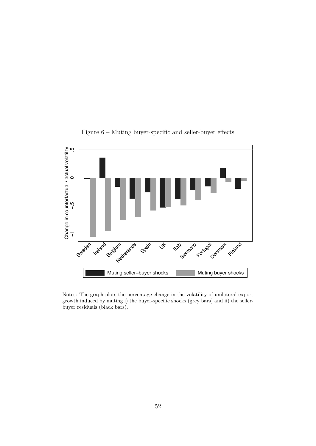

Figure 6 – Muting buyer-specific and seller-buyer effects

Notes: The graph plots the percentage change in the volatility of unilateral export growth induced by muting i) the buyer-specific shocks (grey bars) and ii) the sellerbuyer residuals (black bars).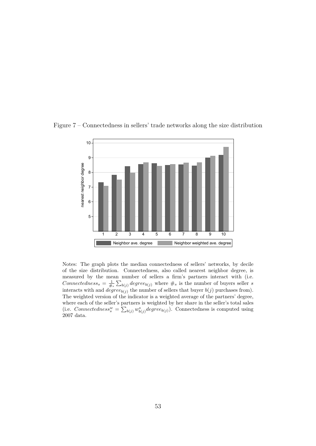

Figure 7 – Connectedness in sellers' trade networks along the size distribution

Notes: The graph plots the median connectedness of sellers' networks, by decile of the size distribution. Connectedness, also called nearest neighbor degree, is measured by the mean number of sellers a firm's partners interact with (i.e. *Connectedness<sub>s</sub>* =  $\frac{1}{\#_s} \sum_{b(j)} degree_{b(j)}$  where  $\#_s$  is the number of buyers seller *s* interacts with and  $degree_{b(j)}$  the number of sellers that buyer  $b(j)$  purchases from). The weighted version of the indicator is a weighted average of the partners' degree, where each of the seller's partners is weighted by her share in the seller's total sales (i.e. *Connectedness*<sup>*w*</sup> =  $\sum_{b(j)} w_{b(j)}^s degree_{b(j)}$ ). Connectedness is computed using 2007 data.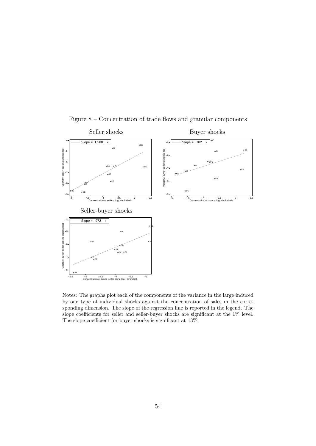<span id="page-55-0"></span>

Figure 8 – Concentration of trade flows and granular components

Notes: The graphs plot each of the components of the variance in the large induced by one type of individual shocks against the concentration of sales in the corresponding dimension. The slope of the regression line is reported in the legend. The slope coefficients for seller and seller-buyer shocks are significant at the 1% level. The slope coefficient for buyer shocks is significant at 13%.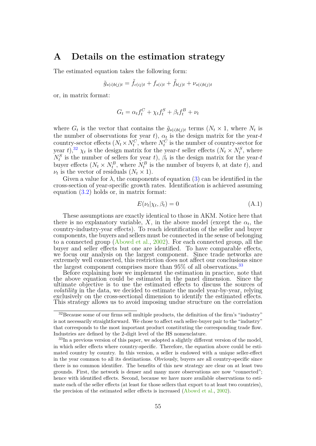## **A Details on the estimation strategy**

The estimated equation takes the following form:

$$
\tilde{g}_{s(i)b(j)t} = \tilde{f}_{c(ij)t} + f_{s(i)t} + \tilde{f}_{b(j)t} + \nu_{s(i)b(j)t}
$$

or, in matrix format:

$$
G_t = \alpha_t f_t^C + \chi_t f_t^S + \beta_t f_t^B + \nu_t
$$

where  $G_t$  is the vector that contains the  $\tilde{g}_{s(i)b(j)t}$  terms  $(N_t \times 1$ , where  $N_t$  is the number of observations for year  $t$ ),  $\alpha_t$  is the design matrix for the year- $t$ country-sector effects  $(N_t \times N_t^C)$ , where  $N_t^C$  is the number of country-sector for  $\int \frac{1}{2} \int \chi_t$  is the design matrix for the year-*t* seller effects  $(N_t \times N_t^S)$ , where  $N_t^S$  is the number of sellers for year *t*),  $\beta_t$  is the design matrix for the year-*t* buyer effects  $(N_t \times N_t^B)$ , where  $N_t^B$  is the number of buyers *b*, at date *t*), and  $\nu_t$  is the vector of residuals  $(N_t \times 1)$ .

Given a value for  $\lambda$ , the components of equation [\(3\)](#page-20-0) can be identified in the cross-section of year-specific growth rates. Identification is achieved assuming equation  $(3.2)$  holds or, in matrix format:

$$
E(\nu_t|\chi_t, \beta_t) = 0 \tag{A.1}
$$

<span id="page-56-0"></span>These assumptions are exactly identical to those in AKM. Notice here that there is no explanatory variable,  $X$ , in the above model (except the  $\alpha_t$ , the country-industry-year effects). To reach identification of the seller and buyer components, the buyers and sellers must be connected in the sense of belonging to a connected group [\(Abowd et al.,](#page-39-0) [2002\)](#page-39-0). For each connected group, all the buyer and seller effects but one are identified. To have comparable effects, we focus our analysis on the largest component. Since trade networks are extremely well connected, this restriction does not affect our conclusions since the largest component comprises more than  $95\%$  of all observations.<sup>[33](#page-0-0)</sup>

Before explaining how we implement the estimation in practice, note that the above equation could be estimated in the panel dimension. Since the ultimate objective is to use the estimated effects to discuss the sources of *volatility* in the data, we decided to estimate the model year-by-year, relying exclusively on the cross-sectional dimension to identify the estimated effects. This strategy allows us to avoid imposing undue structure on the correlation

<sup>32</sup>Because some of our firms sell multiple products, the definition of the firm's "industry" is not necessarily straightforward. We chose to affect each seller-buyer pair to the "industry" that corresponds to the most important product constituting the corresponding trade flow. Industries are defined by the 2-digit level of the HS nomenclature.

 $33$ In a previous version of this paper, we adopted a slightly different version of the model, in which seller effects where country-specific. Therefore, the equation above could be estimated country by country. In this version, a seller is endowed with a unique seller-effect in the year common to all its destinations. Obviously, buyers are all country-specific since there is no common identifier. The benefits of this new strategy are clear on at least two grounds. First, the network is denser and many more observations are now "connected"; hence with identified effects. Second, because we have more available observations to estimate each of the seller effects (at least for those sellers that export to at least two countries), the precision of the estimated seller effects is increased [\(Abowd et al.,](#page-39-0) [2002\)](#page-39-0).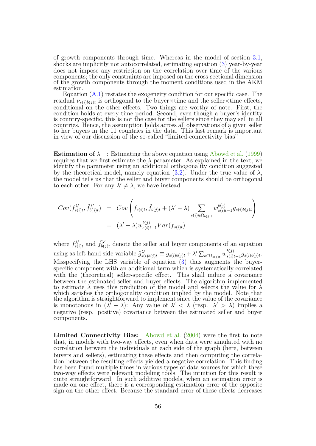of growth components through time. Whereas in the model of section [3.1,](#page-15-0) shocks are implicitly not autocorrelated, estimating equation [\(3\)](#page-20-0) year-by-year does not impose any restriction on the correlation over time of the various components; the only constraints are imposed on the cross-sectional dimension of the growth components through the moment conditions used in the AKM estimation.

Equation  $(A.1)$  restates the exogeneity condition for our specific case. The residual  $\nu_{s(i)b(j)t}$  is orthogonal to the buyer×time and the seller×time effects, conditional on the other effects. Two things are worthy of note. First, the condition holds at every time period. Second, even though a buyer's identity is country-specific, this is not the case for the sellers since they may sell in all countries. Hence, the assumption holds across all observations of a given seller to her buyers in the 11 countries in the data. This last remark is important in view of our discussion of the so-called "limited-connectivity bias".

**Estimation of**  $\lambda$  : Estimating the above equation using [Abowd et al.](#page-39-1) [\(1999\)](#page-39-1) requires that we first estimate the  $\lambda$  parameter. As explained in the text, we identify the parameter using an additional orthogonality condition suggested by the theoretical model, namely equation  $(3.2)$ . Under the true value of  $\lambda$ , the model tells us that the seller and buyer components should be orthogonal to each other. For any  $\lambda' \neq \lambda$ , we have instead:

$$
Cov(f_{s(i)t}^{\lambda'}, \tilde{f}_{b(j)t}^{\lambda'}) = Cov\left(f_{s(i)t}, \tilde{f}_{b(j)t} + (\lambda' - \lambda) \sum_{s(i) \in \Omega_{b(j)t}} w_{s(i)t-1}^{b(j)} g_{s(i)b(j)t}\right)
$$
  
= 
$$
(\lambda' - \lambda)w_{s(i)t-1}^{b(j)} Var(f_{s(i)t})
$$

where  $f_{s0}^{\lambda}$  $\hat{f}_{b(j)t}^{\lambda'}$  and  $\tilde{f}_{b(j)t}^{\lambda'}$  denote the seller and buyer components of an equation using as left hand side variable  $\tilde{g}_{s(i)b(j)t}^{\lambda'} \equiv g_{s(i)b(j)t} + \lambda' \sum_{s \in \Omega_{b(j)t}} w_{s(i)}^{b(j)}$  $g^{(0)}_{s(i)t-1}g_{s(i)b(j)t}.$ Misspecifying the LHS variable of equation [\(3\)](#page-20-0) thus augments the buyerspecific component with an additional term which is systematically correlated with the (theoretical) seller-specific effect. This shall induce a covariance between the estimated seller and buyer effects. The algorithm implemented to estimate *λ* uses this prediction of the model and selects the value for *λ* which satisfies the orthogonality condition implied by the model. Note that the algorithm is straightforward to implement since the value of the covariance is monotonous in  $(\lambda^{\prime} - \lambda)$ : Any value of  $\lambda' < \lambda$  (resp.  $\lambda' > \lambda$ ) implies a negative (resp. positive) covariance between the estimated seller and buyer components.

**Limited Connectivity Bias:** [Abowd et al.](#page-39-2) [\(2004\)](#page-39-2) were the first to note that, in models with two-way effects, even when data were simulated with no correlation between the individuals at each side of the graph (here, between buyers and sellers), estimating these effects and then computing the correlation between the resulting effects yielded a negative correlation. This finding has been found multiple times in various types of data sources for which these two-way effects were relevant modeling tools. The intuition for this result is quite straightforward. In such additive models, when an estimation error is made on one effect, there is a corresponding estimation error of the opposite sign on the other effect. Because the standard error of these effects decreases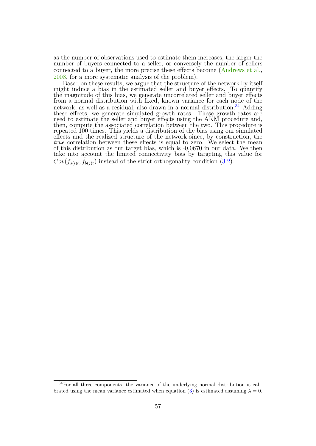as the number of observations used to estimate them increases, the larger the number of buyers connected to a seller, or conversely the number of sellers connected to a buyer, the more precise these effects become [\(Andrews et al.,](#page-39-3) [2008,](#page-39-3) for a more systematic analysis of the problem).

Based on these results, we argue that the structure of the network by itself might induce a bias in the estimated seller and buyer effects. To quantify the magnitude of this bias, we generate uncorrelated seller and buyer effects from a normal distribution with fixed, known variance for each node of the network, as well as a residual, also drawn in a normal distribution.<sup>[34](#page-0-0)</sup> Adding these effects, we generate simulated growth rates. These growth rates are used to estimate the seller and buyer effects using the AKM procedure and, then, compute the associated correlation between the two. This procedure is repeated 100 times. This yields a distribution of the bias using our simulated effects and the realized structure of the network since, by construction, the *true* correlation between these effects is equal to zero. We select the mean of this distribution as our target bias, which is -0.0670 in our data. We then take into account the limited connectivity bias by targeting this value for  $Cov(f_{s(i)t}, \tilde{f}_{b(j)t})$  instead of the strict orthogonality condition [\(3.2\)](#page-20-0).

<sup>34</sup>For all three components, the variance of the underlying normal distribution is cali-brated using the mean variance estimated when equation [\(3\)](#page-20-0) is estimated assuming  $\lambda = 0$ .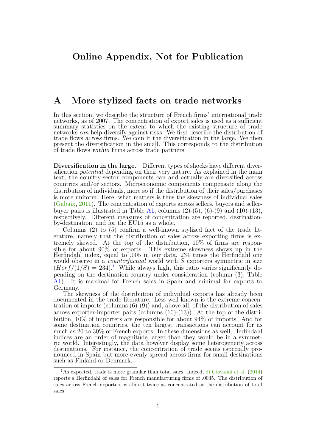## **A More stylized facts on trade networks**

In this section, we describe the structure of French firms' international trade networks, as of 2007. The concentration of export sales is used as a sufficient summary statistics on the extent to which the existing structure of trade networks *can* help diversify against risks. We first describe the distribution of trade flows across firms. We coin it the diversification in the large. We then present the diversification in the small. This corresponds to the distribution of trade flows within firms across trade partners.

**Diversification in the large.** Different types of shocks have different diversification *potential* depending on their very nature. As explained in the main text, the country-sector components can and actually are diversified across countries and/or sectors. Microeconomic components compensate along the distribution of individuals, more so if the distribution of their sales/purchases is more uniform. Here, what matters is thus the skewness of individual sales [\(Gabaix,](#page-41-2) [2011\)](#page-41-2). The concentration of exports across sellers, buyers and seller-buyer pairs is illustrated in Table [A1,](#page-70-0) columns  $(2)-(5)$ ,  $(6)-(9)$  and  $(10)-(13)$ , respectively. Different measures of concentration are reported, destinationby-destination, and for the EU15 as a whole.

Columns (2) to (5) confirm a well-known stylized fact of the trade literature, namely that the distribution of sales across exporting firms is extremely skewed. At the top of the distribution, 10% of firms are responsible for about 90% of exports. This extreme skewness shows up in the Herfindahl index, equal to .005 in our data, 234 times the Herfindahl one would observe in a *counterfactual* world with *S* exporters symmetric in size  $(Herf/(1/S) = 234).$  $(Herf/(1/S) = 234).$  $(Herf/(1/S) = 234).$ <sup>1</sup> While always high, this ratio varies significantly depending on the destination country under consideration (column (3), Table [A1\)](#page-70-0). It is maximal for French sales in Spain and minimal for exports to Germany.

The skewness of the distribution of individual exports has already been documented in the trade literature. Less well-known is the extreme concentration of imports (columns (6)-(9)) and, above all, of the distribution of sales across exporter-importer pairs (columns  $(10)-(13)$ ). At the top of the distribution, 10% of importers are responsible for about 94% of imports. And for some destination countries, the ten largest transactions can account for as much as 20 to 30% of French exports. In these dimensions as well, Herfindahl indices are an order of magnitude larger than they would be in a symmetric world. Interestingly, the data however display some heterogeneity across destinations. For instance, the concentration of trade seems especially pronounced in Spain but more evenly spread across firms for small destinations such as Finland or Denmark.

<sup>1</sup>As expected, trade is more granular than total sales. Indeed, [di Giovanni et al.](#page-41-3) [\(2014\)](#page-41-3) reports a Herfindahl of sales for French manufacturing firms of .0035. The distribution of sales across French exporters is almost twice as concentrated as the distribution of total sales.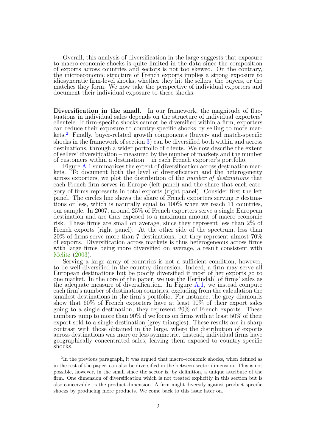Overall, this analysis of diversification in the large suggests that exposure to macro-economic shocks is quite limited in the data since the composition of exports across countries and sectors is not too skewed. On the contrary, the microeconomic structure of French exports implies a strong exposure to idiosyncratic firm-level shocks, whether they hit the sellers, the buyers, or the matches they form. We now take the perspective of individual exporters and document their individual exposure to these shocks.

**Diversification in the small.** In our framework, the magnitude of fluctuations in individual sales depends on the structure of individual exporters' clientele. If firm-specific shocks cannot be diversified within a firm, exporters can reduce their exposure to country-specific shocks by selling to more mar-kets.<sup>[2](#page-0-0)</sup> Finally, buyer-related growth components (buyer- and match-specific shocks in the framework of section [3\)](#page-15-1) can be diversified both within and across destinations, through a wider portfolio of clients. We now describe the extent of sellers' diversification – measured by the number of markets and the number of customers within a destination – in each French exporter's portfolio.

Figure [A.1](#page-71-0) summarizes the extent of diversification across destination markets. To document both the level of diversification and the heterogeneity across exporters, we plot the distribution of the *number of destinations* that each French firm serves in Europe (left panel) and the share that each category of firms represents in total exports (right panel). Consider first the left panel. The circles line shows the share of French exporters serving *x* destinations or less, which is naturally equal to 100% when we reach 11 countries, our sample. In 2007, around 25% of French exporters serve a single European destination and are thus exposed to a maximum amount of macro-economic risk. These firms are small on average, since they represent less than 2% of French exports (right panel). At the other side of the spectrum, less than 20% of firms serve more than 7 destinations, but they represent almost 70% of exports. Diversification across markets is thus heterogeneous across firms with large firms being more diversified on average, a result consistent with [Melitz](#page-41-4) [\(2003\)](#page-41-4).

Serving a large array of countries is not a sufficient condition, however, to be well-diversified in the country dimension. Indeed, a firm may serve all European destinations but be poorly diversified if most of her exports go to one market. In the core of the paper, we use the Herfindahl of firms' sales as the adequate measure of diversification. In Figure [A.1,](#page-71-0) we instead compute each firm's number of destination countries, excluding from the calculation the smallest destinations in the firm's portfolio. For instance, the grey diamonds show that 60% of French exporters have at least 90% of their export sales going to a single destination, they represent 20% of French exports. These numbers jump to more than 90% if we focus on firms with at least 50% of their export sold to a single destination (grey triangles). These results are in sharp contrast with those obtained in the large, where the distribution of exports across destinations was more or less symmetric. Instead, individual firms have geographically concentrated sales, leaving them exposed to country-specific shocks.

<sup>&</sup>lt;sup>2</sup>In the previous paragraph, it was argued that macro-economic shocks, when defined as in the rest of the paper, can also be diversified in the between-sector dimension. This is not possible, however, in the small since the sector is, by definition, a unique attribute of the firm. One dimension of diversification which is not treated explicitly in this section but is also conceivable, is the product-dimension. A firm might diversify against product-specific shocks by producing more products. We come back to this issue later on.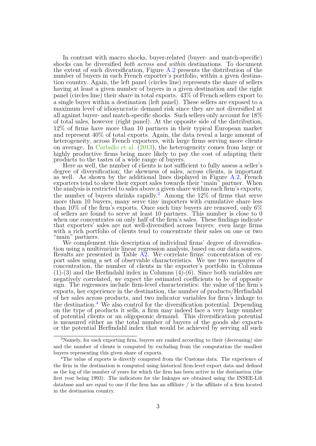In contrast with macro shocks, buyer-related (buyer- and match-specific) shocks can be diversified *both across and within* destinations. To document the extent of such diversification, Figure [A.2](#page-72-0) presents the distribution of the number of buyers in each French exporter's portfolio, within a given destination country. Again, the left panel (circles line) represents the share of sellers having at least a given number of buyers in a given destination and the right panel (circles line) their share in total exports. 43% of French sellers export to a single buyer within a destination (left panel). These sellers are exposed to a maximum level of idiosyncratic demand risk since they are not diversified at all against buyer- and match-specific shocks. Such sellers only account for 18% of total sales, however (right panel). At the opposite side of the distribution, 12% of firms have more than 10 partners in their typical European market and represent 40% of total exports. Again, the data reveal a large amount of heterogeneity, across French exporters, with large firms serving more clients on average. In [Carballo et al.](#page-40-1) [\(2013\)](#page-40-1), the heterogeneity comes from large or highly productive firms being more likely to pay the cost of adapting their products to the tastes of a wide range of buyers.

Here as well, the number of clients is not sufficient to fully assess a seller's degree of diversification; the skewness of sales, across clients, is important as well. As shown by the additional lines displayed in Figure [A.2,](#page-72-0) French exporters tend to skew their export sales towards their "main" partner. When the analysis is restricted to sales above a given share within each firm's exports, the number of buyers shrinks rapidly.<sup>[3](#page-0-0)</sup> Among the  $12\%$  of firms that serve more than 10 buyers, many serve tiny importers with cumulative share less than 10% of the firm's exports. Once such tiny buyers are removed, only 6% of sellers are found to serve at least 10 partners. This number is close to 0 when one concentrates on only half of the firm's sales. These findings indicate that exporters' sales are not well-diversified across buyers: even large firms with a rich portfolio of clients tend to concentrate their sales on one or two "main" partners.

We complement this description of individual firms' degree of diversification using a multivariate linear regression analysis, based on our data sources. Results are presented in Table  $\overrightarrow{A2}$ . We correlate firms' concentration of export sales using a set of observable characteristics. We use two measures of concentration, the number of clients in the exporter's portfolio in Columns (1)-(3) and the Herfindahl index in Columns (4)-(6). Since both variables are negatively correlated, we expect the estimated coefficients to be of opposite sign. The regressors include firm-level characteristics: the value of the firm's exports, her experience in the destination, the number of products/Herfindahl of her sales across products, and two indicator variables for firm's linkage to the destination.<sup>[4](#page-0-0)</sup> We also control for the diversification potential. Depending on the type of products it sells, a firm may indeed face a very large number of potential clients or an oligopsonic demand. This diversification potential is measured either as the total number of buyers of the goods she exports or the potential Herfindahl index that would be achieved by serving all such

<sup>&</sup>lt;sup>3</sup>Namely, for each exporting firm, buyers are ranked according to their (decreasing) size and the number of clients is computed by excluding from the computation the smallest buyers representing this given share of exports.

<sup>&</sup>lt;sup>4</sup>The value of exports is directly computed from the Customs data. The experience of the firm in the destination is computed using historical firm-level export data and defined as the log of the number of years for which the firm has been active in the destination (the first year being 1993). The indicators for the linkages are obtained using the INSEE-Lifi database and are equal to one if the firm has an affiliate / is the affiliate of a firm located in the destination country.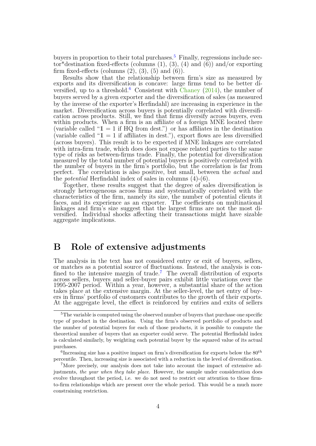buyers in proportion to their total purchases.<sup>[5](#page-0-0)</sup> Finally, regressions include sector\*destination fixed-effects (columns  $(1)$ ,  $(3)$ ,  $(4)$  and  $(6)$ ) and/or exporting firm fixed-effects (columns  $(2)$ ,  $(3)$ ,  $(5)$  and  $(6)$ ).

Results show that the relationship between firm's size as measured by exports and its diversification is concave: large firms tend to be better di-versified, up to a threshold.<sup>[6](#page-0-0)</sup> Consistent with [Chaney](#page-40-2)  $(2014)$ , the number of buyers served by a given exporter and the diversification of sales (as measured by the inverse of the exporter's Herfindahl) are increasing in experience in the market. Diversification across buyers is potentially correlated with diversification across products. Still, we find that firms diversify across buyers, even within products. When a firm is an affiliate of a foreign MNE located there (variable called " $1 = 1$  if HQ from dest.") or has affiliates in the destination (variable called " $1 = 1$  if affiliates in dest."), export flows are less diversified (across buyers). This result is to be expected if MNE linkages are correlated with intra-firm trade, which does does not expose related parties to the same type of risks as between-firms trade. Finally, the potential for diversification measured by the total number of potential buyers is positively correlated with the number of buyers in the firm's portfolio, but the correlation is far from perfect. The correlation is also positive, but small, between the *actual* and the *potential* Herfindahl index of sales in columns (4)-(6).

Together, these results suggest that the degree of sales diversification is strongly heterogeneous across firms and systematically correlated with the characteristics of the firm, namely its size, the number of potential clients it faces, and its experience as an exporter. The coefficients on multinational linkages and firm's size suggest that the largest firms are not the most diversified. Individual shocks affecting their transactions might have sizable aggregate implications.

## <span id="page-62-0"></span>**B Role of extensive adjustments**

The analysis in the text has not considered entry or exit of buyers, sellers, or matches as a potential source of fluctuations. Instead, the analysis is con-fined to the intensive margin of trade.<sup>[7](#page-0-0)</sup> The overall distribution of exports across sellers, buyers and seller-buyer pairs exhibit little variations over the 1995-2007 period. Within a year, however, a substantial share of the action takes place at the extensive margin. At the seller-level, the net entry of buyers in firms' portfolio of customers contributes to the growth of their exports. At the aggregate level, the effect is reinforced by entries and exits of sellers

<sup>&</sup>lt;sup>5</sup>The variable is computed using the observed number of buyers that purchase one specific type of product in the destination. Using the firm's observed portfolio of products and the number of potential buyers for each of those products, it is possible to compute the theoretical number of buyers that an exporter could serve. The potential Herfindahl index is calculated similarly, by weighting each potential buyer by the squared value of its actual purchases.

<sup>&</sup>lt;sup>6</sup>Increasing size has a positive impact on firm's diversification for exports below the  $80^{th}$ percentile. Then, increasing size is associated with a reduction in the level of diversification.

<sup>7</sup>More precisely, our analysis does not take into account the impact of extensive adjustments, *the year when they take place*. However, the sample under consideration does evolve throughout the period, i.e. we do not need to restrict our attention to those firmto-firm relationships which are present over the whole period. This would be a much more constraining restriction.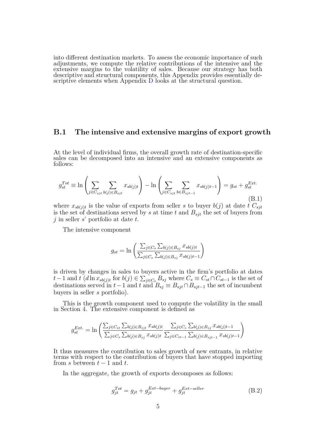into different destination markets. To assess the economic importance of such adjustments, we compute the relative contributions of the intensive and the extensive margins to the volatility of sales. Because our strategy has both descriptive and structural components, this Appendix provides essentially descriptive elements when Appendix [D](#page-68-0) looks at the structural question.

#### **B.1 The intensive and extensive margins of export growth**

At the level of individual firms, the overall growth rate of destination-specific sales can be decomposed into an intensive and an extensive components as follows:

<span id="page-63-0"></span>
$$
g_{st}^{Tot} \equiv \ln \left( \sum_{j \in C_{sjt}} \sum_{b(j) \in B_{sjt}} x_{sb(j)t} \right) - \ln \left( \sum_{j \in C_{sjt}} \sum_{b \in B_{sjt-1}} x_{sb(j)t-1} \right) = g_{st} + g_{st}^{Ext.}
$$
\n(B.1)

where  $x_{sb(j)t}$  is the value of exports from seller *s* to buyer  $b(j)$  at date *t*  $C_{sjt}$ is the set of destinations served by *s* at time *t* and *Bsjt* the set of buyers from *j* in seller *s*' portfolio at date *t*.

The intensive component

$$
g_{st} = \ln \left( \frac{\sum_{j \in C_s} \sum_{b(j) \in B_{sj}} x_{sb(j)t}}{\sum_{j \in C_s} \sum_{b(j) \in B_{sj}} x_{sb(j)t-1}} \right)
$$

is driven by changes in sales to buyers active in the firm's portfolio at dates *t* − 1 and *t* (*d* ln  $x_{sb(j)t}$  for  $b(j) \in \sum_{j \in C_s} B_{sj}$  where  $C_s \equiv C_{st} \cap C_{st-1}$  is the set of destinations served in  $t-1$  and  $t$  and  $B_{sj} \equiv B_{sjt} \cap B_{sjt-1}$  the set of incumbent buyers in seller *s* portfolio).

This is the growth component used to compute the volatility in the small in Section [4.](#page-24-0) The extensive component is defined as

$$
g_{st}^{Ext.} = \ln \left( \frac{\sum_{j \in C_{st}} \sum_{b(j) \in B_{sjt}} x_{sb(j)t}}{\sum_{j \in C_s} \sum_{b(j) \in B_{sj}} x_{sb(j)t}} \frac{\sum_{j \in C_s} \sum_{b(j) \in B_{sj}} x_{sb(j)t-1}}{\sum_{j \in C_{st-1}} \sum_{b(j) \in B_{sjt-1}} x_{sb(j)t-1}} \right)
$$

It thus measures the contribution to sales growth of new entrants, in relative terms with respect to the contribution of buyers that have stopped importing from  $s$  between  $t-1$  and  $t$ .

In the aggregate, the growth of exports decomposes as follows:

<span id="page-63-1"></span>
$$
g_{jt}^{Tot} = g_{jt} + g_{jt}^{Ext-buyer} + g_{jt}^{Ext-seller}
$$
\n(B.2)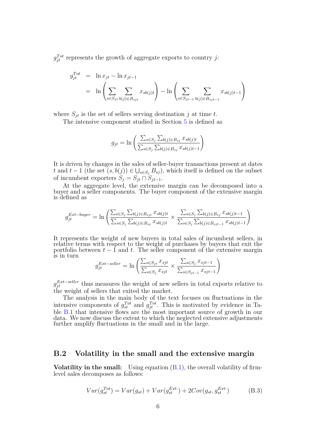$g_{jt}^{Tot}$  represents the growth of aggregate exports to country *j*:

$$
g_{jt}^{Tot} = \ln x_{jt} - \ln x_{jt-1}
$$
  
=  $\ln \left( \sum_{s \in S_{jt}} \sum_{b(j) \in B_{sjt}} x_{sb(j)t} \right) - \ln \left( \sum_{s \in S_{jt-1}} \sum_{b(j) \in B_{sjt-1}} x_{sb(j)t-1} \right)$ 

where  $S_{jt}$  is the set of sellers serving destination *j* at time *t*.

The intensive component studied in Section [5](#page-31-0) is defined as

$$
g_{jt} = \ln \left( \frac{\sum_{s \in S_j} \sum_{b(j) \in B_{sj}} x_{sb(j)t}}{\sum_{s \in S_j} \sum_{b(j) \in B_{sj}} x_{sb(j)t-1}} \right)
$$

It is driven by changes in the sales of seller-buyer transactions present at dates *t* and *t* − 1 (the set  $(s, b(j)) \in \bigcup_{s \in S_j} B_{sj}$ ), which itself is defined on the subset of incumbent exporters  $S_j = S_{jt} \cap S_{jt-1}$ .

At the aggregate level, the extensive margin can be decomposed into a buyer and a seller components. The buyer component of the extensive margin is defined as

$$
g_{jt}^{Ext-buyer} = \ln \left( \frac{\sum_{s \in S_j} \sum_{b(j) \in B_{sjt}} x_{sb(j)t}}{\sum_{s \in S_j} \sum_{b(j) \in B_{sj}} x_{sb(j)t}} \times \frac{\sum_{s \in S_j} \sum_{b(j) \in B_{sj}} x_{sb(j)t-1}}{\sum_{s \in S_j} \sum_{b(j) \in B_{sjt-1}} x_{sb(j)t-1}} \right)
$$

It represents the weight of new buyers in total sales of incumbent sellers, in relative terms with respect to the weight of purchases by buyers that exit the portfolio between  $t - 1$  and  $t$ . The seller component of the extensive margin is in turn

$$
g_{jt}^{Ext-seller} = \ln \left( \frac{\sum_{s \in S_{jt}} x_{sjt}}{\sum_{s \in S_{j}} x_{sjt}} \times \frac{\sum_{s \in S_{j}} x_{sjt-1}}{\sum_{s \in S_{jt-1}} x_{sjt-1}} \right)
$$

 $g_{jt}^{Ext-seller}$  thus measures the weight of new sellers in total exports relative to the weight of sellers that exited the market.

The analysis in the main body of the text focuses on fluctuations in the intensive components of  $g_{st}^{Tot}$  and  $g_{jt}^{Tot}$ . This is motivated by evidence in Table [B.1](#page-72-1) that intensive flows are the most important source of growth in our data. We now discuss the extent to which the neglected extensive adjustments further amplify fluctuations in the small and in the large.

#### **B.2 Volatility in the small and the extensive margin**

**Volatility in the small:** Using equation  $(B.1)$ , the overall volatility of firmlevel sales decomposes as follows:

$$
Var(g_{st}^{Tot}) = Var(g_{st}) + Var(g_{st}^{Ext.}) + 2Cov(g_{st}, g_{st}^{Ext.})
$$
\n(B.3)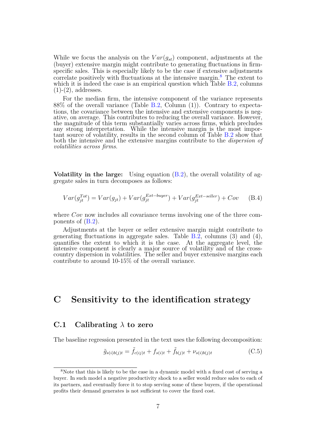While we focus the analysis on the  $Var(g_{st})$  component, adjustments at the (buyer) extensive margin might contribute to generating fluctuations in firmspecific sales. This is especially likely to be the case if extensive adjustments correlate positively with fluctuations at the intensive margin. $\delta$  The extent to which it is indeed the case is an empirical question which Table  $B.2$ , columns  $(1)-(2)$ , addresses.

For the median firm, the intensive component of the variance represents 88% of the overall variance (Table [B.2,](#page-73-0) Column (1)). Contrary to expectations, the covariance between the intensive and extensive components is negative, on average. This contributes to reducing the overall variance. However, the magnitude of this term substantially varies across firms, which precludes any strong interpretation. While the intensive margin is the most important source of volatility, results in the second column of Table  $B.2$  show that both the intensive and the extensive margins contribute to the *dispersion of volatilities across firms*.

**Volatility in the large:** Using equation [\(B.2\)](#page-63-1), the overall volatility of aggregate sales in turn decomposes as follows:

$$
Var(g_{jt}^{Tot}) = Var(g_{jt}) + Var(g_{jt}^{Ext-buyer}) + Var(g_{jt}^{Ext-seller}) + Cov
$$
 (B.4)

where *Cov* now includes all covariance terms involving one of the three components of [\(B.2\)](#page-63-1).

Adjustments at the buyer or seller extensive margin might contribute to generating fluctuations in aggregate sales. Table [B.2,](#page-73-0) columns  $(3)$  and  $(4)$ , quantifies the extent to which it is the case. At the aggregate level, the intensive component is clearly a major source of volatility and of the crosscountry dispersion in volatilities. The seller and buyer extensive margins each contribute to around 10-15% of the overall variance.

## **C Sensitivity to the identification strategy**

### **C.1 Calibrating** *λ* **to zero**

The baseline regression presented in the text uses the following decomposition:

$$
\tilde{g}_{s(i)b(j)t} = \tilde{f}_{c(ij)t} + f_{s(i)t} + \tilde{f}_{b(j)t} + \nu_{s(i)b(j)t}
$$
\n(C.5)

<sup>&</sup>lt;sup>8</sup>Note that this is likely to be the case in a dynamic model with a fixed cost of serving a buyer. In such model a negative productivity shock to a seller would reduce sales to each of its partners, and eventually force it to stop serving some of these buyers, if the operational profits their demand generates is not sufficient to cover the fixed cost.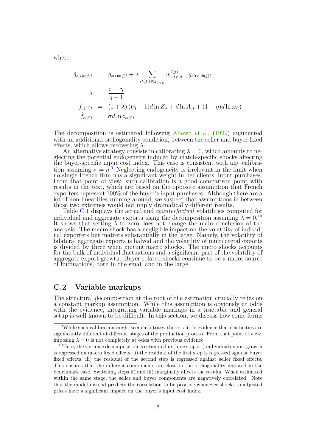where:

$$
\tilde{g}_{s(i)b(j)t} = g_{s(i)b(j)t} + \lambda \sum_{s'(F) \in \Omega_{b(j)t}} w_{s'(F)t-1}^{b(j)} g_{s'(F)b(j)t}
$$
\n
$$
\lambda = \frac{\sigma - \eta}{\eta - 1}
$$
\n
$$
\tilde{f}_{c(ij)t} = (1 + \lambda) ((\eta - 1)d \ln Z_{it} + d \ln A_{jt} + (1 - \eta)d \ln \omega_{it})
$$
\n
$$
\tilde{f}_{b(j)t} = \sigma d \ln z_{b(j)t}
$$

The decomposition is estimated following [Abowd et al.](#page-39-1) [\(1999\)](#page-39-1) augmented with an additional orthogonality condition, between the seller and buyer fixed effects, which allows recovering  $\lambda$ .

An alternative strategy consists in calibrating  $\lambda = 0$ , which amounts to neglecting the potential endogeneity induced by match-specific shocks affecting the buyer-specific input cost index. This case is consistent with any calibration assuming  $\sigma = \eta$ <sup>[9](#page-0-0)</sup>. Neglecting endogeneity is irrelevant in the limit when no single French firm has a significant weight in her clients' input purchases. From that point of view, such calibration is a good comparison point with results in the text, which are based on the opposite assumption that French exporters represent 100% of the buyer's input purchases. Although there are a lot of non-linearities running around, we suspect that assumptions in between those two extremes would not imply dramatically different results.

Table [C.1](#page-73-1) displays the actual and *counterfactual* volatilities computed for individual and aggregate exports using the decomposition assuming  $\lambda = 0$ .<sup>[10](#page-0-0)</sup> It shows that setting  $\lambda$  to zero does not change the main conclusion of the analysis. The macro shock has a negligible impact on the volatility of individual exporters but matters substantially in the large. Namely, the volatility of bilateral aggregate exports is halved and the volatility of multilateral exports is divided by three when muting macro shocks. The micro shocks accounts for the bulk of individual fluctuations and a significant part of the volatility of aggregate export growth. Buyer-related shocks continue to be a major source of fluctuations, both in the small and in the large.

#### **C.2 Variable markups**

The structural decomposition at the root of the estimation crucially relies on a constant markup assumption. While this assumption is obviously at odds with the evidence, integrating variable markups in a tractable and general setup is well-known to be difficult. In this section, we discuss how some forms

 $9$ While such calibration might seem arbitrary, there is little evidence that elasticities are significantly different at different stages of the production process. From that point of view, imposing  $\lambda = 0$  is not completely at odds with previous evidence.

<sup>&</sup>lt;sup>10</sup>Here, the variance decomposition is estimated in three steps: i) individual export growth is regressed on macro fixed effects, ii) the residual of the first step is regressed against buyer fixed effects, iii) the residual of the second step is regressed against seller fixed effects. This ensures that the different components are close to the orthogonality imposed in the benchmark case. Switching steps ii) and iii) marginally affects the results. When estimated within the same stage, the seller and buyer components are negatively correlated. Note that the model instead predicts the correlation to be positive whenever shocks to adjusted prices have a significant impact on the buyer's input cost index.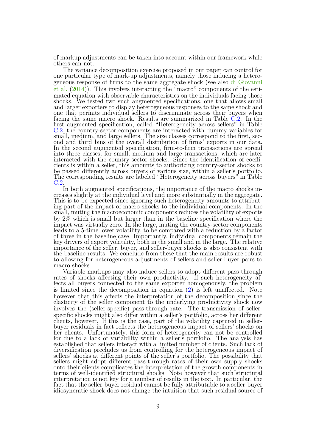of markup adjustments can be taken into account within our framework while others can not.

The variance decomposition exercise proposed in our paper can control for one particular type of mark-up adjustments, namely those inducing a heterogeneous response of firms to the same aggregate shock (see also [di Giovanni](#page-41-3) [et al.](#page-41-3) [\(2014\)](#page-41-3)). This involves interacting the "macro" components of the estimated equation with observable characteristics on the individuals facing those shocks. We tested two such augmented specifications, one that allows small and larger exporters to display heterogeneous responses to the same shock and one that permits individual sellers to discriminate across their buyers when facing the same macro shock. Results are summarized in Table [C.2.](#page-74-0) In the first augmented specification, called "Heterogeneity across sellers" in Table [C.2,](#page-74-0) the country-sector components are interacted with dummy variables for small, medium, and large sellers. The size classes correspond to the first, second and third bins of the overall distribution of firms' exports in our data. In the second augmented specification, firm-to-firm transactions are spread into three classes, for small, medium and large transactions, which are later interacted with the country-sector shocks. Since the identification of coefficients is within a seller, this amounts to authorizing country-sector shocks to be passed differently across buyers of various size, within a seller's portfolio. The corresponding results are labeled "Heterogeneity across buyers" in Table [C.2.](#page-74-0)

In both augmented specifications, the importance of the macro shocks increases slightly at the individual level and more substantially in the aggregate. This is to be expected since ignoring such heterogeneity amounts to attributing part of the impact of macro shocks to the individual components. In the small, muting the macroeconomic components reduces the volatility of exports by 2% which is small but larger than in the baseline specification where the impact was virtually zero. In the large, muting the country-sector components leads to a 5-time lower volatility, to be compared with a reduction by a factor of three in the baseline case. Importantly, individual components remain the key drivers of export volatility, both in the small and in the large. The relative importance of the seller, buyer, and seller-buyer shocks is also consistent with the baseline results. We conclude from these that the main results are robust to allowing for heterogeneous adjustments of sellers and seller-buyer pairs to macro shocks.

Variable markups may also induce sellers to adopt different pass-through rates of shocks affecting their own productivity. If such heterogeneity affects all buyers connected to the same exporter homogenously, the problem is limited since the decomposition in equation [\(2\)](#page-19-0) is left unaffected. Note however that this affects the interpretation of the decomposition since the elasticity of the seller component to the underlying productivity shock now involves the (seller-specific) pass-through rate. The transmission of sellerspecific shocks might also differ within a seller's portfolio, across her different clients, however. If this is the case, part of the volatility captured in sellerbuyer residuals in fact reflects the heterogeneous impact of sellers' shocks on her clients. Unfortunately, this form of heterogeneity can not be controlled for due to a lack of variability within a seller's portfolio. The analysis has established that sellers interact with a limited number of clients. Such lack of diversification precludes us from controlling for the heterogeneous impact of sellers' shocks at different points of the seller's portfolio. The possibility that sellers might adopt different pass-through rates of their own supply shocks onto their clients complicates the interpretation of the growth components in terms of well-identified structural shocks. Note however that such structural interpretation is not key for a number of results in the text. In particular, the fact that the seller-buyer residual cannot be fully attributable to a seller-buyer idiosyncratic shock does not change the intuition that such residual source of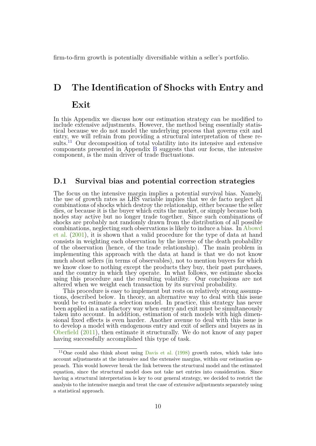firm-to-firm growth is potentially diversifiable within a seller's portfolio.

# <span id="page-68-0"></span>**D The Identification of Shocks with Entry and Exit**

In this Appendix we discuss how our estimation strategy can be modified to include extensive adjustments. However, the method being essentially statistical because we do not model the underlying process that governs exit and entry, we will refrain from providing a structural interpretation of these re-sults.<sup>[11](#page-0-0)</sup> Our decomposition of total volatility into its intensive and extensive components presented in Appendix [B](#page-62-0) suggests that our focus, the intensive component, is the main driver of trade fluctuations.

#### **D.1 Survival bias and potential correction strategies**

The focus on the intensive margin implies a potential survival bias. Namely, the use of growth rates as LHS variable implies that we de facto neglect all combinations of shocks which destroy the relationship, either because the seller dies, or because it is the buyer which exits the market, or simply because both nodes stay active but no longer trade together. Since such combinations of shocks are probably not randomly drawn from the distribution of all possible combinations, neglecting such observations is likely to induce a bias. In [Abowd](#page-39-4) [et al.](#page-39-4) [\(2001\)](#page-39-4), it is shown that a valid procedure for the type of data at hand consists in weighting each observation by the inverse of the death probability of the observation (hence, of the trade relationship). The main problem in implementing this approach with the data at hand is that we do not know much about sellers (in terms of observables), not to mention buyers for which we know close to nothing except the products they buy, their past purchases, and the country in which they operate. In what follows, we estimate shocks using this procedure and the resulting volatility. Our conclusions are not altered when we weight each transaction by its survival probability.

This procedure is easy to implement but rests on relatively strong assumptions, described below. In theory, an alternative way to deal with this issue would be to estimate a selection model. In practice, this strategy has never been applied in a satisfactory way when entry and exit must be simultaneously taken into account. In addition, estimation of such models with high dimensional fixed effects is even harder. Another avenue to deal with this issue is to develop a model with endogenous entry and exit of sellers and buyers as in [Oberfield](#page-41-5) [\(2011\)](#page-41-5), then estimate it structurally. We do not know of any paper having successfully accomplished this type of task.

<sup>&</sup>lt;sup>11</sup>One could also think about using [Davis et al.](#page-40-3)  $(1998)$  growth rates, which take into account adjustments at the intensive and the extensive margins, within our estimation approach. This would however break the link between the structural model and the estimated equation, since the structural model does not take net entries into consideration. Since having a structural interpretation is key to our general strategy, we decided to restrict the analysis to the intensive margin and treat the case of extensive adjustments separately using a statistical approach.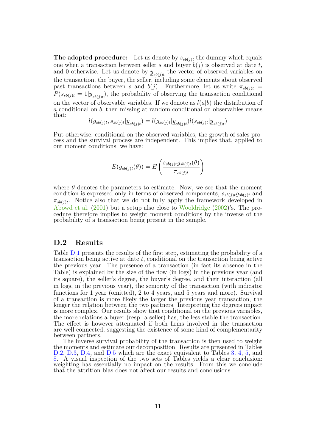**The adopted procedure:** Let us denote by  $s_{sb(j)t}$  the dummy which equals one when a transaction between seller  $s$  and buyer  $b(j)$  is observed at date  $t$ , and 0 otherwise. Let us denote by  $\underline{y}_{sb(j)t}$  the vector of observed variables on the transaction, the buyer, the seller, including some elements about observed past transactions between *s* and  $b(j)$ . Furthermore, let us write  $\pi_{sb(j)t}$  =  $P(s_{sb(j)t} = 1 | \underline{y}_{sb(j)t})$ , the probability of observing the transaction conditional on the vector of observable variables. If we denote as  $l(a|b)$  the distribution of *a* conditional on *b*, then missing at random conditional on observables means that:

$$
l(g_{sb(j)t}, s_{sb(j)t} | \underline{y}_{sb(j)t}) = l(g_{sb(j)t} | \underline{y}_{sb(j)t}) l(s_{sb(j)t} | \underline{y}_{sb(j)t})
$$

Put otherwise, conditional on the observed variables, the growth of sales process and the survival process are independent. This implies that, applied to our moment conditions, we have:

$$
E(g_{sb(j)t}(\theta)) = E\left(\frac{s_{sb(j)t}g_{sb(j)t}(\theta)}{\pi_{sb(j)t}}\right)
$$

where  $\theta$  denotes the parameters to estimate. Now, we see that the moment condition is expressed only in terms of observed components,  $s_{sb(j)t}g_{sb(j)t}$  and  $\pi_{sb(j)t}$ . Notice also that we do not fully apply the framework developed in [Abowd et al.](#page-39-4) [\(2001\)](#page-39-4) but a setup also close to [Wooldridge](#page-42-0) [\(2002\)](#page-42-0)'s. The procedure therefore implies to weight moment conditions by the inverse of the probability of a transaction being present in the sample.

#### **D.2 Results**

Table [D.1](#page-75-0) presents the results of the first step, estimating the probability of a transaction being active at date *t*, conditional on the transaction being active the previous year. The presence of a transaction (in fact its absence in the Table) is explained by the size of the flow (in logs) in the previous year (and its square), the seller's degree, the buyer's degree, and their interaction (all in logs, in the previous year), the seniority of the transaction (with indicator functions for 1 year (omitted), 2 to 4 years, and 5 years and more). Survival of a transaction is more likely the larger the previous year transaction, the longer the relation between the two partners. Interpreting the degrees impact is more complex. Our results show that conditional on the previous variables, the more relations a buyer (resp. a seller) has, the less stable the transaction. The effect is however attenuated if both firms involved in the transaction are well connected, suggesting the existence of some kind of complementarity between partners.

The inverse survival probability of the transaction is then used to weight the moments and estimate our decomposition. Results are presented in Tables [D.2,](#page-76-0) [D.3,](#page-76-1) [D.4,](#page-77-0) and [D.5](#page-78-0) which are the exact equivalent to Tables [3,](#page-44-0) [4,](#page-45-0) [5,](#page-45-1) and [8.](#page-48-0) A visual inspection of the two sets of Tables yields a clear conclusion: weighting has essentially no impact on the results. From this we conclude that the attrition bias does not affect our results and conclusions.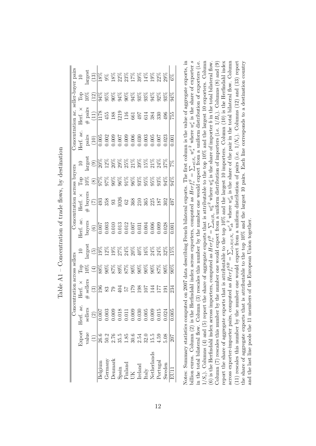|       |                  | $\text{arg}\text{es}$<br>(13) |                                                                                                                                                                                                                                                                                                                                                                                                                                                                                                                      |         |        |  |  |                                                                                                                                                                                                                            |  |                                                                                                                                                                                                                                                                                                                                                                                                                                        |                  |
|-------|------------------|-------------------------------|----------------------------------------------------------------------------------------------------------------------------------------------------------------------------------------------------------------------------------------------------------------------------------------------------------------------------------------------------------------------------------------------------------------------------------------------------------------------------------------------------------------------|---------|--------|--|--|----------------------------------------------------------------------------------------------------------------------------------------------------------------------------------------------------------------------------|--|----------------------------------------------------------------------------------------------------------------------------------------------------------------------------------------------------------------------------------------------------------------------------------------------------------------------------------------------------------------------------------------------------------------------------------------|------------------|
|       |                  |                               |                                                                                                                                                                                                                                                                                                                                                                                                                                                                                                                      |         |        |  |  |                                                                                                                                                                                                                            |  |                                                                                                                                                                                                                                                                                                                                                                                                                                        | $\sqrt{4\%}$     |
|       | $Ierf.$ $\times$ |                               | $\frac{\#}{(11)}$                                                                                                                                                                                                                                                                                                                                                                                                                                                                                                    |         |        |  |  |                                                                                                                                                                                                                            |  | $\begin{array}{ l l }\hline \mathbb{R} & \mathbb{S} & \mathbb{S} & \mathbb{S} \\ \hline \mathbb{L} & \mathbb{L} & \mathbb{S} & \mathbb{S} & \mathbb{S} & \mathbb{S} \\ \hline \mathbb{L} & \mathbb{L} & \mathbb{S} & \mathbb{S} & \mathbb{S} & \mathbb{S} & \mathbb{S} \\ \hline \mathbb{L} & \mathbb{L} & \mathbb{S} & \mathbb{S} & \mathbb{S} & \mathbb{S} & \mathbb{S} \\ \hline \mathbb{L} & \mathbb{L} & \mathbb{S} & \mathbb{S}$ |                  |
|       | lerf. ac.        |                               | pairs (10)                                                                                                                                                                                                                                                                                                                                                                                                                                                                                                           |         |        |  |  |                                                                                                                                                                                                                            |  | $\begin{array}{r} 1.005 \\ 0.002 \\ 0.003 \\ 0.005 \\ 0.006 \\ 0.007 \\ 0.008 \\ 0.003 \\ 0.005 \\ 0.007 \\ 0.003 \\ 0.003 \\ 0.003 \\ 0.003 \\ 0.003 \\ \end{array}$                                                                                                                                                                                                                                                                  | $\overline{0}$   |
|       |                  |                               | $\begin{array}{l} \mathop {\rm{gr}}\nolimits \limits_{\mathop {\rm{gr}}\nolimits} \mathop {\rm{Sp}}\nolimits \mathop {\rm{Sp}}\nolimits \mathop {\rm{Sp}}\nolimits \mathop {\rm{Sp}}\nolimits \mathop {\rm{Sp}}\nolimits \mathop {\rm{Sp}}\nolimits \mathop {\rm{Sp}}\nolimits \mathop {\rm{Sp}}\nolimits \mathop {\rm{Sp}}\nolimits \mathop {\rm{Sp}}\nolimits \mathop {\rm{Sp}}\nolimits \mathop {\rm{Sp}}\nolimits \mathop {\rm{Sp}}\nolimits \mathop {\rm{Sp}}\nolimits \mathop {\rm{Sp}}\nolimits \mathop {\rm$ |         |        |  |  |                                                                                                                                                                                                                            |  |                                                                                                                                                                                                                                                                                                                                                                                                                                        | $\frac{8}{2}$    |
|       |                  | <b>Pop</b><br>10%             |                                                                                                                                                                                                                                                                                                                                                                                                                                                                                                                      |         |        |  |  |                                                                                                                                                                                                                            |  |                                                                                                                                                                                                                                                                                                                                                                                                                                        | ЙÞ               |
|       |                  |                               | Herf. $\times$<br>$+$ buyers<br>$+$ buyers<br>$\frac{1}{2}$ $\frac{1}{3}$ $\frac{1}{3}$ $\frac{1}{3}$ $\frac{1}{3}$ $\frac{1}{6}$ $\frac{1}{3}$ $\frac{1}{6}$ $\frac{1}{3}$ $\frac{1}{6}$ $\frac{1}{3}$ $\frac{1}{6}$ $\frac{1}{3}$ $\frac{1}{4}$ $\frac{1}{9}$ $\frac{1}{4}$ $\frac{1}{9}$ $\frac{1}{4}$ $\frac{1$                                                                                                                                                                                                  |         |        |  |  |                                                                                                                                                                                                                            |  |                                                                                                                                                                                                                                                                                                                                                                                                                                        |                  |
|       | Herf. ac.        |                               | $\begin{array}{r} \text{Bayers} \\ \hline 60 \\ \hline 007 \\ 0.003 \\ 0.011 \\ 0.011 \\ 0.011 \\ 0.003 \\ 0.011 \\ 0.000 \\ 0.000 \\ 0.000 \\ 0.000 \\ 0.000 \\ 0.000 \\ 0.000 \\ \end{array}$                                                                                                                                                                                                                                                                                                                      |         |        |  |  |                                                                                                                                                                                                                            |  |                                                                                                                                                                                                                                                                                                                                                                                                                                        | $\sqrt{0.001}$   |
|       |                  | arges                         | $\widetilde{5}$                                                                                                                                                                                                                                                                                                                                                                                                                                                                                                      |         |        |  |  |                                                                                                                                                                                                                            |  |                                                                                                                                                                                                                                                                                                                                                                                                                                        | $\overline{5\%}$ |
|       |                  | Fop<br>10%                    |                                                                                                                                                                                                                                                                                                                                                                                                                                                                                                                      |         |        |  |  |                                                                                                                                                                                                                            |  |                                                                                                                                                                                                                                                                                                                                                                                                                                        | $\frac{8}{2}$    |
|       |                  |                               |                                                                                                                                                                                                                                                                                                                                                                                                                                                                                                                      |         |        |  |  | $\frac{15}{12}$ $\frac{17}{12}$ $\frac{17}{12}$ $\frac{17}{12}$ $\frac{17}{12}$ $\frac{17}{12}$ $\frac{17}{12}$                                                                                                            |  |                                                                                                                                                                                                                                                                                                                                                                                                                                        | 234              |
| Conce | Herf. ac.        | sellers                       | $\widehat{c}$                                                                                                                                                                                                                                                                                                                                                                                                                                                                                                        |         |        |  |  |                                                                                                                                                                                                                            |  |                                                                                                                                                                                                                                                                                                                                                                                                                                        |                  |
|       | <b>Export</b>    |                               | value $(1)$                                                                                                                                                                                                                                                                                                                                                                                                                                                                                                          |         |        |  |  |                                                                                                                                                                                                                            |  |                                                                                                                                                                                                                                                                                                                                                                                                                                        | 207              |
|       |                  |                               |                                                                                                                                                                                                                                                                                                                                                                                                                                                                                                                      | 3elgium | ermany |  |  | $\begin{array}{l} \text{Denmark} \\ \text{Span} \\ \text{Final} \\ \text{Final} \\ \text{UK} \\ \text{Ireland} \\ \text{Irelay} \\ \text{Netherland} \\ \text{Netherland} \\ \text{Portugal} \\ \text{Sweden} \end{array}$ |  |                                                                                                                                                                                                                                                                                                                                                                                                                                        |                  |

Table  $A1$  – Concentration of trade flows, by destination Table A1 – Concentration of trade flows, by destination

<span id="page-70-0"></span>Notes: Summary statistics computed on 2007 data describing French bilateral exports. The first column is the value of aggregate exports, in billion euros. Column (2) is the Herfindahl index across exporters, computed as  $Herf_c^S = \sum_{s \in S_c} w_s^2$  where  $w_s^c$  is the share of exporter s  $1/S<sub>c</sub>$ ). Columns (4) and (5) report the share of aggregate exports that is attributable to the top 10% and the largest 10 exporters. Column billion euros. Column (2) is the Herfindahl index across exporters, computed as  $Herf_c^S = \sum_{s \in S_c} w_s^{c^2}$  where  $w_s^c$  is the share of exporter *s* is index in the share of exporter *s* in the total bilateral flow. Column (3) rescales this number by the number one would expect from a uniform distribution of exporters (i.e. (6) is the Herfindahl index across importers, computed as  $Herf_c^B = \sum_{b \in B_c} w_b^2$  where  $w_b^c$  is the share of importer b in the total bilateral flow.<br>Column (7) rescales this number by the number one would expect from a un report the share of aggregate exports that is attributable to the top 10% and the largest 10 importers. Column (10) is the Herfindahl index across exporter-importer pairs, computed as  $Herf_c^{SB} = \sum_{(s,b)\in N_c} w_{sb}^c^2$  where  $w_{sb}^c$  is the share of the pair in the total bilateral flow. Column across exporter-importer pairs, computed as  $Herf_c^{SB} = \sum_{(s,b)\in N_c} w_{sb}^c^2$ across exporter-importer pairs, computed as  $Herf_c^{SB} = \sum_{(s,b) \in N_c} w_{sb}^c$ <sup>2</sup> where  $w_{sb}^c$  is the share of the pair in the total bilateral flow. Column exporter-importer pairs, exponent (11) rescales this number by the number one would expect from a uniform distribution of pairs (i.e.  $1/N_c$ ). Columns (12) and (13) report the share of aggregate exports that is attributable to the top  $10\%$  and the largest 10 pairs. Each line corresponds to a destination country Notes: Summary statistics computed on 2007 data describing French bilateral exports. The first column is the value of aggregate exports, in in the total bilateral flow. Column (3) rescales this number by the number one would expect from a uniform distribution of exporters (i.e. 1*/Sc*). Columns (4) and (5) report the share of aggregate exports that is attributable to the top 10% and the largest 10 exporters. Column (6) is the Herfindahl index across importers, computed as  $Herf_c^B = \sum_{b \in B_c} w_b^2$  where  $w_b^e$  is the share of importer *b* in the total bilateral flow. Column (7) rescales this number by the number one would expect from a uniform distribution of importers (i.e. 1*/Bc*). Columns (8) and (9) report the share of aggregate exports that is attributable to the top  $10\%$  and the largest 10 importers. Column (10) is the Herfindahl index (11) rescales this number by the number one would expect from a uniform distribution of pairs (i.e. 1*/Nc*). Columns (12) and (13) report the share of aggregate exports that is attributable to the top 10% and the largest 10 pairs. Each line corresponds to a destination country and the last line pools the 11 members of the European Union together. and the last line pools the 11 members of the European Union together.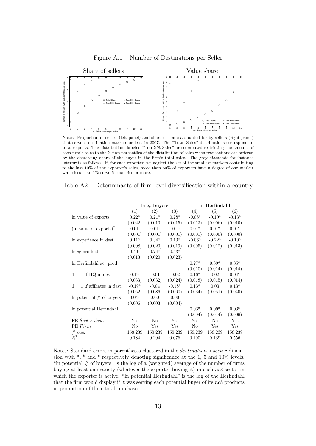Figure A.1 – Number of Destinations per Seller

<span id="page-71-0"></span>

Notes: Proportion of sellers (left panel) and share of trade accounted for by sellers (right panel) that serve *x* destination markets or less, in 2007. The "Total Sales" distributions correspond to total exports. The distributions labeled "Top X% Sales" are computed restricting the amount of each firm's sales to the X first percentiles of the distribution of sales when transactions are ordered by the decreasing share of the buyer in the firm's total sales. The grey diamonds for instance interprets as follows: If, for each exporter, we neglect the set of the smallest markets contributing to the last 10% of the exporter's sales, more than 60% of exporters have a degree of one market while less than  $1\%$  serve 6 countries or more.

|                                    |           | $\ln \#$ buyers |           | ln Herfindahl     |                   |           |  |
|------------------------------------|-----------|-----------------|-----------|-------------------|-------------------|-----------|--|
|                                    | (1)       | (2)             | (3)       | (4)               | (5)               | (6)       |  |
| In value of exports                | $0.22^a$  | $0.21^a$        | $0.28^a$  | $-0.08^a$         | $-0.10^a$         | $-0.13^a$ |  |
|                                    | (0.022)   | (0.010)         | (0.015)   | (0.013)           | (0.006)           | (0.010)   |  |
| $(\ln \text{ value of exports})^2$ | $-0.01^a$ | $-0.01^a$       | $-0.01^a$ | 0.01 <sup>a</sup> | 0.01 <sup>a</sup> | $0.01^a$  |  |
|                                    | (0.001)   | (0.001)         | (0.001)   | (0.001)           | (0.000)           | (0.000)   |  |
| In experience in dest.             | $0.11^a$  | $0.34^a$        | $0.13^a$  | $-0.06^a$         | $-0.22^a$         | $-0.10^a$ |  |
|                                    | (0.008)   | (0.020)         | (0.019)   | (0.005)           | (0.012)           | (0.013)   |  |
| $\ln \#$ products                  | $0.40^a$  | $0.74^a$        | $0.53^a$  |                   |                   |           |  |
|                                    | (0.013)   | (0.020)         | (0.023)   |                   |                   |           |  |
| ln Herfindahl ac. prod.            |           |                 |           | $0.27^a$          | $0.39^{a}$        | $0.35^a$  |  |
|                                    |           |                 |           | (0.010)           | (0.014)           | (0.014)   |  |
| $1 = 1$ if HQ in dest.             | $-0.19^a$ | $-0.01$         | $-0.02$   | $0.16^a$          | 0.02              | $0.04^a$  |  |
|                                    | (0.033)   | (0.032)         | (0.024)   | (0.018)           | (0.015)           | (0.014)   |  |
| $1 = 1$ if affiliates in dest.     | $-0.19^a$ | $-0.04$         | $-0.18^a$ | $0.13^a$          | 0.03              | $0.13^a$  |  |
|                                    | (0.052)   | (0.086)         | (0.060)   | (0.034)           | (0.051)           | (0.040)   |  |
| In potential $#$ of buyers         | $0.04^a$  | 0.00            | 0.00      |                   |                   |           |  |
|                                    | (0.006)   | (0.003)         | (0.004)   |                   |                   |           |  |
| In potential Herfindahl            |           |                 |           | $0.03^{a}$        | $0.09^a$          | $0.03^a$  |  |
|                                    |           |                 |           | (0.004)           | (0.014)           | (0.006)   |  |
| FE $Sect \times dest$ .            | Yes       | No              | Yes       | Yes               | $\rm No$          | Yes       |  |
| FE Firm                            | No        | Yes             | Yes       | No                | Yes               | Yes       |  |
| $#$ obs.                           | 158,239   | 158,239         | 158,239   | 158,239           | 158,239           | 158,239   |  |
| $\mathbb{R}^2$                     | 0.184     | 0.294           | 0.676     | 0.100             | 0.139             | 0.556     |  |

<span id="page-71-1"></span>Table A2 – Determinants of firm-level diversification within a country

Notes: Standard errors in parentheses clustered in the *destination* × *sector* dimension with  $a$ ,  $b$  and  $c$  respectively denoting significance at the 1, 5 and 10% levels. "In potential  $#$  of buyers" is the log of a (weighted) average of the number of firms buying at least one variety (whatever the exporter buying it) in each *nc*8 sector in which the exporter is active. "In potential Herfindahl" is the log of the Herfindahl that the firm would display if it was serving each potential buyer of its *nc*8 products in proportion of their total purchases.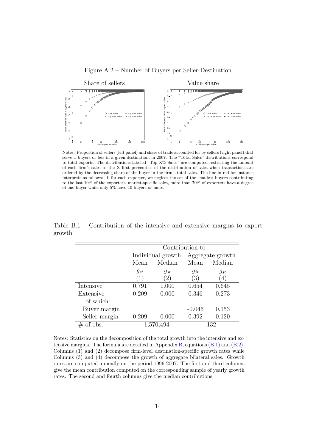

Figure A.2 – Number of Buyers per Seller-Destination

Notes: Proportion of sellers (left panel) and share of trade accounted for by sellers (right panel) that serve *x* buyers or less in a given destination, in 2007. The "Total Sales" distributions correspond to total exports. The distributions labeled "Top X% Sales" are computed restricting the amount of each firm's sales to the X first percentiles of the distribution of sales when transactions are ordered by the decreasing share of the buyer in the firm's total sales. The line in red for instance interprets as follows: If, for each exporter, we neglect the set of the smallest buyers contributing to the last 10% of the exporter's market-specific sales, more than 70% of exporters have a degree of one buyer while only 5% have 10 buyers or more.

|               | Contribution to |                   |          |                  |  |  |  |  |  |
|---------------|-----------------|-------------------|----------|------------------|--|--|--|--|--|
|               |                 | Individual growth |          | Aggregate growth |  |  |  |  |  |
|               | Mean            | Median<br>Mean    |          | Median           |  |  |  |  |  |
|               | $g_{st}$        | $g_{st}$          | $g_{jt}$ | $g_{jt}$         |  |  |  |  |  |
|               | (1)             | $\left( 2\right)$ | (3)      | (4)              |  |  |  |  |  |
| Intensive     | 0.791           | 1.000             | 0.654    | 0.645            |  |  |  |  |  |
| Extensive     | 0.209           | 0.000             | 0.346    | 0.273            |  |  |  |  |  |
| of which:     |                 |                   |          |                  |  |  |  |  |  |
| Buyer margin  |                 |                   | $-0.046$ | 0.153            |  |  |  |  |  |
| Seller margin | 0.209           | 0.000             | 0.392    | 0.120            |  |  |  |  |  |
| of obs.<br>#  |                 | 1,570,494         |          | 132              |  |  |  |  |  |

Table B.1 – Contribution of the intensive and extensive margins to export growth

Notes: Statistics on the decomposition of the total growth into the intensive and extensive margins. The formula are detailed in Appendix [B,](#page-62-0) equations [\(B.1\)](#page-63-0) and [\(B.2\)](#page-63-1). Columns (1) and (2) decompose firm-level destination-specific growth rates while Columns (3) and (4) decompose the growth of aggregate bilateral sales. Growth rates are computed annually on the period 1996-2007. The first and third columns give the mean contribution computed on the corresponding sample of yearly growth rates. The second and fourth columns give the median contributions.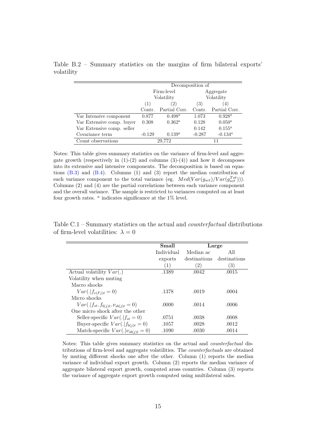|                            |          | Decomposition of                      |        |               |  |  |
|----------------------------|----------|---------------------------------------|--------|---------------|--|--|
|                            |          | Firm-level                            |        | Aggregate     |  |  |
|                            |          | Volatility                            |        | Volatility    |  |  |
|                            | (1)      | (2)                                   | (3)    | 4)            |  |  |
|                            | Contr.   | Partial Corr.                         | Contr. | Partial Corr. |  |  |
| Var Intensive component    | 0.877    | $0.498^a$                             | 1.073  | $0.928^a$     |  |  |
| Var Extensive comp. buyer  | 0.308    | $0.362^a$                             | 0.128  | $0.050^{a}$   |  |  |
| Var Extensive comp. seller |          |                                       | 0.142  | $0.155^a$     |  |  |
| Covariance term            | $-0.129$ | $-0.134^a$<br>$-0.287$<br>$0.139^{a}$ |        |               |  |  |
| Count observations         |          | 29,772                                |        | 11            |  |  |

Table B.2 – Summary statistics on the margins of firm bilateral exports' volatility

Notes: This table gives summary statistics on the variance of firm-level and aggregate growth (respectively in  $(1)-(2)$  and columns  $(3)-(4)$ ) and how it decomposes into its extensive and intensive components. The decomposition is based on equations  $(B.3)$  and  $(B.4)$ . Columns  $(1)$  and  $(3)$  report the median contribution of each variance component to the total variance (eg.  $Med(Var(g_{set})/Var(g_{set}^{Tot}))$ ). Columns (2) and (4) are the partial correlations between each variance component and the overall variance. The sample is restricted to variances computed on at least four growth rates. *<sup>a</sup>* indicates significance at the 1% level.

Table C.1 – Summary statistics on the actual and *counterfactual* distributions of firm-level volatilities:  $\lambda = 0$ 

|                                              | Small            | Large        |              |
|----------------------------------------------|------------------|--------------|--------------|
|                                              | Individual       | Median ac    | All          |
|                                              | exports          | destinations | destinations |
|                                              | $\left(1\right)$ | 2)           | 3)           |
| Actual volatility $Var(.)$                   | .1389            | .0042        | .0015        |
| Volatility when muting                       |                  |              |              |
| Macro shocks                                 |                  |              |              |
| $Var(. f_{c(Fj)t} = 0)$                      | .1378            | .0019        | .0004        |
| Micro shocks                                 |                  |              |              |
| $Var(. f_{st}, f_{b(j)t}, \nu_{sb(j)t} = 0)$ | .0000            | .0014        | .0006        |
| One micro shock after the other              |                  |              |              |
| Seller-specific $Var(. f_{st}=0)$            | .0751            | .0038        | .0008        |
| Buyer-specific $Var(. f_{b(i)t} = 0)$        | .1057            | .0028        | .0012        |
| Match-specific $Var(. \nu_{sb(i)t} = 0)$     | .1090            | .0030        | .0014        |

Notes: This table gives summary statistics on the actual and *counterfactual* distributions of firm-level and aggregate volatilities. The *counterfactuals* are obtained by muting different shocks one after the other. Column (1) reports the median variance of individual export growth. Column (2) reports the median variance of aggregate bilateral export growth, computed aross countries. Column (3) reports the variance of aggregate export growth computed using multilateral sales.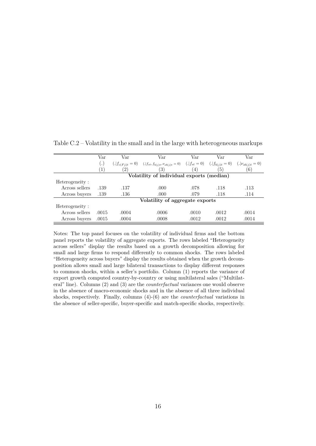|                | Var                | Var               | Var                                                                                                            | Var   | Var              | Var   |
|----------------|--------------------|-------------------|----------------------------------------------------------------------------------------------------------------|-------|------------------|-------|
|                | $\left( . \right)$ |                   | $(f_{c(F_i)t} = 0)$ $(f_{st}, f_{b(i)t}, \nu_{sb(i)t} = 0)$ $(f_{st} = 0)$ $(f_{b(i)t} = 0)$ $(f_{b(j)t} = 0)$ |       |                  |       |
|                |                    | $\left( 2\right)$ | 3)                                                                                                             | (4)   | $\left(5\right)$ | (6)   |
|                |                    |                   | Volatility of individual exports (median)                                                                      |       |                  |       |
| Heterogeneity: |                    |                   |                                                                                                                |       |                  |       |
| Across sellers | .139               | .137              | .000                                                                                                           | .078  | .118             | .113  |
| Across buyers  | .139               | .136              | .000                                                                                                           | .079  | .118             | .114  |
|                |                    |                   | Volatility of aggregate exports                                                                                |       |                  |       |
| Heterogeneity: |                    |                   |                                                                                                                |       |                  |       |
| Across sellers | .0015              | .0004             | .0006                                                                                                          | .0010 | .0012            | .0014 |
| Across buyers  | .0015              | .0004             | .0008                                                                                                          | .0012 | .0012            | .0014 |

Table C.2 – Volatility in the small and in the large with heterogeneous markups

Notes: The top panel focuses on the volatility of individual firms and the bottom panel reports the volatility of aggregate exports. The rows labeled "Heterogeneity across sellers" display the results based on a growth decomposition allowing for small and large firms to respond differently to common shocks. The rows labeled "Heterogeneity across buyers" display the results obtained when the growth decomposition allows small and large bilateral transactions to display different responses to common shocks, within a seller's portfolio. Column (1) reports the variance of export growth computed country-by-country or using multilateral sales ("Multilateral" line). Columns (2) and (3) are the *counterfactual* variances one would observe in the absence of macro-economic shocks and in the absence of all three individual shocks, respectively. Finally, columns (4)-(6) are the *counterfactual* variations in the absence of seller-specific, buyer-specific and match-specific shocks, respectively.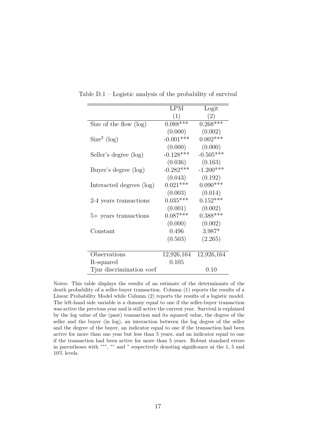|                           | <b>LPM</b>  | Logit       |
|---------------------------|-------------|-------------|
|                           | (1)         | (2)         |
| Size of the flow $(\log)$ | $0.088***$  | $0.268***$  |
|                           | (0.000)     | (0.002)     |
| Size <sup>2</sup> (log)   | $-0.001***$ | $0.002***$  |
|                           | (0.000)     | (0.000)     |
| Seller's degree (log)     | $-0.128***$ | $-0.505***$ |
|                           | (0.036)     | (0.163)     |
| Buyer's degree (log)      | $-0.282***$ | $-1.200***$ |
|                           | (0.043)     | (0.192)     |
| Interacted degrees (log)  | $0.021***$  | $0.090***$  |
|                           | (0.003)     | (0.014)     |
| 2-4 years transactions    | $0.035***$  | $0.152***$  |
|                           | (0.001)     | (0.002)     |
| 5+ years transactions     | $0.087***$  | $0.388***$  |
|                           | (0.000)     | (0.002)     |
| Constant                  | 0.496       | 3.987*      |
|                           | (0.503)     | (2.265)     |
|                           |             |             |
| Observations              | 12,926,164  | 12,926,164  |
| R-squared                 | 0.105       |             |
| Tjur discrimination coef  |             | 0.10        |

Table D.1 – Logistic analysis of the probability of survival

Notes: This table displays the results of an estimate of the determinants of the death probability of a seller-buyer transaction. Column (1) reports the results of a Linear Probability Model while Column (2) reports the results of a logistic model. The left-hand side variable is a dummy equal to one if the seller-buyer transaction was active the previous year and is still active the current year. Survival is explained by the log value of the (past) transaction and its squared value, the degree of the seller and the buyer (in log), an interaction between the log degree of the seller and the degree of the buyer, an indicator equal to one if the transaction had been active for more than one year but less than 5 years, and an indicator equal to one if the transaction had been active for more than 5 years. Robust standard errors in parentheses with ∗∗∗ , ∗∗ and <sup>∗</sup> respectively denoting significance at the 1, 5 and 10% levels.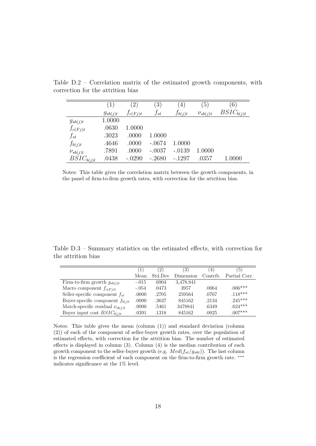|                | $\left(1\right)$ | $\left( 2\right)$ | $\left(3\right)$ | $\left( 4\right)$ | $\left(5\right)$ | $\epsilon$ <sup>o</sup> |
|----------------|------------------|-------------------|------------------|-------------------|------------------|-------------------------|
|                | $g_{sb(j)t}$     | $f_{c(Fj)t}$      | $f_{st}$         | $f_{b(j)t}$       | $\nu_{sb(j)t}$   | $BSIC_{b(j)t}$          |
| $g_{sb(j)t}$   | 1.0000           |                   |                  |                   |                  |                         |
| $f_{c(Fj)t}$   | .0630            | 1.0000            |                  |                   |                  |                         |
| $f_{st}$       | .3023            | .0000             | 1.0000           |                   |                  |                         |
| $f_{b(j)t}$    | .4646            | .0000             | $-.0674$         | 1.0000            |                  |                         |
| $\nu_{sb(j)t}$ | .7891            | .0000             | $-.0037$         | $-.0139$          | 1.0000           |                         |
| $BSIC_{b(j)t}$ | .0438            | $-.0290$          | $-.2680$         | $-.1297$          | .0357            | 1.0000                  |

Table D.2 – Correlation matrix of the estimated growth components, with correction for the attrition bias

Notes: This table gives the correlation matrix between the growth components, in the panel of firm-to-firm growth rates, with correction for the attrition bias.

Table D.3 – Summary statistics on the estimated effects, with correction for the attrition bias

|                                        | $\left(1\right)$ | $^{^{\prime}2^{\prime}}$ | 3)        | 4        | 5             |
|----------------------------------------|------------------|--------------------------|-----------|----------|---------------|
|                                        | Mean             | Std Dev                  | Dimension | Contrib. | Partial Corr. |
| Firm-to-firm growth $g_{sb(j)t}$       | $-.015$          | .6904                    | 3,478,841 |          |               |
| Macro component $f_{c(Fi)t}$           | $-.054$          | .0473                    | 3957      | .0064    | $.006***$     |
| Seller-specific component $f_{st}$     | .0000            | .2705                    | 259564    | .0767    | $.118***$     |
| Buyer-specific component $f_{b(i)t}$   | .0000            | .3637                    | 845162    | .2134    | $.245***$     |
| Match-specific residual $\nu_{sb(j)t}$ | .0000            | .5461                    | 3478841   | .6349    | $.624***$     |
| Buyer input cost $BSIC_{b(i)t}$        | .0391            | .1318                    | 845162    | .0025    | $.007***$     |

Notes: This table gives the mean (column (1)) and standard deviation (column (2)) of each of the component of seller-buyer growth rates, over the population of estimated effects, with correction for the attrition bias. The number of estimated effects is displayed in column (3). Column (4) is the median contribution of each growth component to the seller-buyer growth (e.g. *Med*(*fst/gsbt*)). The last column is the regression coefficient of each component on the firm-to-firm growth rate. ∗∗∗ indicates significance at the 1% level.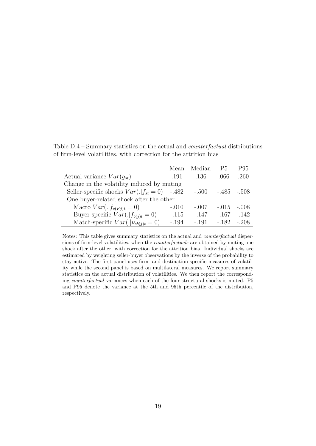Table D.4 – Summary statistics on the actual and *counterfactual* distributions of firm-level volatilities, with correction for the attrition bias

|                                                | Mean    | Median  | P5           | P95     |
|------------------------------------------------|---------|---------|--------------|---------|
| Actual variance $Var(g_{st})$                  | .191    | .136    | .066         | .260    |
| Change in the volatility induced by muting     |         |         |              |         |
| Seller-specific shocks $Var(. f_{st}=0)$ -.482 |         | $-.500$ | $-.485-.508$ |         |
| One buyer-related shock after the other        |         |         |              |         |
| Macro $Var(. f_{c(Fj)t} = 0)$                  | $-.010$ | $-.007$ | $-.015$      | $-.008$ |
| Buyer-specific $Var(. f_{b(i)t} = 0)$          | $-.115$ | $-.147$ | $-.167$      | $-.142$ |
| Match-specific $Var(. \nu_{sb(j)t} = 0)$       | $-.194$ | $-191$  | $-182$       | $-208$  |

Notes: This table gives summary statistics on the actual and *counterfactual* dispersions of firm-level volatilities, when the *counterfactuals* are obtained by muting one shock after the other, with correction for the attrition bias. Individual shocks are estimated by weighting seller-buyer observations by the inverse of the probability to stay active. The first panel uses firm- and destination-specific measures of volatility while the second panel is based on multilateral measures. We report summary statistics on the actual distribution of volatilities. We then report the corresponding *counterfactual* variances when each of the four structural shocks is muted. P5 and P95 denote the variance at the 5th and 95th percentile of the distribution, respectively.